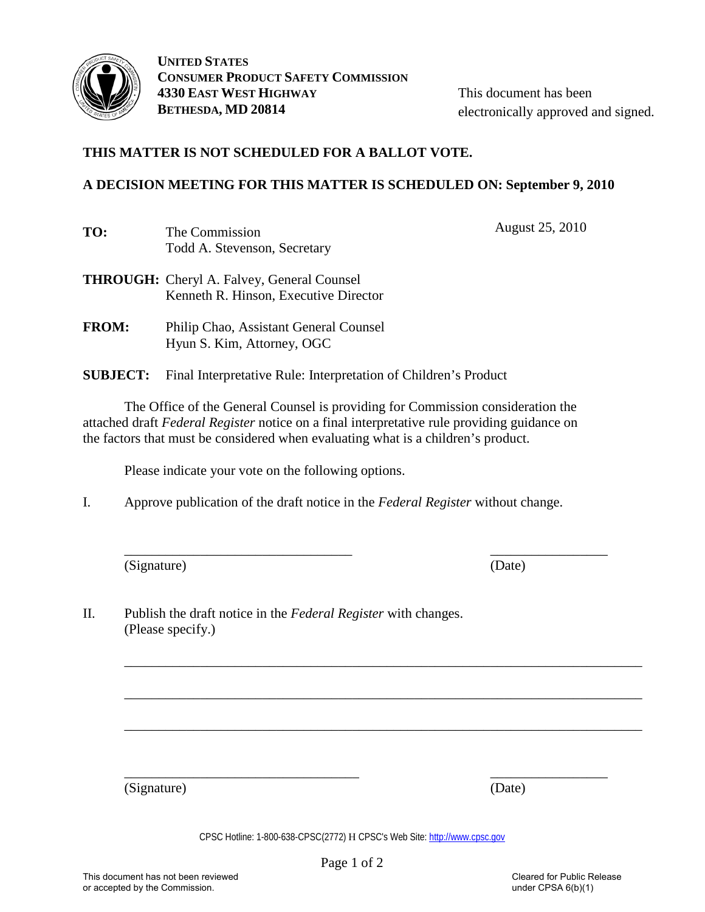

This document has been electronically approved and signed.

# **THIS MATTER IS NOT SCHEDULED FOR A BALLOT VOTE.**

## **A DECISION MEETING FOR THIS MATTER IS SCHEDULED ON: September 9, 2010**

| TO: | The Commission               |
|-----|------------------------------|
|     | Todd A. Stevenson, Secretary |

August 25, 2010

- **THROUGH:** Cheryl A. Falvey, General Counsel Kenneth R. Hinson, Executive Director
- **FROM:** Philip Chao, Assistant General Counsel Hyun S. Kim, Attorney, OGC
- **SUBJECT:** Final Interpretative Rule: Interpretation of Children's Product

 The Office of the General Counsel is providing for Commission consideration the attached draft *Federal Register* notice on a final interpretative rule providing guidance on the factors that must be considered when evaluating what is a children's product.

Please indicate your vote on the following options.

I. Approve publication of the draft notice in the *Federal Register* without change.

\_\_\_\_\_\_\_\_\_\_\_\_\_\_\_\_\_\_\_\_\_\_\_\_\_\_\_\_\_\_\_\_\_ \_\_\_\_\_\_\_\_\_\_\_\_\_\_\_\_\_

\_\_\_\_\_\_\_\_\_\_\_\_\_\_\_\_\_\_\_\_\_\_\_\_\_\_\_\_\_\_\_\_\_\_\_\_\_\_\_\_\_\_\_\_\_\_\_\_\_\_\_\_\_\_\_\_\_\_\_\_\_\_\_\_\_\_\_\_\_\_\_\_\_\_\_

\_\_\_\_\_\_\_\_\_\_\_\_\_\_\_\_\_\_\_\_\_\_\_\_\_\_\_\_\_\_\_\_\_\_\_\_\_\_\_\_\_\_\_\_\_\_\_\_\_\_\_\_\_\_\_\_\_\_\_\_\_\_\_\_\_\_\_\_\_\_\_\_\_\_\_

\_\_\_\_\_\_\_\_\_\_\_\_\_\_\_\_\_\_\_\_\_\_\_\_\_\_\_\_\_\_\_\_\_\_\_\_\_\_\_\_\_\_\_\_\_\_\_\_\_\_\_\_\_\_\_\_\_\_\_\_\_\_\_\_\_\_\_\_\_\_\_\_\_\_\_

(Signature) (Date)

II. Publish the draft notice in the *Federal Register* with changes. (Please specify.)

(Signature) (Date)

CPSC Hotline: 1-800-638-CPSC(2772) Η CPSC's Web Site: [http://www.cpsc.gov](http://www.cpsc.gov/)

\_\_\_\_\_\_\_\_\_\_\_\_\_\_\_\_\_\_\_\_\_\_\_\_\_\_\_\_\_\_\_\_\_\_ \_\_\_\_\_\_\_\_\_\_\_\_\_\_\_\_\_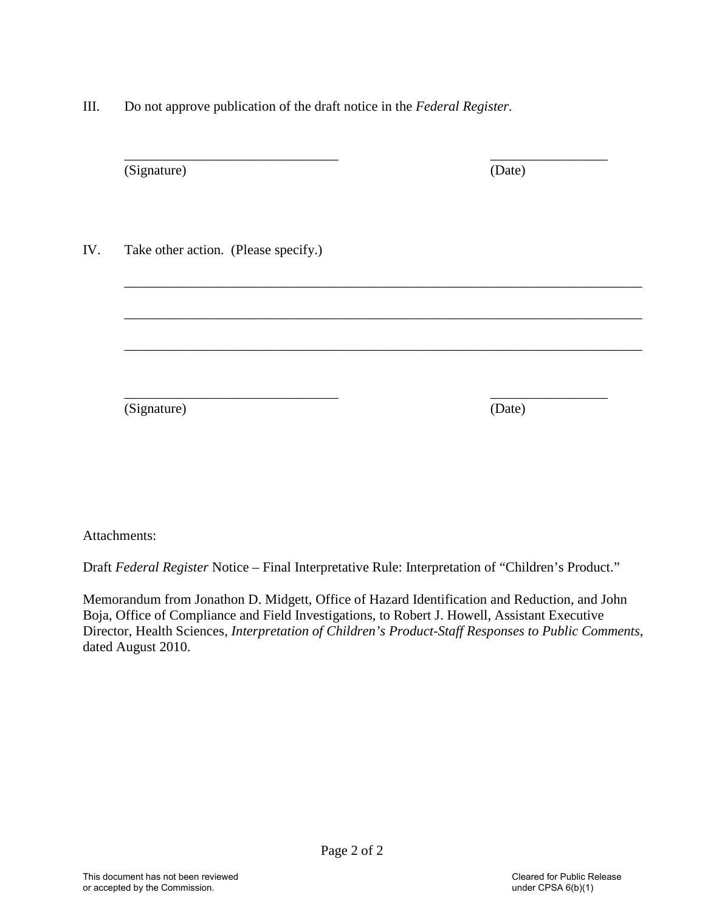III. Do not approve publication of the draft notice in the *Federal Register.*

| (Signature)                          | (Date) |
|--------------------------------------|--------|
| Take other action. (Please specify.) |        |
|                                      |        |
|                                      |        |
| (Signature)                          | (Date) |

Attachments:

Draft *Federal Register* Notice – Final Interpretative Rule: Interpretation of "Children's Product."

Memorandum from Jonathon D. Midgett, Office of Hazard Identification and Reduction, and John Boja, Office of Compliance and Field Investigations, to Robert J. Howell, Assistant Executive Director, Health Sciences, *Interpretation of Children's Product-Staff Responses to Public Comments*, dated August 2010.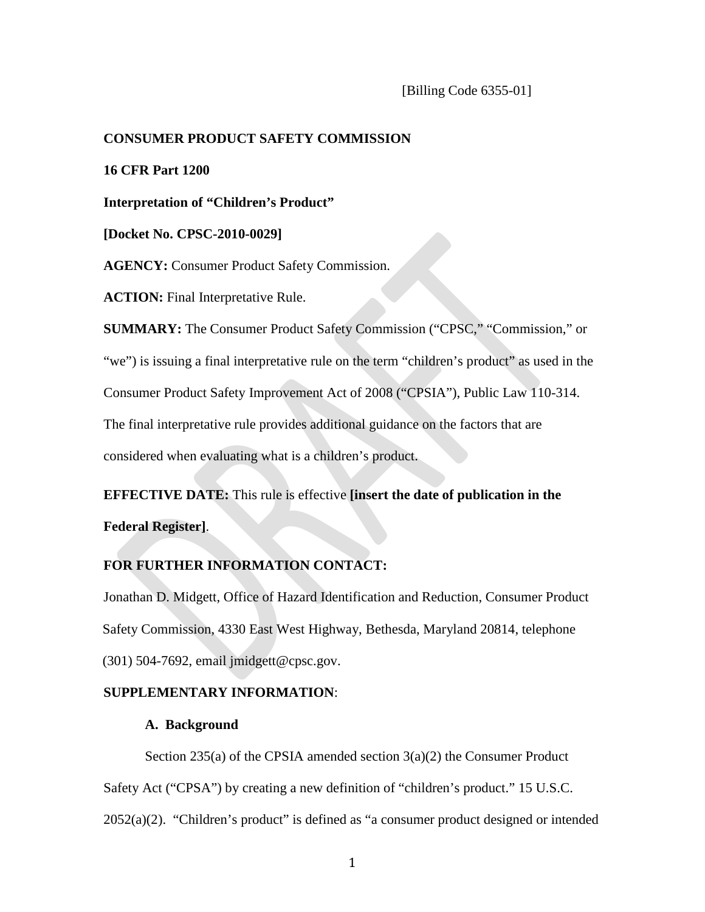## **CONSUMER PRODUCT SAFETY COMMISSION**

**16 CFR Part 1200**

**Interpretation of "Children's Product"** 

**[Docket No. CPSC-2010-0029]** 

**AGENCY:** Consumer Product Safety Commission.

**ACTION:** Final Interpretative Rule.

**SUMMARY:** The Consumer Product Safety Commission ("CPSC," "Commission," or "we") is issuing a final interpretative rule on the term "children's product" as used in the Consumer Product Safety Improvement Act of 2008 ("CPSIA"), Public Law 110-314. The final interpretative rule provides additional guidance on the factors that are considered when evaluating what is a children's product.

**EFFECTIVE DATE:** This rule is effective **[insert the date of publication in the Federal Register]**.

# **FOR FURTHER INFORMATION CONTACT:**

Jonathan D. Midgett, Office of Hazard Identification and Reduction, Consumer Product Safety Commission, 4330 East West Highway, Bethesda, Maryland 20814, telephone (301) 504-7692, email jmidgett@cpsc.gov.

# **SUPPLEMENTARY INFORMATION**:

#### **A. Background**

Section 235(a) of the CPSIA amended section 3(a)(2) the Consumer Product Safety Act ("CPSA") by creating a new definition of "children's product." 15 U.S.C. 2052(a)(2). "Children's product" is defined as "a consumer product designed or intended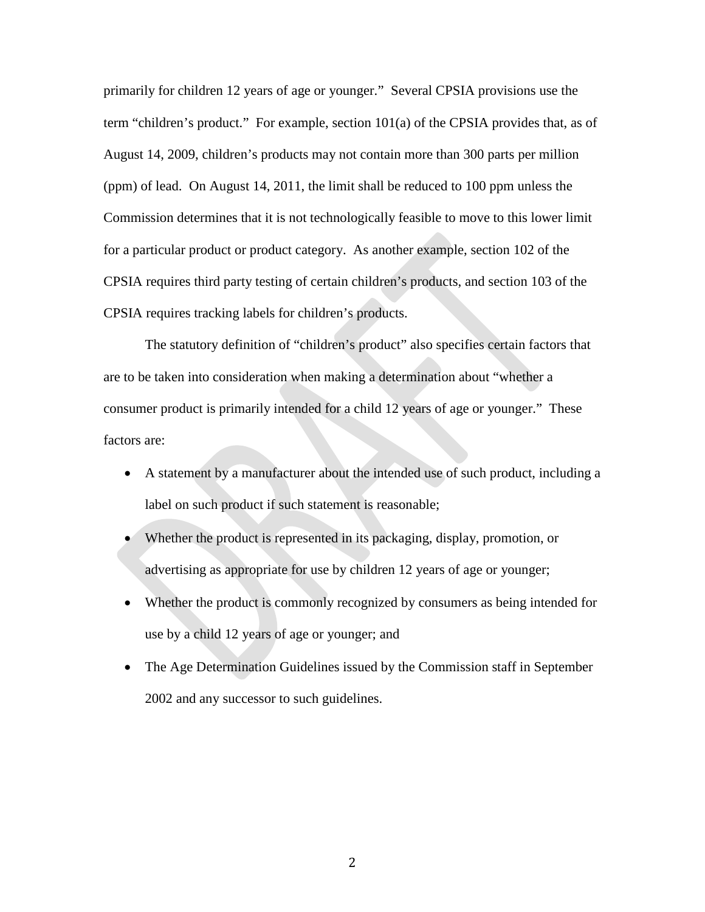primarily for children 12 years of age or younger." Several CPSIA provisions use the term "children's product." For example, section 101(a) of the CPSIA provides that, as of August 14, 2009, children's products may not contain more than 300 parts per million (ppm) of lead. On August 14, 2011, the limit shall be reduced to 100 ppm unless the Commission determines that it is not technologically feasible to move to this lower limit for a particular product or product category. As another example, section 102 of the CPSIA requires third party testing of certain children's products, and section 103 of the CPSIA requires tracking labels for children's products.

The statutory definition of "children's product" also specifies certain factors that are to be taken into consideration when making a determination about "whether a consumer product is primarily intended for a child 12 years of age or younger." These factors are:

- A statement by a manufacturer about the intended use of such product, including a label on such product if such statement is reasonable;
- Whether the product is represented in its packaging, display, promotion, or advertising as appropriate for use by children 12 years of age or younger;
- Whether the product is commonly recognized by consumers as being intended for use by a child 12 years of age or younger; and
- The Age Determination Guidelines issued by the Commission staff in September 2002 and any successor to such guidelines.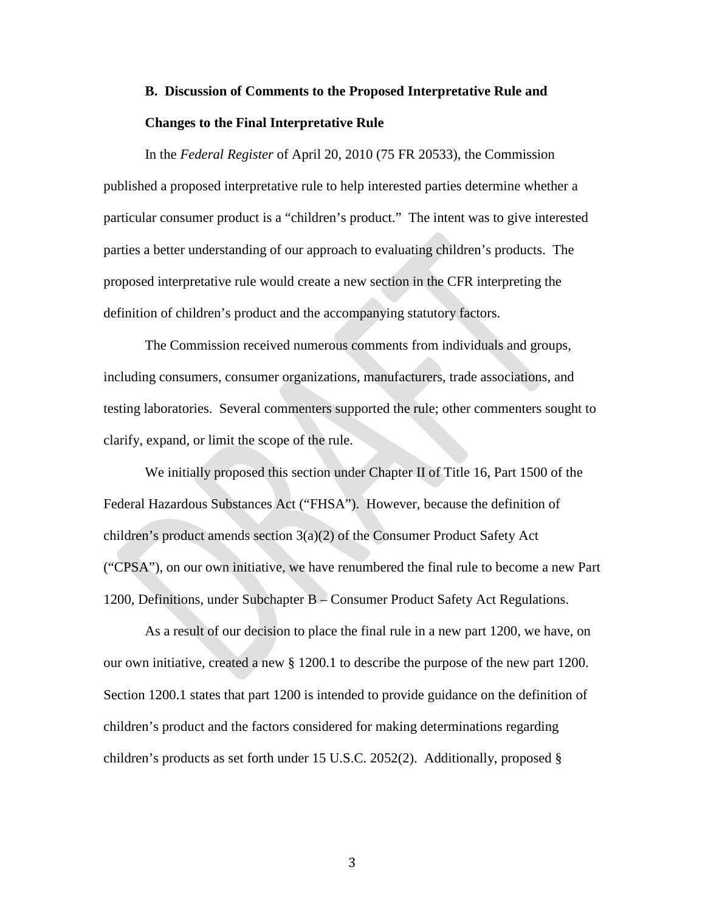# **B. Discussion of Comments to the Proposed Interpretative Rule and Changes to the Final Interpretative Rule**

In the *Federal Register* of April 20, 2010 (75 FR 20533), the Commission published a proposed interpretative rule to help interested parties determine whether a particular consumer product is a "children's product." The intent was to give interested parties a better understanding of our approach to evaluating children's products. The proposed interpretative rule would create a new section in the CFR interpreting the definition of children's product and the accompanying statutory factors.

The Commission received numerous comments from individuals and groups, including consumers, consumer organizations, manufacturers, trade associations, and testing laboratories. Several commenters supported the rule; other commenters sought to clarify, expand, or limit the scope of the rule.

We initially proposed this section under Chapter II of Title 16, Part 1500 of the Federal Hazardous Substances Act ("FHSA"). However, because the definition of children's product amends section  $3(a)(2)$  of the Consumer Product Safety Act ("CPSA"), on our own initiative, we have renumbered the final rule to become a new Part 1200, Definitions, under Subchapter B – Consumer Product Safety Act Regulations.

As a result of our decision to place the final rule in a new part 1200, we have, on our own initiative, created a new § 1200.1 to describe the purpose of the new part 1200. Section 1200.1 states that part 1200 is intended to provide guidance on the definition of children's product and the factors considered for making determinations regarding children's products as set forth under 15 U.S.C. 2052(2). Additionally, proposed §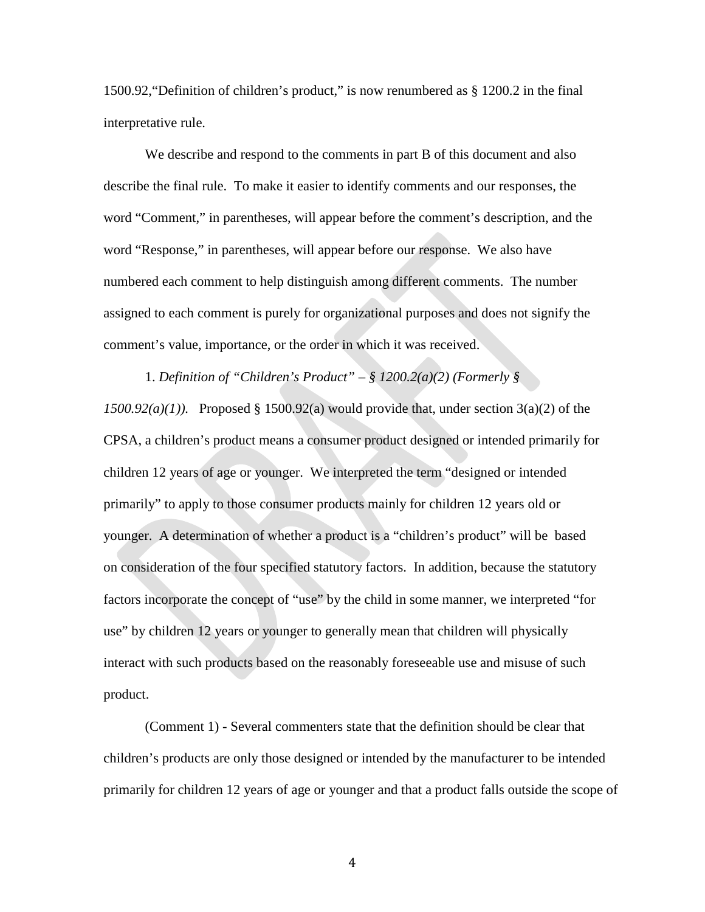1500.92,"Definition of children's product," is now renumbered as § 1200.2 in the final interpretative rule.

We describe and respond to the comments in part B of this document and also describe the final rule. To make it easier to identify comments and our responses, the word "Comment," in parentheses, will appear before the comment's description, and the word "Response," in parentheses, will appear before our response. We also have numbered each comment to help distinguish among different comments. The number assigned to each comment is purely for organizational purposes and does not signify the comment's value, importance, or the order in which it was received.

1. *Definition of "Children's Product" – § 1200.2(a)(2) (Formerly § 1500.92(a)(1)).* Proposed § 1500.92(a) would provide that, under section 3(a)(2) of the CPSA, a children's product means a consumer product designed or intended primarily for children 12 years of age or younger. We interpreted the term "designed or intended primarily" to apply to those consumer products mainly for children 12 years old or younger. A determination of whether a product is a "children's product" will be based on consideration of the four specified statutory factors. In addition, because the statutory factors incorporate the concept of "use" by the child in some manner, we interpreted "for use" by children 12 years or younger to generally mean that children will physically interact with such products based on the reasonably foreseeable use and misuse of such product.

(Comment 1) - Several commenters state that the definition should be clear that children's products are only those designed or intended by the manufacturer to be intended primarily for children 12 years of age or younger and that a product falls outside the scope of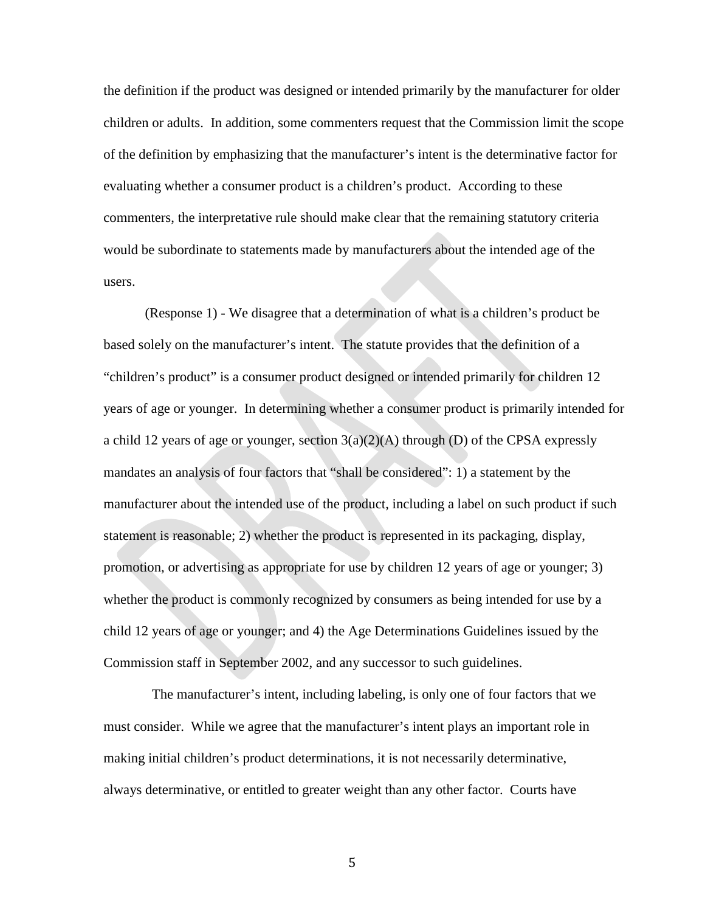the definition if the product was designed or intended primarily by the manufacturer for older children or adults. In addition, some commenters request that the Commission limit the scope of the definition by emphasizing that the manufacturer's intent is the determinative factor for evaluating whether a consumer product is a children's product. According to these commenters, the interpretative rule should make clear that the remaining statutory criteria would be subordinate to statements made by manufacturers about the intended age of the users.

(Response 1) - We disagree that a determination of what is a children's product be based solely on the manufacturer's intent. The statute provides that the definition of a "children's product" is a consumer product designed or intended primarily for children 12 years of age or younger. In determining whether a consumer product is primarily intended for a child 12 years of age or younger, section  $3(a)(2)(A)$  through (D) of the CPSA expressly mandates an analysis of four factors that "shall be considered": 1) a statement by the manufacturer about the intended use of the product, including a label on such product if such statement is reasonable; 2) whether the product is represented in its packaging, display, promotion, or advertising as appropriate for use by children 12 years of age or younger; 3) whether the product is commonly recognized by consumers as being intended for use by a child 12 years of age or younger; and 4) the Age Determinations Guidelines issued by the Commission staff in September 2002, and any successor to such guidelines.

The manufacturer's intent, including labeling, is only one of four factors that we must consider. While we agree that the manufacturer's intent plays an important role in making initial children's product determinations, it is not necessarily determinative, always determinative, or entitled to greater weight than any other factor. Courts have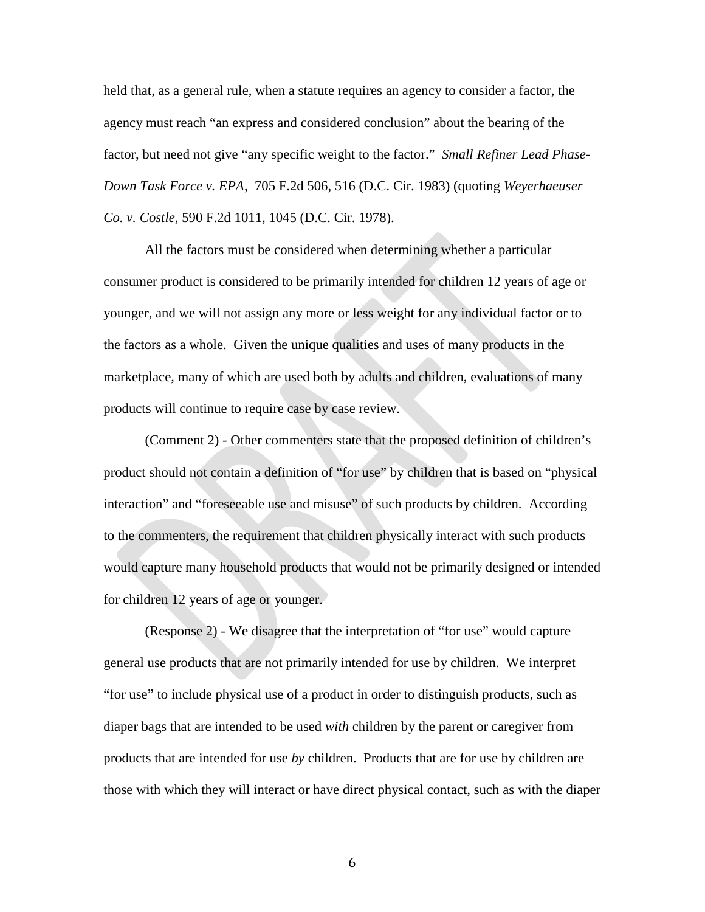held that, as a general rule, when a statute requires an agency to consider a factor, the agency must reach "an express and considered conclusion" about the bearing of the factor, but need not give "any specific weight to the factor." *[Small Refiner Lead Phase-](http://www.lexis.com/research/buttonTFLink?_m=0c25f23bd1844b70f9edb2d657e190d2&_xfercite=%3ccite%20cc%3d%22USA%22%3e%3c%21%5bCDATA%5b711%20F.2d%20331%5d%5d%3e%3c%2fcite%3e&_butType=3&_butStat=2&_butNum=56&_butInline=1&_butinfo=%3ccite%20cc%3d%22USA%22%3e%3c%21%5bCDATA%5b705%20F.2d%20506%2c%20516%5d%5d%3e%3c%2fcite%3e&_fmtstr=FULL&docnum=1&_startdoc=1&wchp=dGLzVzz-zSkAB&_md5=7c1c15d7aa8c782d0e984ee515f47cb2)Down Task Force v. EPA*[, 705 F.2d 506, 516 \(D.C. Cir. 1983\)](http://www.lexis.com/research/buttonTFLink?_m=0c25f23bd1844b70f9edb2d657e190d2&_xfercite=%3ccite%20cc%3d%22USA%22%3e%3c%21%5bCDATA%5b711%20F.2d%20331%5d%5d%3e%3c%2fcite%3e&_butType=3&_butStat=2&_butNum=56&_butInline=1&_butinfo=%3ccite%20cc%3d%22USA%22%3e%3c%21%5bCDATA%5b705%20F.2d%20506%2c%20516%5d%5d%3e%3c%2fcite%3e&_fmtstr=FULL&docnum=1&_startdoc=1&wchp=dGLzVzz-zSkAB&_md5=7c1c15d7aa8c782d0e984ee515f47cb2) (quoting *Weyerhaeuser Co. v. Costle*, [590 F.2d 1011, 1045 \(D.C. Cir. 1978\).](http://www.lexis.com/research/buttonTFLink?_m=0c25f23bd1844b70f9edb2d657e190d2&_xfercite=%3ccite%20cc%3d%22USA%22%3e%3c%21%5bCDATA%5b711%20F.2d%20331%5d%5d%3e%3c%2fcite%3e&_butType=3&_butStat=2&_butNum=57&_butInline=1&_butinfo=%3ccite%20cc%3d%22USA%22%3e%3c%21%5bCDATA%5b590%20F.2d%201011%2c%201045%5d%5d%3e%3c%2fcite%3e&_fmtstr=FULL&docnum=1&_startdoc=1&wchp=dGLzVzz-zSkAB&_md5=70f00163fee62661df8557592633cf3c)

All the factors must be considered when determining whether a particular consumer product is considered to be primarily intended for children 12 years of age or younger, and we will not assign any more or less weight for any individual factor or to the factors as a whole. Given the unique qualities and uses of many products in the marketplace, many of which are used both by adults and children, evaluations of many products will continue to require case by case review.

(Comment 2) - Other commenters state that the proposed definition of children's product should not contain a definition of "for use" by children that is based on "physical interaction" and "foreseeable use and misuse" of such products by children. According to the commenters, the requirement that children physically interact with such products would capture many household products that would not be primarily designed or intended for children 12 years of age or younger.

(Response 2) - We disagree that the interpretation of "for use" would capture general use products that are not primarily intended for use by children. We interpret "for use" to include physical use of a product in order to distinguish products, such as diaper bags that are intended to be used *with* children by the parent or caregiver from products that are intended for use *by* children. Products that are for use by children are those with which they will interact or have direct physical contact, such as with the diaper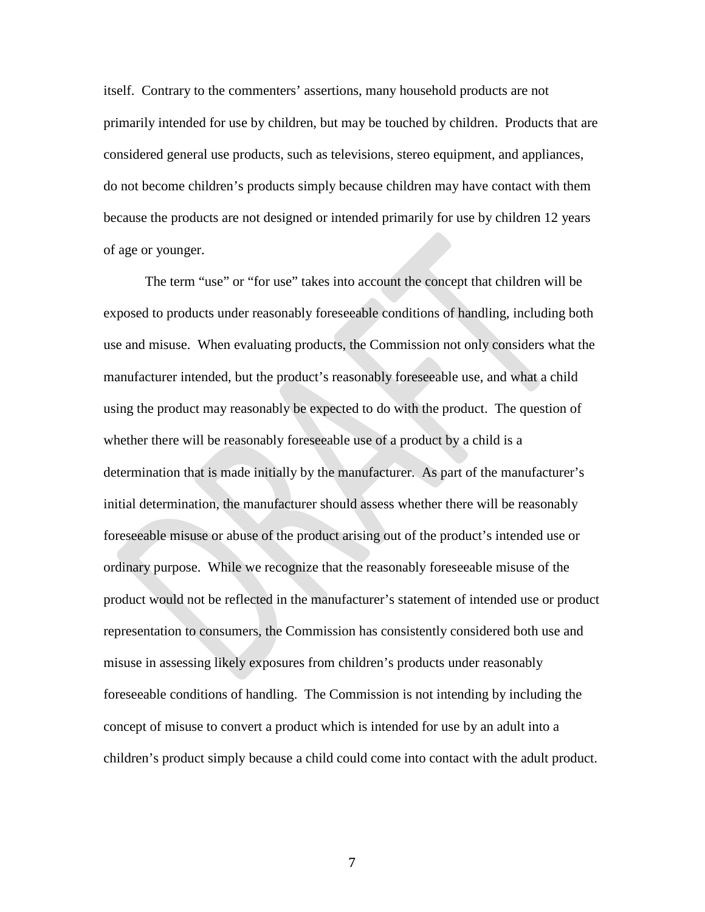itself. Contrary to the commenters' assertions, many household products are not primarily intended for use by children, but may be touched by children. Products that are considered general use products, such as televisions, stereo equipment, and appliances, do not become children's products simply because children may have contact with them because the products are not designed or intended primarily for use by children 12 years of age or younger.

The term "use" or "for use" takes into account the concept that children will be exposed to products under reasonably foreseeable conditions of handling, including both use and misuse. When evaluating products, the Commission not only considers what the manufacturer intended, but the product's reasonably foreseeable use, and what a child using the product may reasonably be expected to do with the product. The question of whether there will be reasonably foreseeable use of a product by a child is a determination that is made initially by the manufacturer. As part of the manufacturer's initial determination, the manufacturer should assess whether there will be reasonably foreseeable misuse or abuse of the product arising out of the product's intended use or ordinary purpose. While we recognize that the reasonably foreseeable misuse of the product would not be reflected in the manufacturer's statement of intended use or product representation to consumers, the Commission has consistently considered both use and misuse in assessing likely exposures from children's products under reasonably foreseeable conditions of handling. The Commission is not intending by including the concept of misuse to convert a product which is intended for use by an adult into a children's product simply because a child could come into contact with the adult product.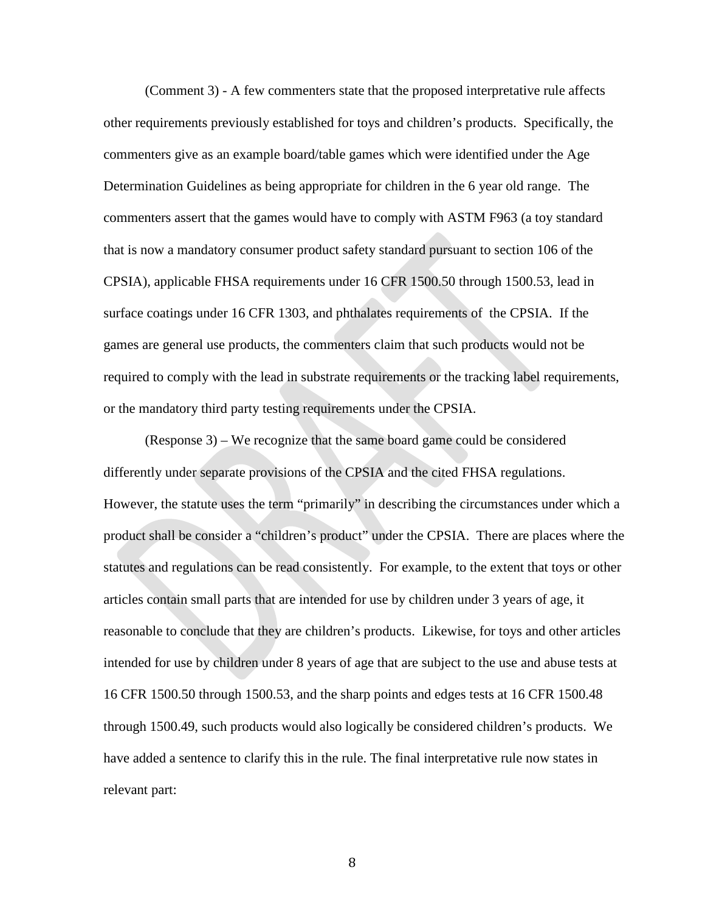(Comment 3) - A few commenters state that the proposed interpretative rule affects other requirements previously established for toys and children's products. Specifically, the commenters give as an example board/table games which were identified under the Age Determination Guidelines as being appropriate for children in the 6 year old range. The commenters assert that the games would have to comply with ASTM F963 (a toy standard that is now a mandatory consumer product safety standard pursuant to section 106 of the CPSIA), applicable FHSA requirements under 16 CFR 1500.50 through 1500.53, lead in surface coatings under 16 CFR 1303, and phthalates requirements of the CPSIA. If the games are general use products, the commenters claim that such products would not be required to comply with the lead in substrate requirements or the tracking label requirements, or the mandatory third party testing requirements under the CPSIA.

(Response 3) – We recognize that the same board game could be considered differently under separate provisions of the CPSIA and the cited FHSA regulations. However, the statute uses the term "primarily" in describing the circumstances under which a product shall be consider a "children's product" under the CPSIA. There are places where the statutes and regulations can be read consistently. For example, to the extent that toys or other articles contain small parts that are intended for use by children under 3 years of age, it reasonable to conclude that they are children's products. Likewise, for toys and other articles intended for use by children under 8 years of age that are subject to the use and abuse tests at 16 CFR 1500.50 through 1500.53, and the sharp points and edges tests at 16 CFR 1500.48 through 1500.49, such products would also logically be considered children's products. We have added a sentence to clarify this in the rule. The final interpretative rule now states in relevant part: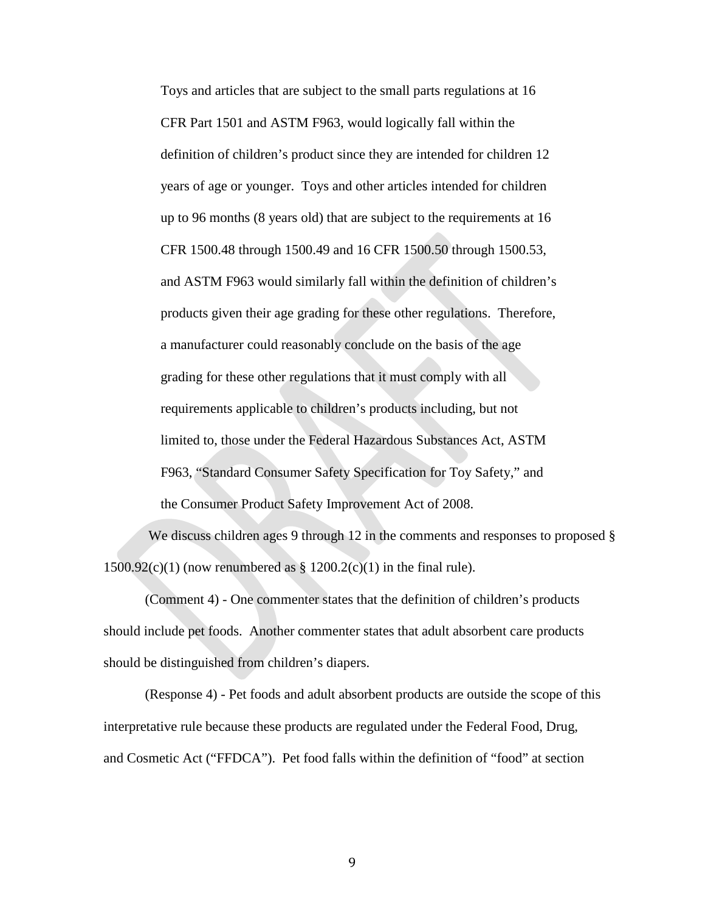Toys and articles that are subject to the small parts regulations at 16 CFR Part 1501 and ASTM F963, would logically fall within the definition of children's product since they are intended for children 12 years of age or younger. Toys and other articles intended for children up to 96 months (8 years old) that are subject to the requirements at 16 CFR 1500.48 through 1500.49 and 16 CFR 1500.50 through 1500.53, and ASTM F963 would similarly fall within the definition of children's products given their age grading for these other regulations. Therefore, a manufacturer could reasonably conclude on the basis of the age grading for these other regulations that it must comply with all requirements applicable to children's products including, but not limited to, those under the Federal Hazardous Substances Act, ASTM F963, "Standard Consumer Safety Specification for Toy Safety," and the Consumer Product Safety Improvement Act of 2008.

We discuss children ages 9 through 12 in the comments and responses to proposed  $\S$  $1500.92(c)(1)$  (now renumbered as §  $1200.2(c)(1)$  in the final rule).

(Comment 4) - One commenter states that the definition of children's products should include pet foods. Another commenter states that adult absorbent care products should be distinguished from children's diapers.

(Response 4) - Pet foods and adult absorbent products are outside the scope of this interpretative rule because these products are regulated under the Federal Food, Drug, and Cosmetic Act ("FFDCA"). Pet food falls within the definition of "food" at section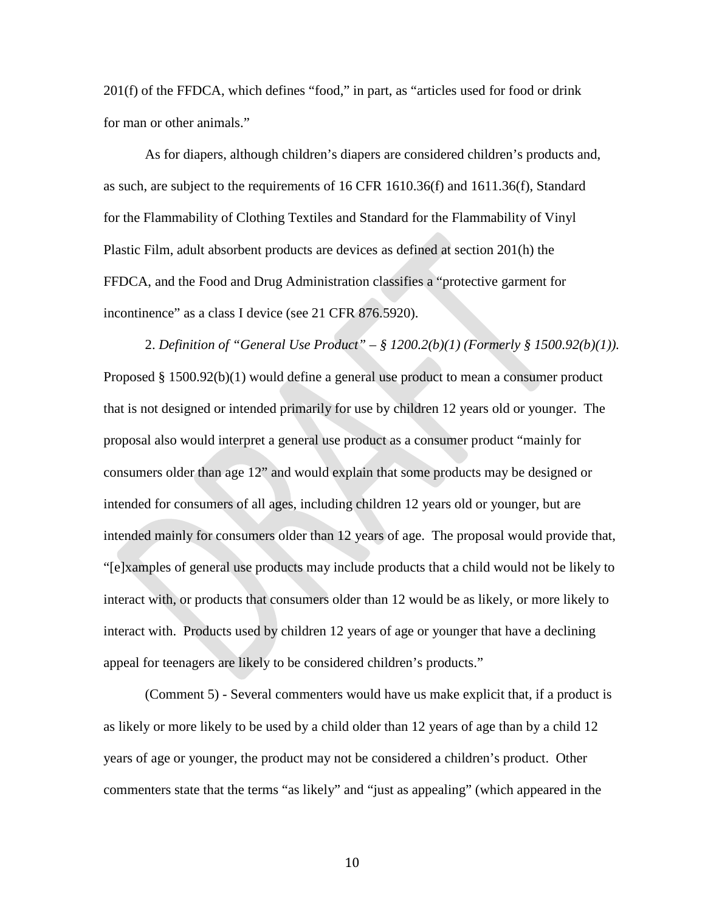201(f) of the FFDCA, which defines "food," in part, as "articles used for food or drink for man or other animals."

As for diapers, although children's diapers are considered children's products and, as such, are subject to the requirements of 16 CFR 1610.36(f) and 1611.36(f), Standard for the Flammability of Clothing Textiles and Standard for the Flammability of Vinyl Plastic Film, adult absorbent products are devices as defined at section 201(h) the FFDCA, and the Food and Drug Administration classifies a "protective garment for incontinence" as a class I device (see 21 CFR 876.5920).

2. *Definition of "General Use Product" – § 1200.2(b)(1) (Formerly § 1500.92(b)(1)).*  Proposed § 1500.92(b)(1) would define a general use product to mean a consumer product that is not designed or intended primarily for use by children 12 years old or younger. The proposal also would interpret a general use product as a consumer product "mainly for consumers older than age 12" and would explain that some products may be designed or intended for consumers of all ages, including children 12 years old or younger, but are intended mainly for consumers older than 12 years of age. The proposal would provide that, "[e]xamples of general use products may include products that a child would not be likely to interact with, or products that consumers older than 12 would be as likely, or more likely to interact with. Products used by children 12 years of age or younger that have a declining appeal for teenagers are likely to be considered children's products."

(Comment 5) - Several commenters would have us make explicit that, if a product is as likely or more likely to be used by a child older than 12 years of age than by a child 12 years of age or younger, the product may not be considered a children's product. Other commenters state that the terms "as likely" and "just as appealing" (which appeared in the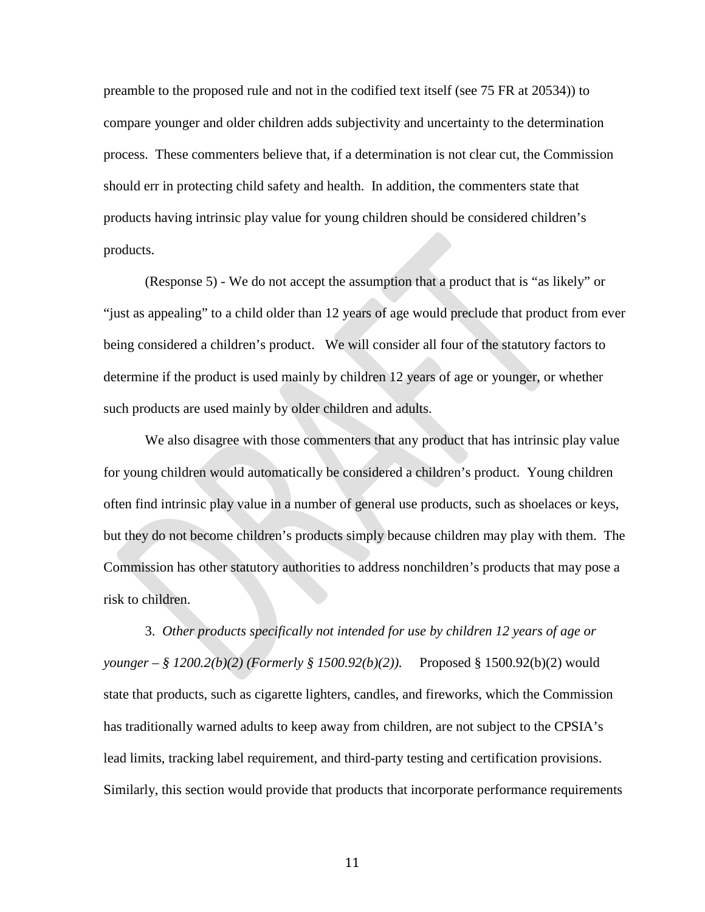preamble to the proposed rule and not in the codified text itself (see 75 FR at 20534)) to compare younger and older children adds subjectivity and uncertainty to the determination process. These commenters believe that, if a determination is not clear cut, the Commission should err in protecting child safety and health. In addition, the commenters state that products having intrinsic play value for young children should be considered children's products.

(Response 5) - We do not accept the assumption that a product that is "as likely" or "just as appealing" to a child older than 12 years of age would preclude that product from ever being considered a children's product. We will consider all four of the statutory factors to determine if the product is used mainly by children 12 years of age or younger, or whether such products are used mainly by older children and adults.

We also disagree with those commenters that any product that has intrinsic play value for young children would automatically be considered a children's product. Young children often find intrinsic play value in a number of general use products, such as shoelaces or keys, but they do not become children's products simply because children may play with them. The Commission has other statutory authorities to address nonchildren's products that may pose a risk to children.

3. *Other products specifically not intended for use by children 12 years of age or younger – § 1200.2(b)(2) (Formerly § 1500.92(b)(2)).* Proposed § 1500.92(b)(2) would state that products, such as cigarette lighters, candles, and fireworks, which the Commission has traditionally warned adults to keep away from children, are not subject to the CPSIA's lead limits, tracking label requirement, and third-party testing and certification provisions. Similarly, this section would provide that products that incorporate performance requirements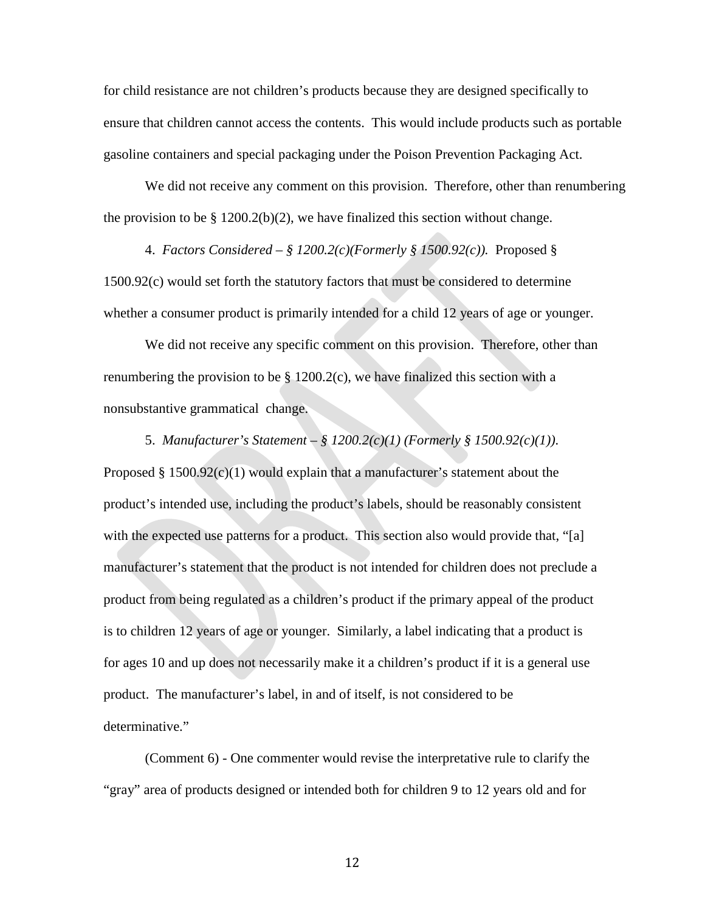for child resistance are not children's products because they are designed specifically to ensure that children cannot access the contents. This would include products such as portable gasoline containers and special packaging under the Poison Prevention Packaging Act.

We did not receive any comment on this provision. Therefore, other than renumbering the provision to be  $\S 1200.2(b)(2)$ , we have finalized this section without change.

4. *Factors Considered – § 1200.2(c)(Formerly § 1500.92(c)).* Proposed § 1500.92(c) would set forth the statutory factors that must be considered to determine whether a consumer product is primarily intended for a child 12 years of age or younger.

We did not receive any specific comment on this provision. Therefore, other than renumbering the provision to be  $\S$  1200.2(c), we have finalized this section with a nonsubstantive grammatical change.

5. *Manufacturer's Statement – § 1200.2(c)(1) (Formerly § 1500.92(c)(1)).* Proposed  $§$  1500.92 $(c)(1)$  would explain that a manufacturer's statement about the product's intended use, including the product's labels, should be reasonably consistent with the expected use patterns for a product. This section also would provide that, "[a] manufacturer's statement that the product is not intended for children does not preclude a product from being regulated as a children's product if the primary appeal of the product is to children 12 years of age or younger. Similarly, a label indicating that a product is for ages 10 and up does not necessarily make it a children's product if it is a general use product. The manufacturer's label, in and of itself, is not considered to be determinative."

(Comment 6) - One commenter would revise the interpretative rule to clarify the "gray" area of products designed or intended both for children 9 to 12 years old and for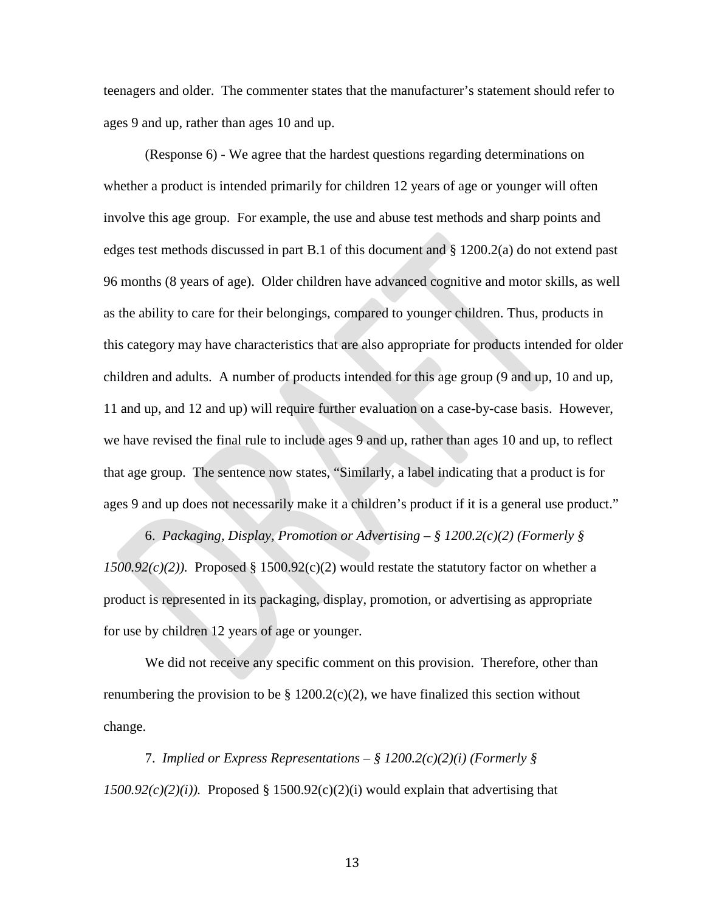teenagers and older. The commenter states that the manufacturer's statement should refer to ages 9 and up, rather than ages 10 and up.

(Response 6) - We agree that the hardest questions regarding determinations on whether a product is intended primarily for children 12 years of age or younger will often involve this age group. For example, the use and abuse test methods and sharp points and edges test methods discussed in part B.1 of this document and § 1200.2(a) do not extend past 96 months (8 years of age). Older children have advanced cognitive and motor skills, as well as the ability to care for their belongings, compared to younger children. Thus, products in this category may have characteristics that are also appropriate for products intended for older children and adults. A number of products intended for this age group (9 and up, 10 and up, 11 and up, and 12 and up) will require further evaluation on a case-by-case basis. However, we have revised the final rule to include ages 9 and up, rather than ages 10 and up, to reflect that age group. The sentence now states, "Similarly, a label indicating that a product is for ages 9 and up does not necessarily make it a children's product if it is a general use product."

6. *Packaging, Display, Promotion or Advertising – § 1200.2(c)(2) (Formerly §*   $1500.92(c)(2)$ ). Proposed § 1500.92(c)(2) would restate the statutory factor on whether a product is represented in its packaging, display, promotion, or advertising as appropriate for use by children 12 years of age or younger.

We did not receive any specific comment on this provision. Therefore, other than renumbering the provision to be  $\S 1200.2(c)(2)$ , we have finalized this section without change.

7. *Implied or Express Representations – § 1200.2(c)(2)(i) (Formerly §*   $1500.92(c)(2)(i)$ . Proposed § 1500.92(c)(2)(i) would explain that advertising that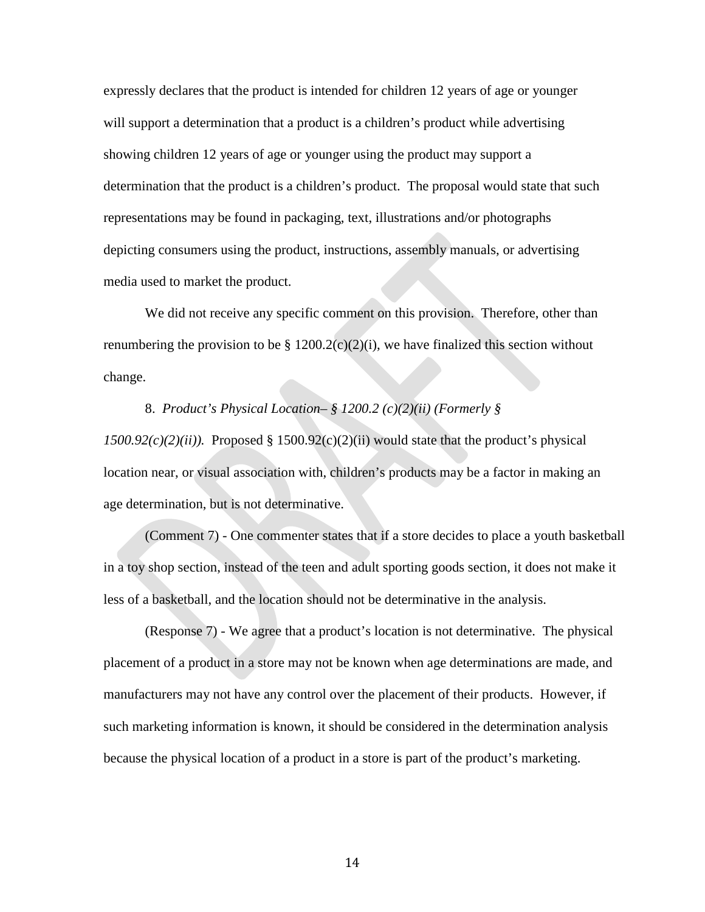expressly declares that the product is intended for children 12 years of age or younger will support a determination that a product is a children's product while advertising showing children 12 years of age or younger using the product may support a determination that the product is a children's product. The proposal would state that such representations may be found in packaging, text, illustrations and/or photographs depicting consumers using the product, instructions, assembly manuals, or advertising media used to market the product.

We did not receive any specific comment on this provision. Therefore, other than renumbering the provision to be  $\S 1200.2(c)(2)(i)$ , we have finalized this section without change.

#### 8. *Product's Physical Location– § 1200.2 (c)(2)(ii) (Formerly §*

 $1500.92(c)(2)(ii)$ ). Proposed § 1500.92(c)(2)(ii) would state that the product's physical location near, or visual association with, children's products may be a factor in making an age determination, but is not determinative.

(Comment 7) - One commenter states that if a store decides to place a youth basketball in a toy shop section, instead of the teen and adult sporting goods section, it does not make it less of a basketball, and the location should not be determinative in the analysis.

(Response 7) - We agree that a product's location is not determinative. The physical placement of a product in a store may not be known when age determinations are made, and manufacturers may not have any control over the placement of their products. However, if such marketing information is known, it should be considered in the determination analysis because the physical location of a product in a store is part of the product's marketing.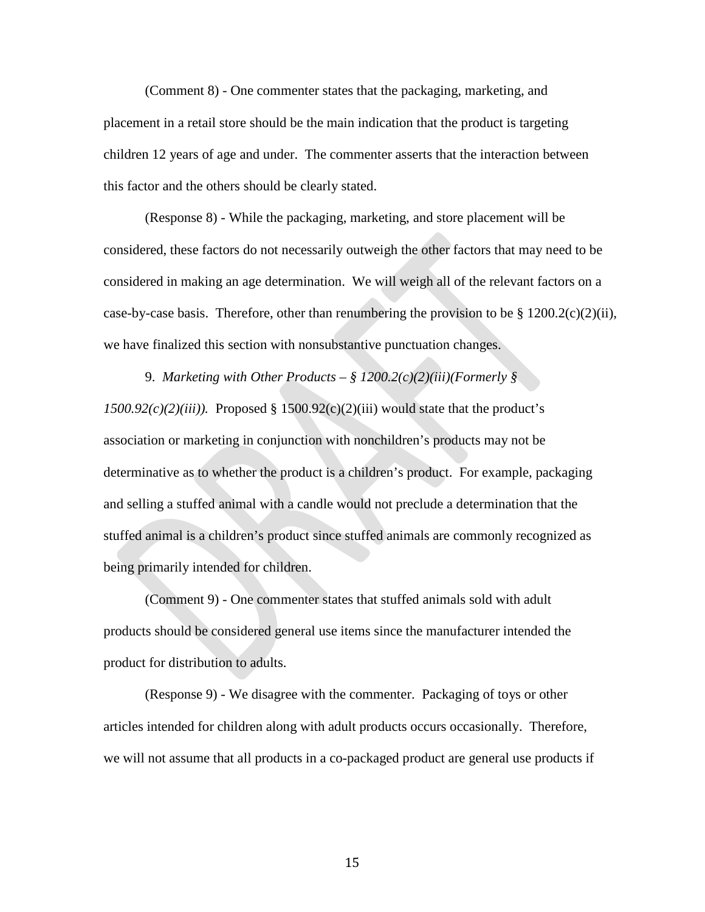(Comment 8) - One commenter states that the packaging, marketing, and placement in a retail store should be the main indication that the product is targeting children 12 years of age and under. The commenter asserts that the interaction between this factor and the others should be clearly stated.

(Response 8) - While the packaging, marketing, and store placement will be considered, these factors do not necessarily outweigh the other factors that may need to be considered in making an age determination. We will weigh all of the relevant factors on a case-by-case basis. Therefore, other than renumbering the provision to be  $§ 1200.2(c)(2)(ii)$ , we have finalized this section with nonsubstantive punctuation changes.

9. *Marketing with Other Products – § 1200.2(c)(2)(iii)(Formerly §*   $1500.92(c)(2)(iii)$ . Proposed § 1500.92(c)(2)(iii) would state that the product's association or marketing in conjunction with nonchildren's products may not be determinative as to whether the product is a children's product. For example, packaging and selling a stuffed animal with a candle would not preclude a determination that the stuffed animal is a children's product since stuffed animals are commonly recognized as being primarily intended for children.

(Comment 9) - One commenter states that stuffed animals sold with adult products should be considered general use items since the manufacturer intended the product for distribution to adults.

(Response 9) - We disagree with the commenter. Packaging of toys or other articles intended for children along with adult products occurs occasionally. Therefore, we will not assume that all products in a co-packaged product are general use products if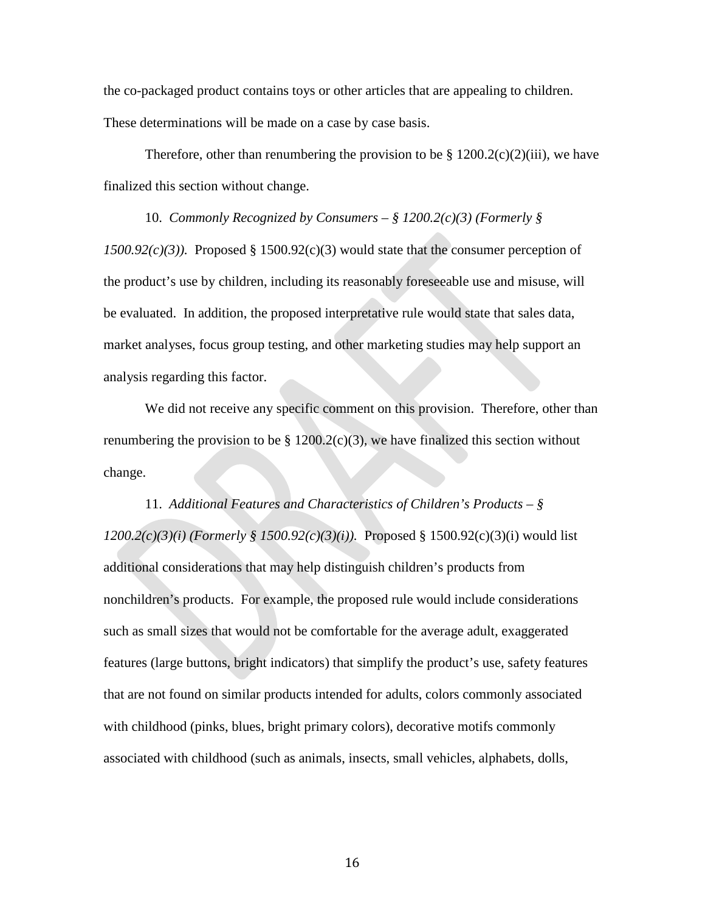the co-packaged product contains toys or other articles that are appealing to children. These determinations will be made on a case by case basis.

Therefore, other than renumbering the provision to be  $\S 1200.2(c)(2)(iii)$ , we have finalized this section without change.

10. *Commonly Recognized by Consumers – § 1200.2(c)(3) (Formerly § 1500.92(c)(3)).* Proposed § 1500.92(c)(3) would state that the consumer perception of the product's use by children, including its reasonably foreseeable use and misuse, will be evaluated. In addition, the proposed interpretative rule would state that sales data, market analyses, focus group testing, and other marketing studies may help support an analysis regarding this factor.

We did not receive any specific comment on this provision. Therefore, other than renumbering the provision to be  $\S 1200.2(c)(3)$ , we have finalized this section without change.

11. *Additional Features and Characteristics of Children's Products – § 1200.2(c)(3)(i) (Formerly § 1500.92(c)(3)(i)).* Proposed § 1500.92(c)(3)(i) would list additional considerations that may help distinguish children's products from nonchildren's products. For example, the proposed rule would include considerations such as small sizes that would not be comfortable for the average adult, exaggerated features (large buttons, bright indicators) that simplify the product's use, safety features that are not found on similar products intended for adults, colors commonly associated with childhood (pinks, blues, bright primary colors), decorative motifs commonly associated with childhood (such as animals, insects, small vehicles, alphabets, dolls,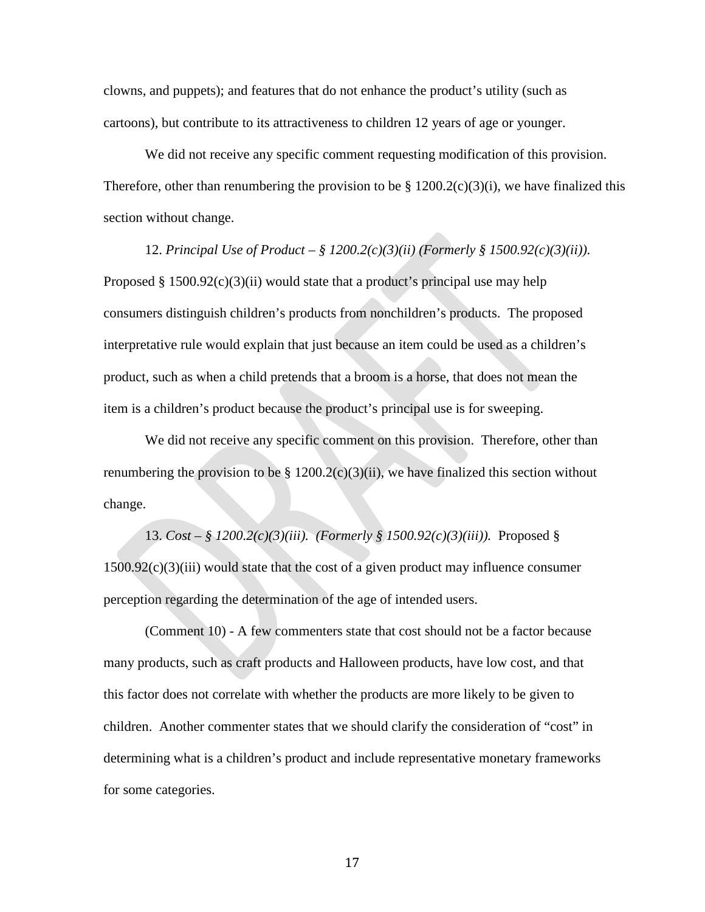clowns, and puppets); and features that do not enhance the product's utility (such as cartoons), but contribute to its attractiveness to children 12 years of age or younger.

We did not receive any specific comment requesting modification of this provision. Therefore, other than renumbering the provision to be  $\S 1200.2(c)(3)(i)$ , we have finalized this section without change.

12. *Principal Use of Product – § 1200.2(c)(3)(ii) (Formerly § 1500.92(c)(3)(ii)).* Proposed  $§$  1500.92(c)(3)(ii) would state that a product's principal use may help consumers distinguish children's products from nonchildren's products. The proposed interpretative rule would explain that just because an item could be used as a children's product, such as when a child pretends that a broom is a horse, that does not mean the item is a children's product because the product's principal use is for sweeping.

We did not receive any specific comment on this provision. Therefore, other than renumbering the provision to be  $\S 1200.2(c)(3)(ii)$ , we have finalized this section without change.

13. *Cost – § 1200.2(c)(3)(iii). (Formerly § 1500.92(c)(3)(iii)).* Proposed § 1500.92(c)(3)(iii) would state that the cost of a given product may influence consumer perception regarding the determination of the age of intended users.

(Comment 10) - A few commenters state that cost should not be a factor because many products, such as craft products and Halloween products, have low cost, and that this factor does not correlate with whether the products are more likely to be given to children. Another commenter states that we should clarify the consideration of "cost" in determining what is a children's product and include representative monetary frameworks for some categories.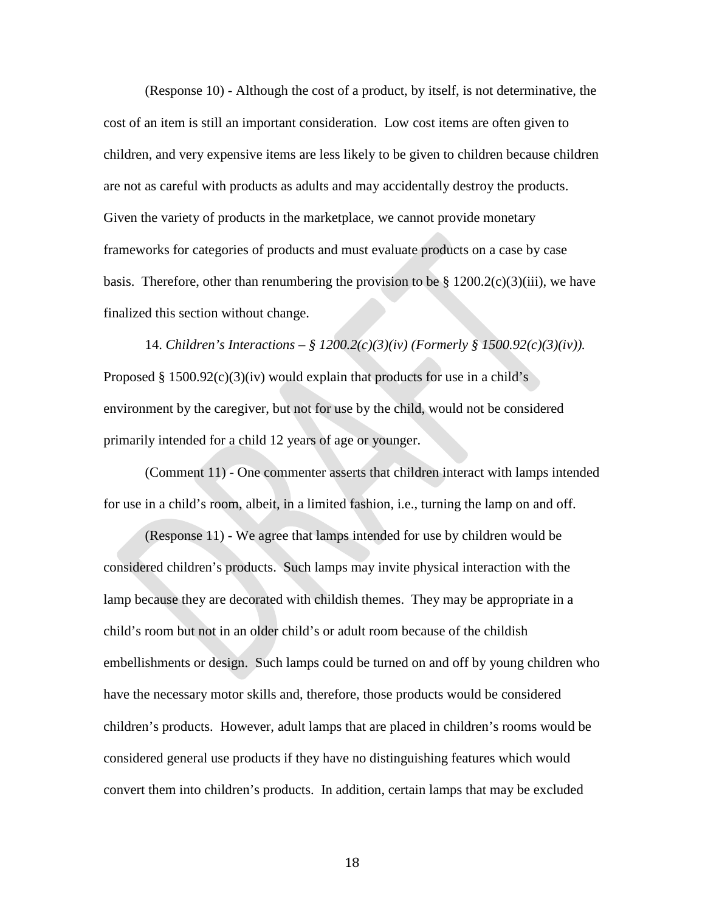(Response 10) - Although the cost of a product, by itself, is not determinative, the cost of an item is still an important consideration. Low cost items are often given to children, and very expensive items are less likely to be given to children because children are not as careful with products as adults and may accidentally destroy the products. Given the variety of products in the marketplace, we cannot provide monetary frameworks for categories of products and must evaluate products on a case by case basis. Therefore, other than renumbering the provision to be  $\S 1200.2(c)(3)(iii)$ , we have finalized this section without change.

14. *Children's Interactions – § 1200.2(c)(3)(iv) (Formerly § 1500.92(c)(3)(iv)).* Proposed § 1500.92 $(c)(3)(iv)$  would explain that products for use in a child's environment by the caregiver, but not for use by the child, would not be considered primarily intended for a child 12 years of age or younger.

(Comment 11) - One commenter asserts that children interact with lamps intended for use in a child's room, albeit, in a limited fashion, i.e., turning the lamp on and off.

(Response 11) - We agree that lamps intended for use by children would be considered children's products. Such lamps may invite physical interaction with the lamp because they are decorated with childish themes. They may be appropriate in a child's room but not in an older child's or adult room because of the childish embellishments or design. Such lamps could be turned on and off by young children who have the necessary motor skills and, therefore, those products would be considered children's products. However, adult lamps that are placed in children's rooms would be considered general use products if they have no distinguishing features which would convert them into children's products. In addition, certain lamps that may be excluded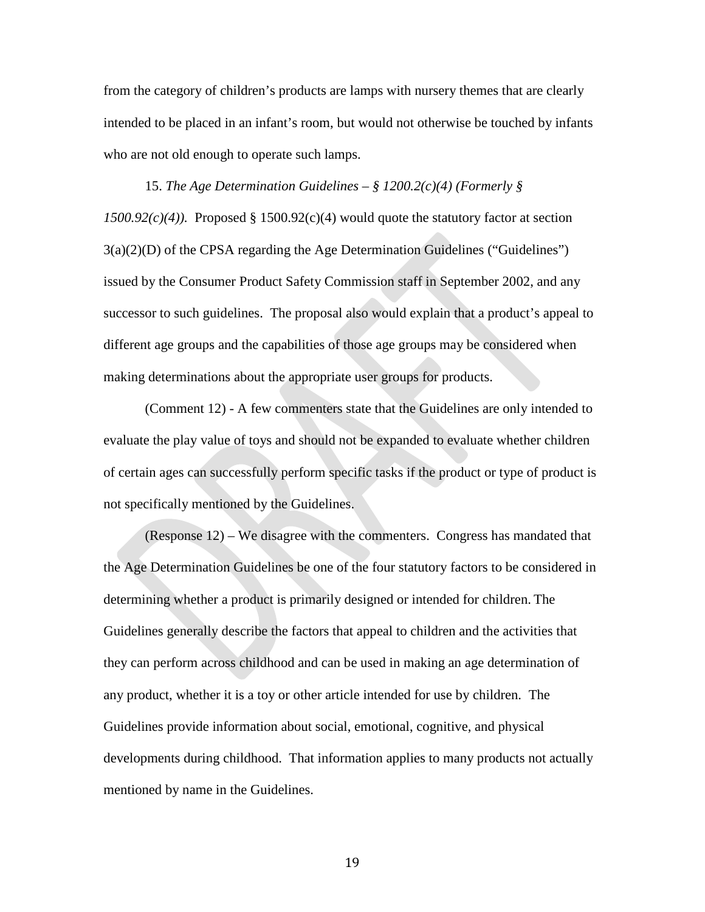from the category of children's products are lamps with nursery themes that are clearly intended to be placed in an infant's room, but would not otherwise be touched by infants who are not old enough to operate such lamps.

15. *The Age Determination Guidelines – § 1200.2(c)(4) (Formerly § 1500.92(c)(4)).* Proposed § 1500.92(c)(4) would quote the statutory factor at section 3(a)(2)(D) of the CPSA regarding the Age Determination Guidelines ("Guidelines") issued by the Consumer Product Safety Commission staff in September 2002, and any successor to such guidelines. The proposal also would explain that a product's appeal to different age groups and the capabilities of those age groups may be considered when making determinations about the appropriate user groups for products.

(Comment 12) - A few commenters state that the Guidelines are only intended to evaluate the play value of toys and should not be expanded to evaluate whether children of certain ages can successfully perform specific tasks if the product or type of product is not specifically mentioned by the Guidelines.

(Response 12) – We disagree with the commenters. Congress has mandated that the Age Determination Guidelines be one of the four statutory factors to be considered in determining whether a product is primarily designed or intended for children. The Guidelines generally describe the factors that appeal to children and the activities that they can perform across childhood and can be used in making an age determination of any product, whether it is a toy or other article intended for use by children. The Guidelines provide information about social, emotional, cognitive, and physical developments during childhood. That information applies to many products not actually mentioned by name in the Guidelines.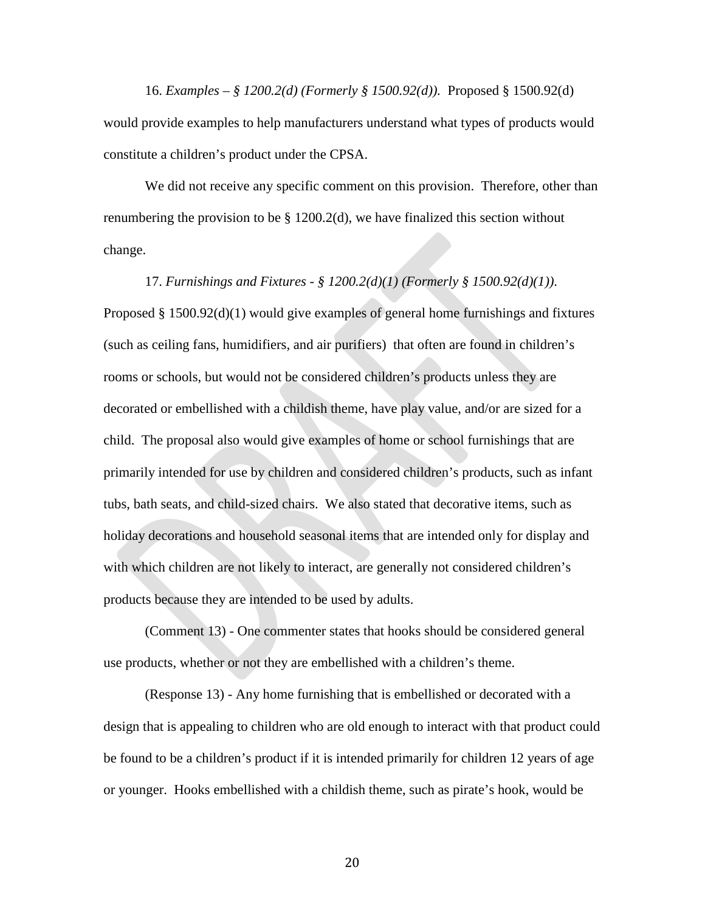16. *Examples – § 1200.2(d) (Formerly § 1500.92(d)).* Proposed § 1500.92(d) would provide examples to help manufacturers understand what types of products would constitute a children's product under the CPSA.

We did not receive any specific comment on this provision. Therefore, other than renumbering the provision to be § 1200.2(d), we have finalized this section without change.

17. *Furnishings and Fixtures - § 1200.2(d)(1) (Formerly § 1500.92(d)(1))*. Proposed § 1500.92(d)(1) would give examples of general home furnishings and fixtures (such as ceiling fans, humidifiers, and air purifiers) that often are found in children's rooms or schools, but would not be considered children's products unless they are decorated or embellished with a childish theme, have play value, and/or are sized for a child. The proposal also would give examples of home or school furnishings that are primarily intended for use by children and considered children's products, such as infant tubs, bath seats, and child-sized chairs. We also stated that decorative items, such as holiday decorations and household seasonal items that are intended only for display and with which children are not likely to interact, are generally not considered children's products because they are intended to be used by adults.

(Comment 13) - One commenter states that hooks should be considered general use products, whether or not they are embellished with a children's theme.

(Response 13) - Any home furnishing that is embellished or decorated with a design that is appealing to children who are old enough to interact with that product could be found to be a children's product if it is intended primarily for children 12 years of age or younger. Hooks embellished with a childish theme, such as pirate's hook, would be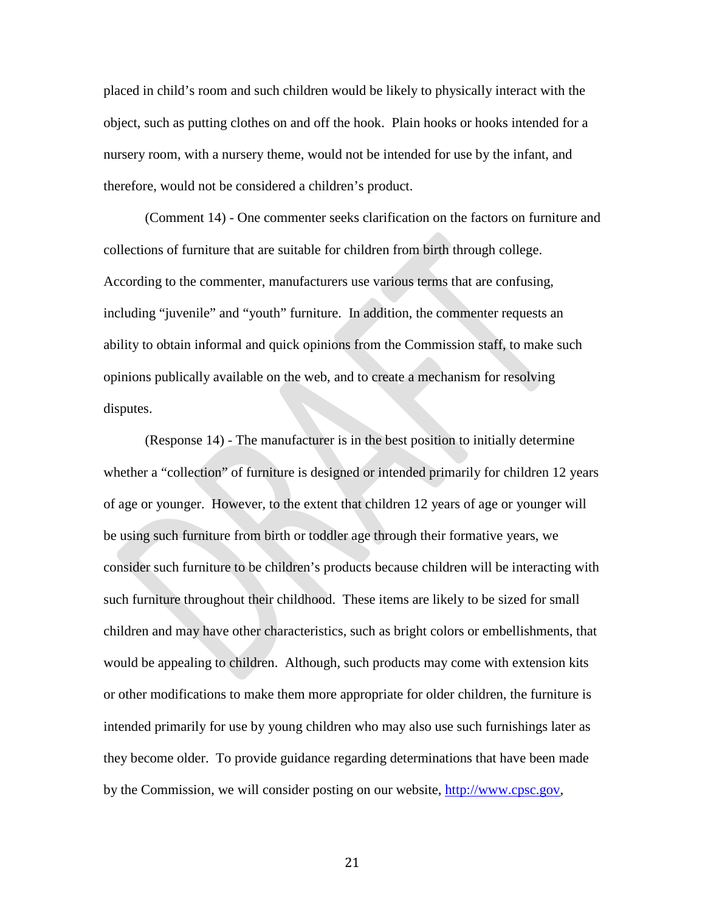placed in child's room and such children would be likely to physically interact with the object, such as putting clothes on and off the hook. Plain hooks or hooks intended for a nursery room, with a nursery theme, would not be intended for use by the infant, and therefore, would not be considered a children's product.

(Comment 14) - One commenter seeks clarification on the factors on furniture and collections of furniture that are suitable for children from birth through college. According to the commenter, manufacturers use various terms that are confusing, including "juvenile" and "youth" furniture. In addition, the commenter requests an ability to obtain informal and quick opinions from the Commission staff, to make such opinions publically available on the web, and to create a mechanism for resolving disputes.

(Response 14) - The manufacturer is in the best position to initially determine whether a "collection" of furniture is designed or intended primarily for children 12 years of age or younger. However, to the extent that children 12 years of age or younger will be using such furniture from birth or toddler age through their formative years, we consider such furniture to be children's products because children will be interacting with such furniture throughout their childhood. These items are likely to be sized for small children and may have other characteristics, such as bright colors or embellishments, that would be appealing to children. Although, such products may come with extension kits or other modifications to make them more appropriate for older children, the furniture is intended primarily for use by young children who may also use such furnishings later as they become older. To provide guidance regarding determinations that have been made by the Commission, we will consider posting on our website, [http://www.cpsc.gov,](http://www.cpsc.gov/)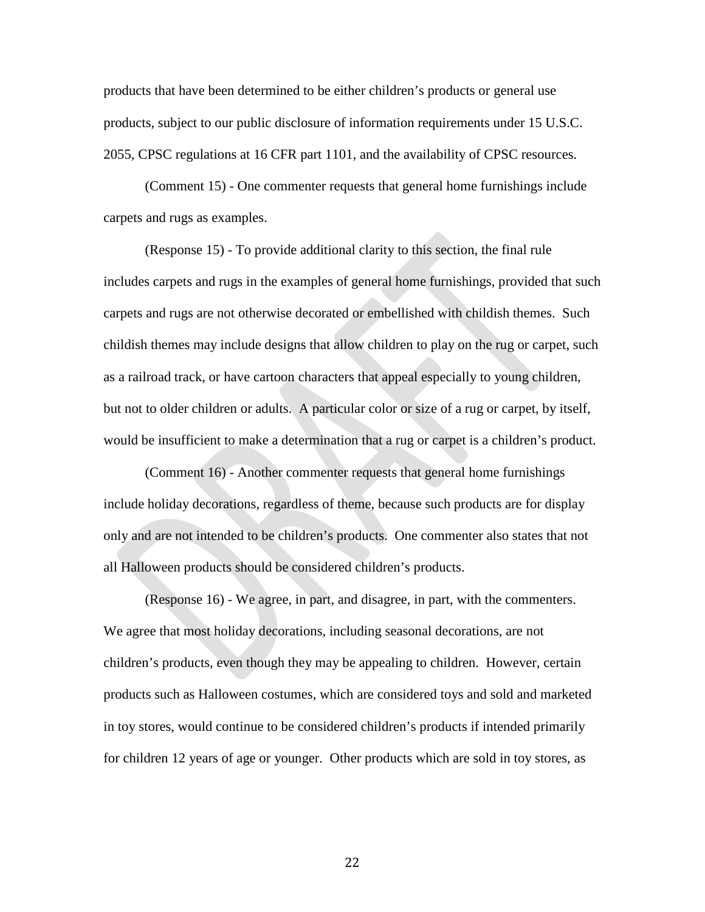products that have been determined to be either children's products or general use products, subject to our public disclosure of information requirements under 15 U.S.C. 2055, CPSC regulations at 16 CFR part 1101, and the availability of CPSC resources.

(Comment 15) - One commenter requests that general home furnishings include carpets and rugs as examples.

(Response 15) - To provide additional clarity to this section, the final rule includes carpets and rugs in the examples of general home furnishings, provided that such carpets and rugs are not otherwise decorated or embellished with childish themes. Such childish themes may include designs that allow children to play on the rug or carpet, such as a railroad track, or have cartoon characters that appeal especially to young children, but not to older children or adults. A particular color or size of a rug or carpet, by itself, would be insufficient to make a determination that a rug or carpet is a children's product.

(Comment 16) - Another commenter requests that general home furnishings include holiday decorations, regardless of theme, because such products are for display only and are not intended to be children's products. One commenter also states that not all Halloween products should be considered children's products.

(Response 16) - We agree, in part, and disagree, in part, with the commenters. We agree that most holiday decorations, including seasonal decorations, are not children's products, even though they may be appealing to children. However, certain products such as Halloween costumes, which are considered toys and sold and marketed in toy stores, would continue to be considered children's products if intended primarily for children 12 years of age or younger. Other products which are sold in toy stores, as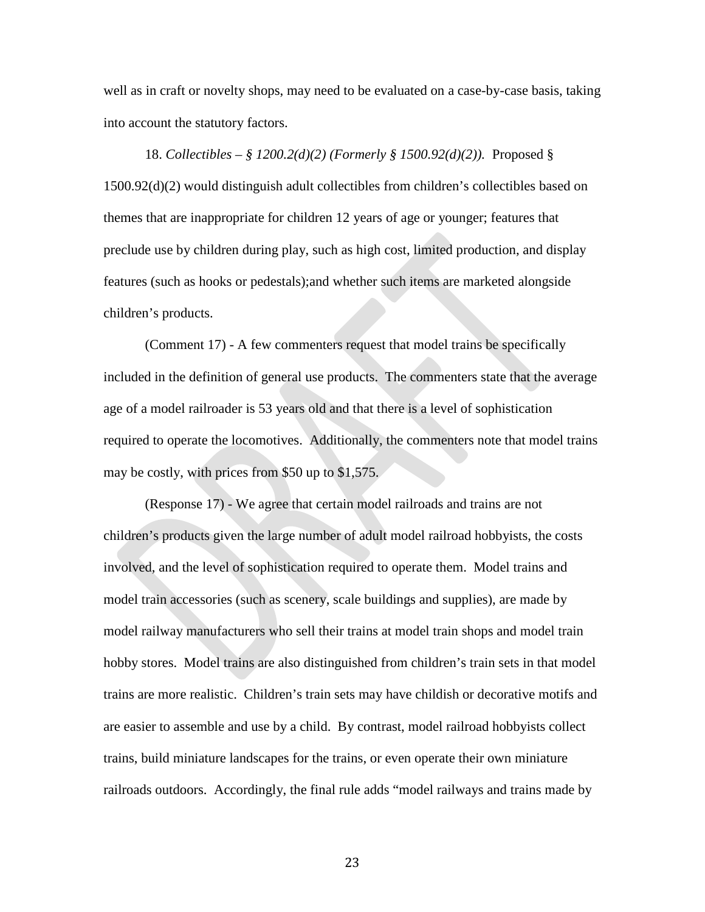well as in craft or novelty shops, may need to be evaluated on a case-by-case basis, taking into account the statutory factors.

18. *Collectibles – § 1200.2(d)(2) (Formerly § 1500.92(d)(2)).* Proposed § 1500.92(d)(2) would distinguish adult collectibles from children's collectibles based on themes that are inappropriate for children 12 years of age or younger; features that preclude use by children during play, such as high cost, limited production, and display features (such as hooks or pedestals);and whether such items are marketed alongside children's products.

(Comment 17) - A few commenters request that model trains be specifically included in the definition of general use products. The commenters state that the average age of a model railroader is 53 years old and that there is a level of sophistication required to operate the locomotives. Additionally, the commenters note that model trains may be costly, with prices from \$50 up to \$1,575.

(Response 17) - We agree that certain model railroads and trains are not children's products given the large number of adult model railroad hobbyists, the costs involved, and the level of sophistication required to operate them. Model trains and model train accessories (such as scenery, scale buildings and supplies), are made by model railway manufacturers who sell their trains at model train shops and model train hobby stores. Model trains are also distinguished from children's train sets in that model trains are more realistic. Children's train sets may have childish or decorative motifs and are easier to assemble and use by a child. By contrast, model railroad hobbyists collect trains, build miniature landscapes for the trains, or even operate their own miniature railroads outdoors. Accordingly, the final rule adds "model railways and trains made by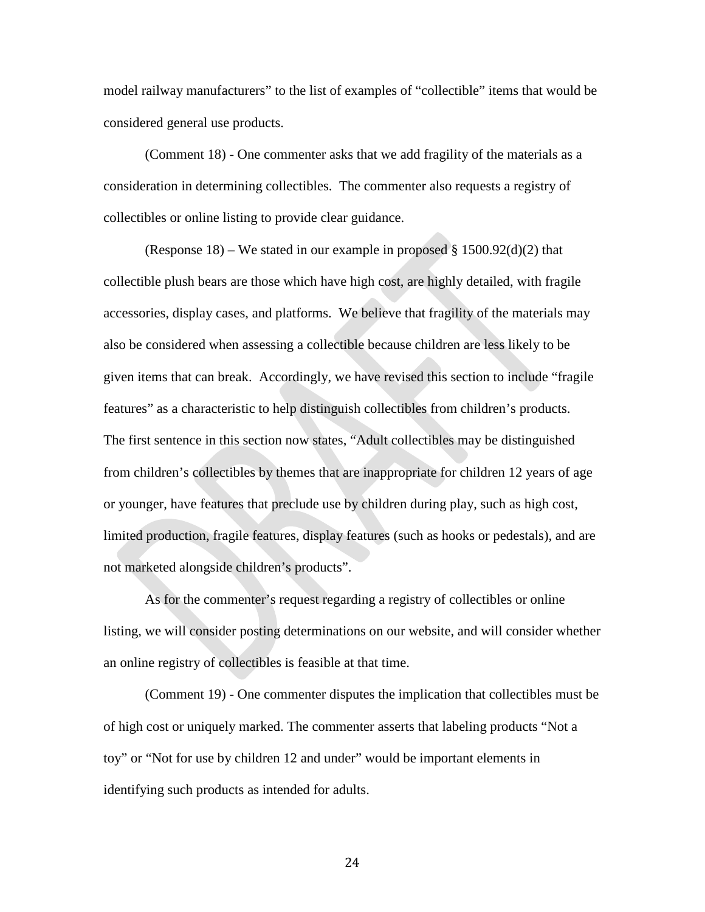model railway manufacturers" to the list of examples of "collectible" items that would be considered general use products.

(Comment 18) - One commenter asks that we add fragility of the materials as a consideration in determining collectibles. The commenter also requests a registry of collectibles or online listing to provide clear guidance.

(Response 18) – We stated in our example in proposed  $\S$  1500.92(d)(2) that collectible plush bears are those which have high cost, are highly detailed, with fragile accessories, display cases, and platforms. We believe that fragility of the materials may also be considered when assessing a collectible because children are less likely to be given items that can break. Accordingly, we have revised this section to include "fragile features" as a characteristic to help distinguish collectibles from children's products. The first sentence in this section now states, "Adult collectibles may be distinguished from children's collectibles by themes that are inappropriate for children 12 years of age or younger, have features that preclude use by children during play, such as high cost, limited production, fragile features, display features (such as hooks or pedestals), and are not marketed alongside children's products".

As for the commenter's request regarding a registry of collectibles or online listing, we will consider posting determinations on our website, and will consider whether an online registry of collectibles is feasible at that time.

(Comment 19) - One commenter disputes the implication that collectibles must be of high cost or uniquely marked. The commenter asserts that labeling products "Not a toy" or "Not for use by children 12 and under" would be important elements in identifying such products as intended for adults.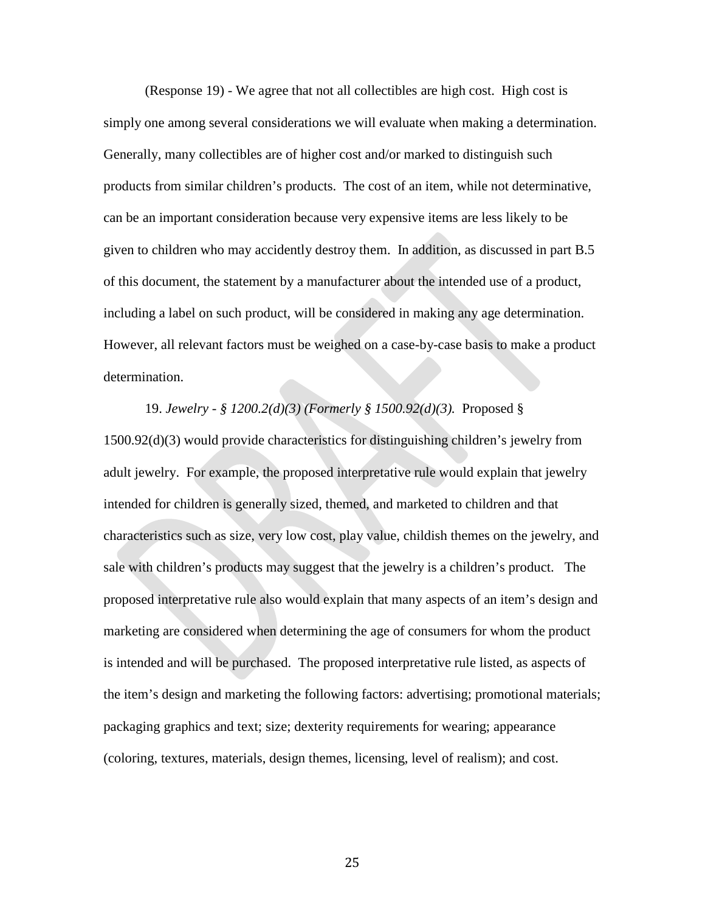(Response 19) - We agree that not all collectibles are high cost. High cost is simply one among several considerations we will evaluate when making a determination. Generally, many collectibles are of higher cost and/or marked to distinguish such products from similar children's products. The cost of an item, while not determinative, can be an important consideration because very expensive items are less likely to be given to children who may accidently destroy them. In addition, as discussed in part B.5 of this document, the statement by a manufacturer about the intended use of a product, including a label on such product, will be considered in making any age determination. However, all relevant factors must be weighed on a case-by-case basis to make a product determination.

19. *Jewelry - § 1200.2(d)(3) (Formerly § 1500.92(d)(3).* Proposed § 1500.92(d)(3) would provide characteristics for distinguishing children's jewelry from adult jewelry. For example, the proposed interpretative rule would explain that jewelry intended for children is generally sized, themed, and marketed to children and that characteristics such as size, very low cost, play value, childish themes on the jewelry, and sale with children's products may suggest that the jewelry is a children's product. The proposed interpretative rule also would explain that many aspects of an item's design and marketing are considered when determining the age of consumers for whom the product is intended and will be purchased. The proposed interpretative rule listed, as aspects of the item's design and marketing the following factors: advertising; promotional materials; packaging graphics and text; size; dexterity requirements for wearing; appearance (coloring, textures, materials, design themes, licensing, level of realism); and cost.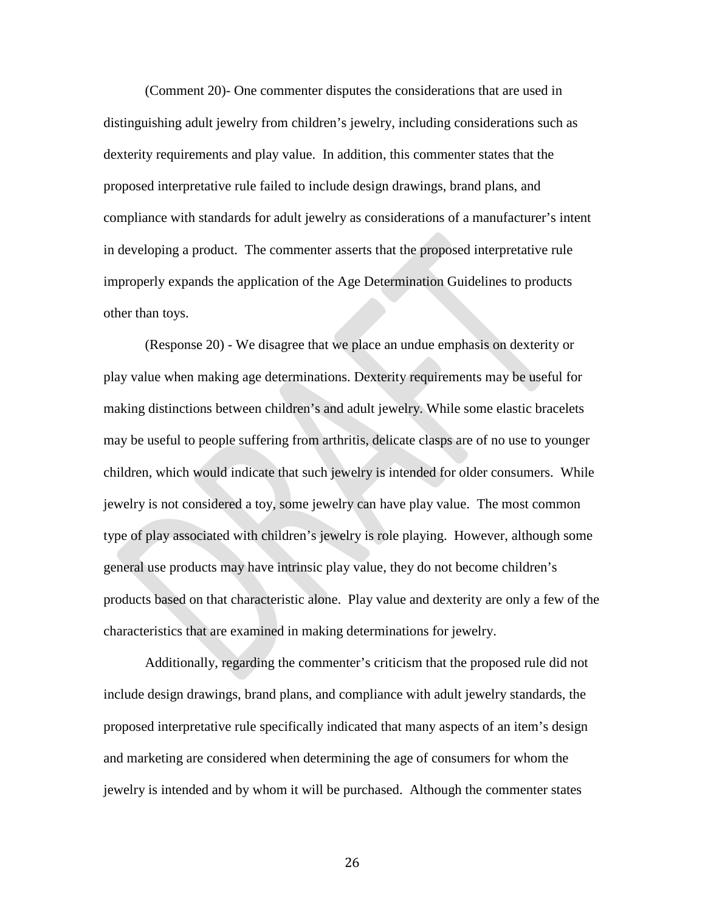(Comment 20)- One commenter disputes the considerations that are used in distinguishing adult jewelry from children's jewelry, including considerations such as dexterity requirements and play value. In addition, this commenter states that the proposed interpretative rule failed to include design drawings, brand plans, and compliance with standards for adult jewelry as considerations of a manufacturer's intent in developing a product. The commenter asserts that the proposed interpretative rule improperly expands the application of the Age Determination Guidelines to products other than toys.

(Response 20) - We disagree that we place an undue emphasis on dexterity or play value when making age determinations. Dexterity requirements may be useful for making distinctions between children's and adult jewelry. While some elastic bracelets may be useful to people suffering from arthritis, delicate clasps are of no use to younger children, which would indicate that such jewelry is intended for older consumers. While jewelry is not considered a toy, some jewelry can have play value. The most common type of play associated with children's jewelry is role playing. However, although some general use products may have intrinsic play value, they do not become children's products based on that characteristic alone. Play value and dexterity are only a few of the characteristics that are examined in making determinations for jewelry.

Additionally, regarding the commenter's criticism that the proposed rule did not include design drawings, brand plans, and compliance with adult jewelry standards, the proposed interpretative rule specifically indicated that many aspects of an item's design and marketing are considered when determining the age of consumers for whom the jewelry is intended and by whom it will be purchased. Although the commenter states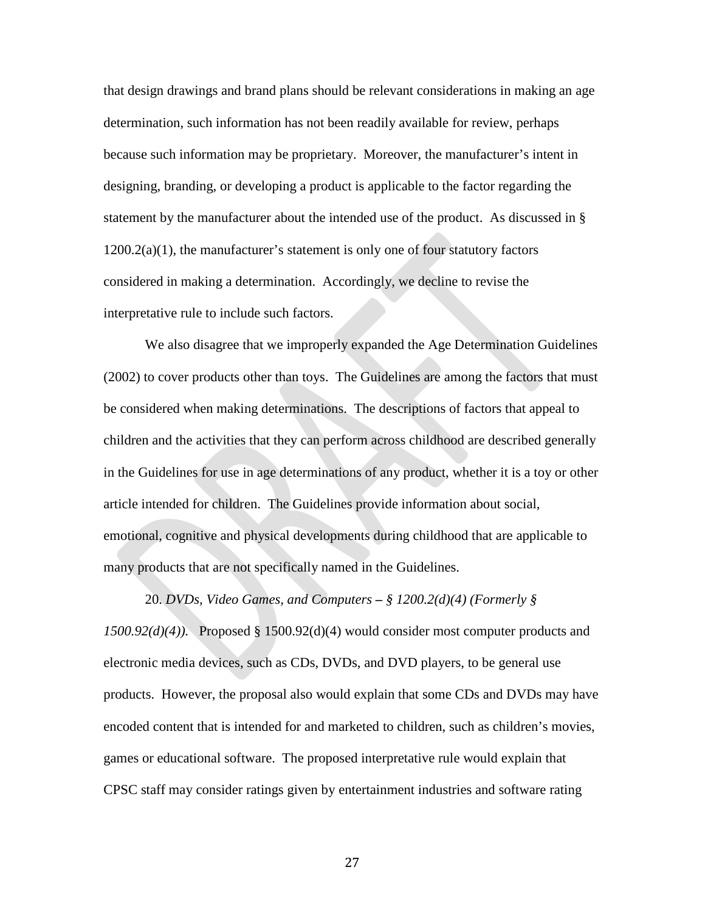that design drawings and brand plans should be relevant considerations in making an age determination, such information has not been readily available for review, perhaps because such information may be proprietary. Moreover, the manufacturer's intent in designing, branding, or developing a product is applicable to the factor regarding the statement by the manufacturer about the intended use of the product. As discussed in §  $1200.2(a)(1)$ , the manufacturer's statement is only one of four statutory factors considered in making a determination. Accordingly, we decline to revise the interpretative rule to include such factors.

We also disagree that we improperly expanded the Age Determination Guidelines (2002) to cover products other than toys. The Guidelines are among the factors that must be considered when making determinations. The descriptions of factors that appeal to children and the activities that they can perform across childhood are described generally in the Guidelines for use in age determinations of any product, whether it is a toy or other article intended for children. The Guidelines provide information about social, emotional, cognitive and physical developments during childhood that are applicable to many products that are not specifically named in the Guidelines.

20. *DVDs, Video Games, and Computers* **–** *§ 1200.2(d)(4) (Formerly § 1500.92(d)(4)).*Proposed § 1500.92(d)(4) would consider most computer products and electronic media devices, such as CDs, DVDs, and DVD players, to be general use products. However, the proposal also would explain that some CDs and DVDs may have encoded content that is intended for and marketed to children, such as children's movies, games or educational software. The proposed interpretative rule would explain that CPSC staff may consider ratings given by entertainment industries and software rating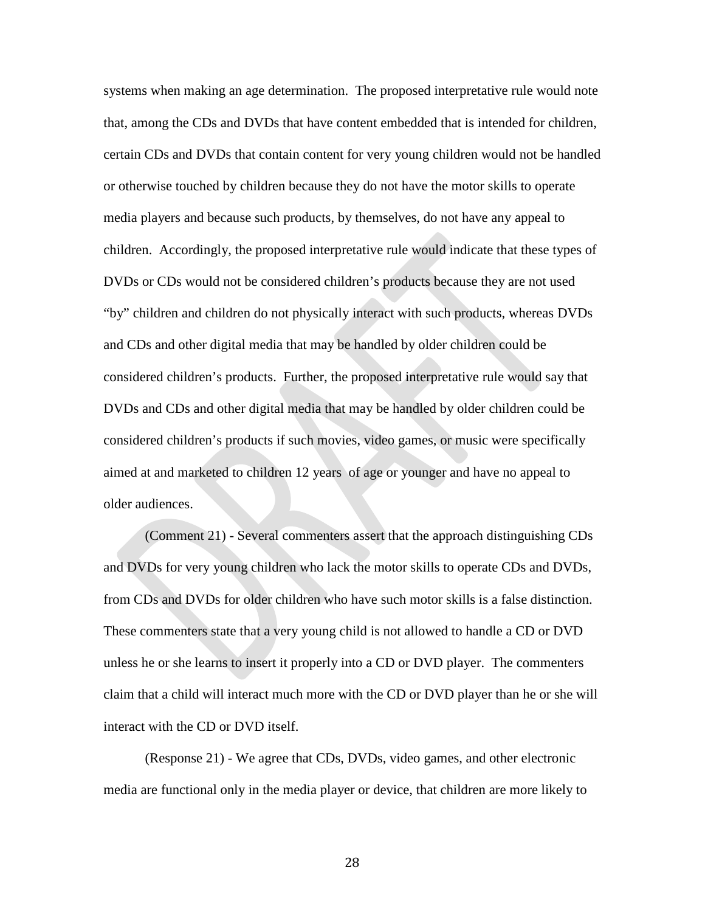systems when making an age determination. The proposed interpretative rule would note that, among the CDs and DVDs that have content embedded that is intended for children, certain CDs and DVDs that contain content for very young children would not be handled or otherwise touched by children because they do not have the motor skills to operate media players and because such products, by themselves, do not have any appeal to children. Accordingly, the proposed interpretative rule would indicate that these types of DVDs or CDs would not be considered children's products because they are not used "by" children and children do not physically interact with such products, whereas DVDs and CDs and other digital media that may be handled by older children could be considered children's products. Further, the proposed interpretative rule would say that DVDs and CDs and other digital media that may be handled by older children could be considered children's products if such movies, video games, or music were specifically aimed at and marketed to children 12 years of age or younger and have no appeal to older audiences.

(Comment 21) - Several commenters assert that the approach distinguishing CDs and DVDs for very young children who lack the motor skills to operate CDs and DVDs, from CDs and DVDs for older children who have such motor skills is a false distinction. These commenters state that a very young child is not allowed to handle a CD or DVD unless he or she learns to insert it properly into a CD or DVD player. The commenters claim that a child will interact much more with the CD or DVD player than he or she will interact with the CD or DVD itself.

(Response 21) - We agree that CDs, DVDs, video games, and other electronic media are functional only in the media player or device, that children are more likely to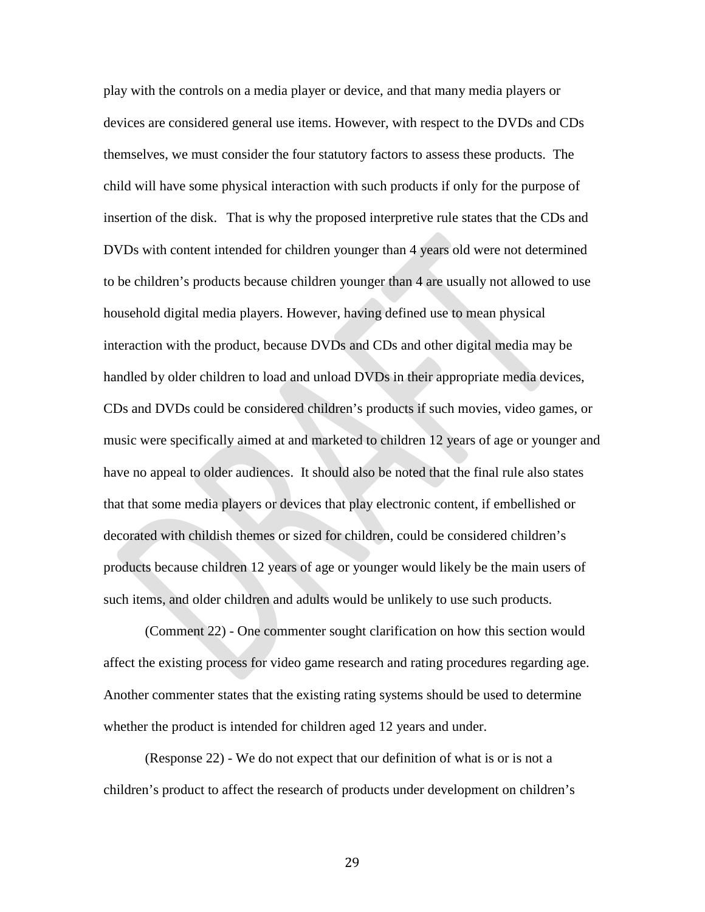play with the controls on a media player or device, and that many media players or devices are considered general use items. However, with respect to the DVDs and CDs themselves, we must consider the four statutory factors to assess these products. The child will have some physical interaction with such products if only for the purpose of insertion of the disk. That is why the proposed interpretive rule states that the CDs and DVDs with content intended for children younger than 4 years old were not determined to be children's products because children younger than 4 are usually not allowed to use household digital media players. However, having defined use to mean physical interaction with the product, because DVDs and CDs and other digital media may be handled by older children to load and unload DVDs in their appropriate media devices, CDs and DVDs could be considered children's products if such movies, video games, or music were specifically aimed at and marketed to children 12 years of age or younger and have no appeal to older audiences. It should also be noted that the final rule also states that that some media players or devices that play electronic content, if embellished or decorated with childish themes or sized for children, could be considered children's products because children 12 years of age or younger would likely be the main users of such items, and older children and adults would be unlikely to use such products.

(Comment 22) - One commenter sought clarification on how this section would affect the existing process for video game research and rating procedures regarding age. Another commenter states that the existing rating systems should be used to determine whether the product is intended for children aged 12 years and under.

(Response 22) - We do not expect that our definition of what is or is not a children's product to affect the research of products under development on children's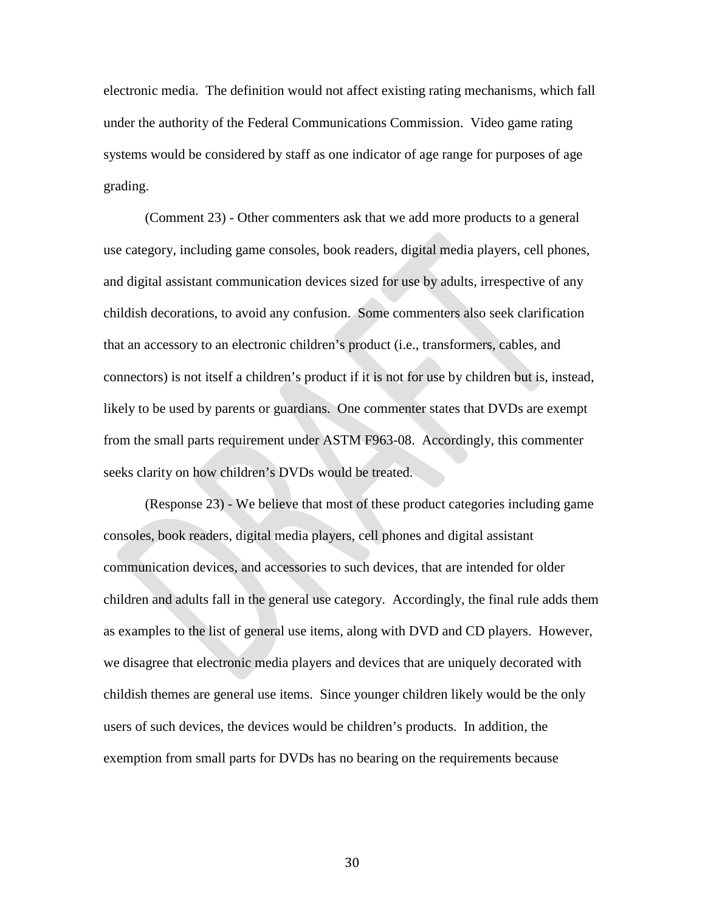electronic media. The definition would not affect existing rating mechanisms, which fall under the authority of the Federal Communications Commission. Video game rating systems would be considered by staff as one indicator of age range for purposes of age grading.

(Comment 23) - Other commenters ask that we add more products to a general use category, including game consoles, book readers, digital media players, cell phones, and digital assistant communication devices sized for use by adults, irrespective of any childish decorations, to avoid any confusion. Some commenters also seek clarification that an accessory to an electronic children's product (i.e., transformers, cables, and connectors) is not itself a children's product if it is not for use by children but is, instead, likely to be used by parents or guardians. One commenter states that DVDs are exempt from the small parts requirement under ASTM F963-08. Accordingly, this commenter seeks clarity on how children's DVDs would be treated.

(Response 23) - We believe that most of these product categories including game consoles, book readers, digital media players, cell phones and digital assistant communication devices, and accessories to such devices, that are intended for older children and adults fall in the general use category. Accordingly, the final rule adds them as examples to the list of general use items, along with DVD and CD players. However, we disagree that electronic media players and devices that are uniquely decorated with childish themes are general use items. Since younger children likely would be the only users of such devices, the devices would be children's products. In addition, the exemption from small parts for DVDs has no bearing on the requirements because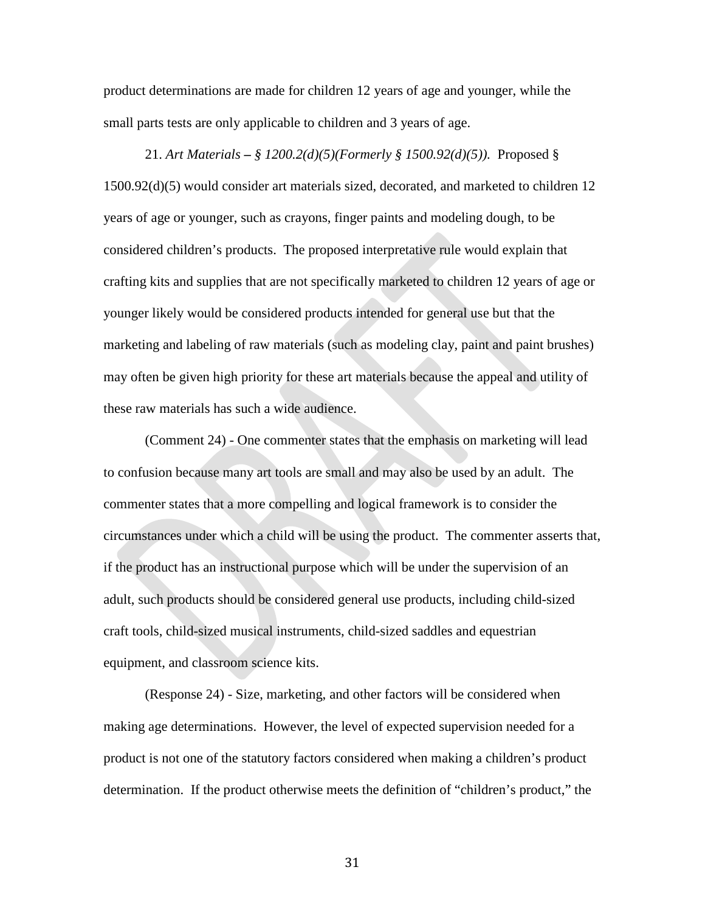product determinations are made for children 12 years of age and younger, while the small parts tests are only applicable to children and 3 years of age.

21. *Art Materials* **–** *§ 1200.2(d)(5)(Formerly § 1500.92(d)(5)).*Proposed § 1500.92(d)(5) would consider art materials sized, decorated, and marketed to children 12 years of age or younger, such as crayons, finger paints and modeling dough, to be considered children's products. The proposed interpretative rule would explain that crafting kits and supplies that are not specifically marketed to children 12 years of age or younger likely would be considered products intended for general use but that the marketing and labeling of raw materials (such as modeling clay, paint and paint brushes) may often be given high priority for these art materials because the appeal and utility of these raw materials has such a wide audience.

(Comment 24) - One commenter states that the emphasis on marketing will lead to confusion because many art tools are small and may also be used by an adult. The commenter states that a more compelling and logical framework is to consider the circumstances under which a child will be using the product. The commenter asserts that, if the product has an instructional purpose which will be under the supervision of an adult, such products should be considered general use products, including child-sized craft tools, child-sized musical instruments, child-sized saddles and equestrian equipment, and classroom science kits.

(Response 24) - Size, marketing, and other factors will be considered when making age determinations. However, the level of expected supervision needed for a product is not one of the statutory factors considered when making a children's product determination. If the product otherwise meets the definition of "children's product," the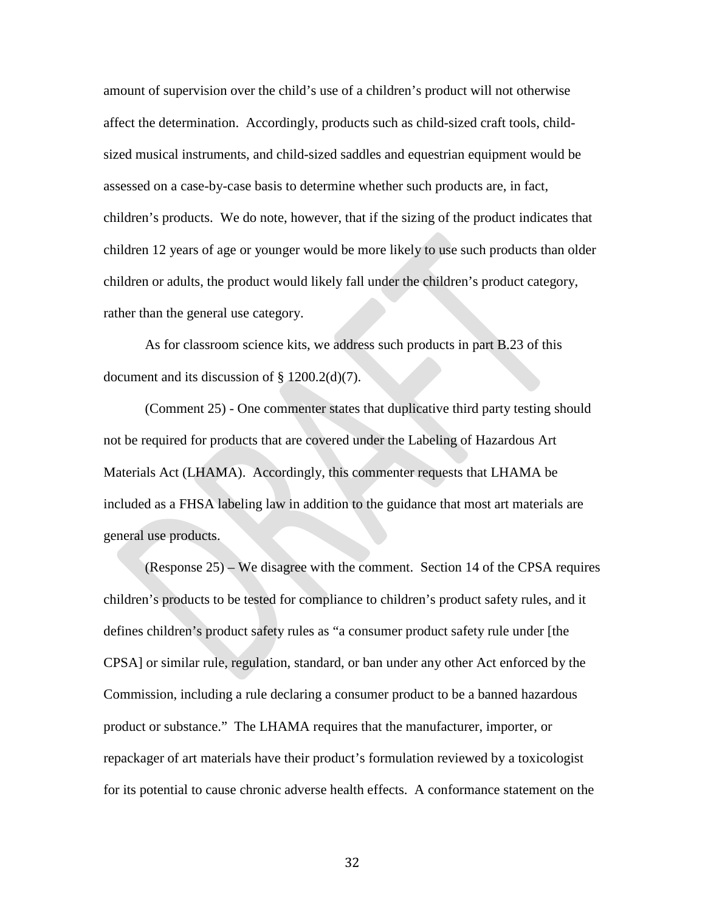amount of supervision over the child's use of a children's product will not otherwise affect the determination. Accordingly, products such as child-sized craft tools, childsized musical instruments, and child-sized saddles and equestrian equipment would be assessed on a case-by-case basis to determine whether such products are, in fact, children's products. We do note, however, that if the sizing of the product indicates that children 12 years of age or younger would be more likely to use such products than older children or adults, the product would likely fall under the children's product category, rather than the general use category.

As for classroom science kits, we address such products in part B.23 of this document and its discussion of § 1200.2(d)(7).

(Comment 25) - One commenter states that duplicative third party testing should not be required for products that are covered under the Labeling of Hazardous Art Materials Act (LHAMA). Accordingly, this commenter requests that LHAMA be included as a FHSA labeling law in addition to the guidance that most art materials are general use products.

(Response 25) – We disagree with the comment. Section 14 of the CPSA requires children's products to be tested for compliance to children's product safety rules, and it defines children's product safety rules as "a consumer product safety rule under [the CPSA] or similar rule, regulation, standard, or ban under any other Act enforced by the Commission, including a rule declaring a consumer product to be a banned hazardous product or substance." The LHAMA requires that the manufacturer, importer, or repackager of art materials have their product's formulation reviewed by a toxicologist for its potential to cause chronic adverse health effects. A conformance statement on the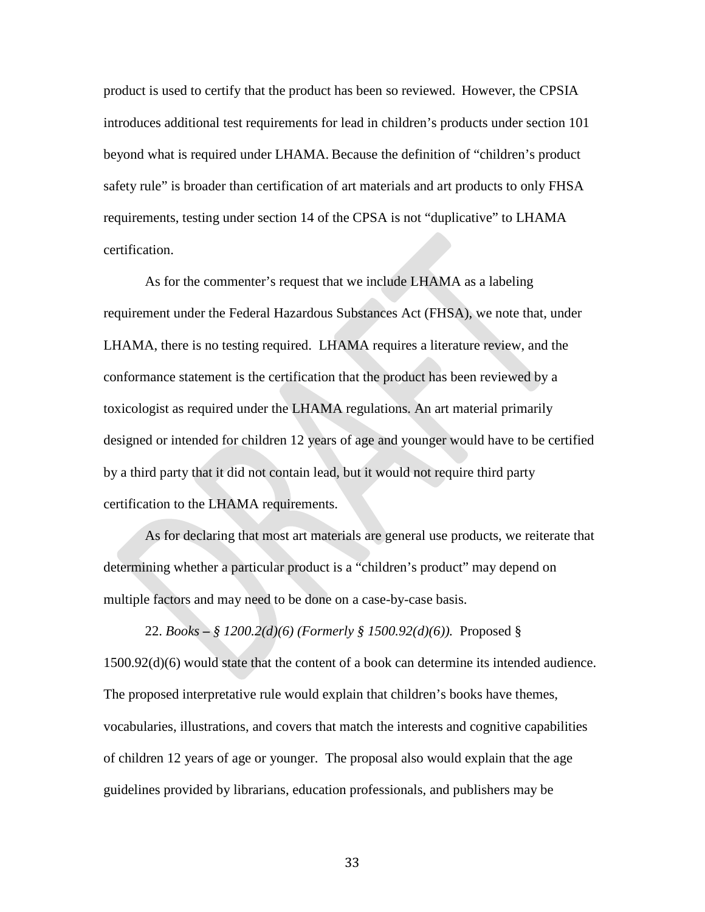product is used to certify that the product has been so reviewed. However, the CPSIA introduces additional test requirements for lead in children's products under section 101 beyond what is required under LHAMA. Because the definition of "children's product safety rule" is broader than certification of art materials and art products to only FHSA requirements, testing under section 14 of the CPSA is not "duplicative" to LHAMA certification.

As for the commenter's request that we include LHAMA as a labeling requirement under the Federal Hazardous Substances Act (FHSA), we note that, under LHAMA, there is no testing required. LHAMA requires a literature review, and the conformance statement is the certification that the product has been reviewed by a toxicologist as required under the LHAMA regulations. An art material primarily designed or intended for children 12 years of age and younger would have to be certified by a third party that it did not contain lead, but it would not require third party certification to the LHAMA requirements.

As for declaring that most art materials are general use products, we reiterate that determining whether a particular product is a "children's product" may depend on multiple factors and may need to be done on a case-by-case basis.

22. *Books* **–** *§ 1200.2(d)(6) (Formerly § 1500.92(d)(6)).*Proposed § 1500.92(d)(6) would state that the content of a book can determine its intended audience. The proposed interpretative rule would explain that children's books have themes, vocabularies, illustrations, and covers that match the interests and cognitive capabilities of children 12 years of age or younger. The proposal also would explain that the age guidelines provided by librarians, education professionals, and publishers may be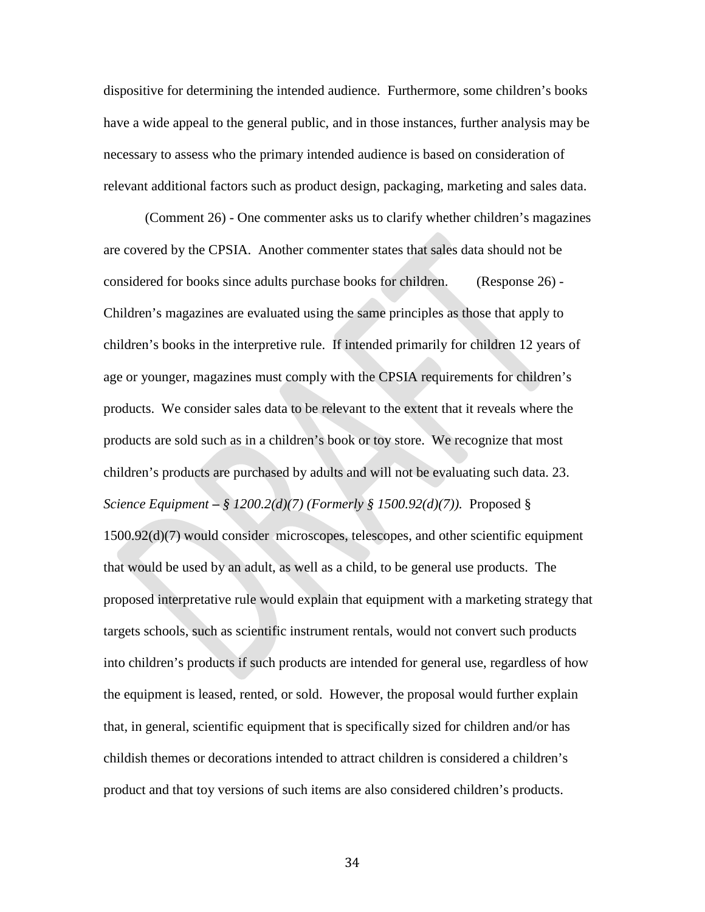dispositive for determining the intended audience. Furthermore, some children's books have a wide appeal to the general public, and in those instances, further analysis may be necessary to assess who the primary intended audience is based on consideration of relevant additional factors such as product design, packaging, marketing and sales data.

(Comment 26) - One commenter asks us to clarify whether children's magazines are covered by the CPSIA. Another commenter states that sales data should not be considered for books since adults purchase books for children. (Response 26) - Children's magazines are evaluated using the same principles as those that apply to children's books in the interpretive rule. If intended primarily for children 12 years of age or younger, magazines must comply with the CPSIA requirements for children's products. We consider sales data to be relevant to the extent that it reveals where the products are sold such as in a children's book or toy store. We recognize that most children's products are purchased by adults and will not be evaluating such data. 23. *Science Equipment* **–** *§ 1200.2(d)(7) (Formerly § 1500.92(d)(7)).* Proposed § 1500.92(d)(7) would consider microscopes, telescopes, and other scientific equipment that would be used by an adult, as well as a child, to be general use products. The proposed interpretative rule would explain that equipment with a marketing strategy that targets schools, such as scientific instrument rentals, would not convert such products into children's products if such products are intended for general use, regardless of how the equipment is leased, rented, or sold. However, the proposal would further explain that, in general, scientific equipment that is specifically sized for children and/or has childish themes or decorations intended to attract children is considered a children's product and that toy versions of such items are also considered children's products.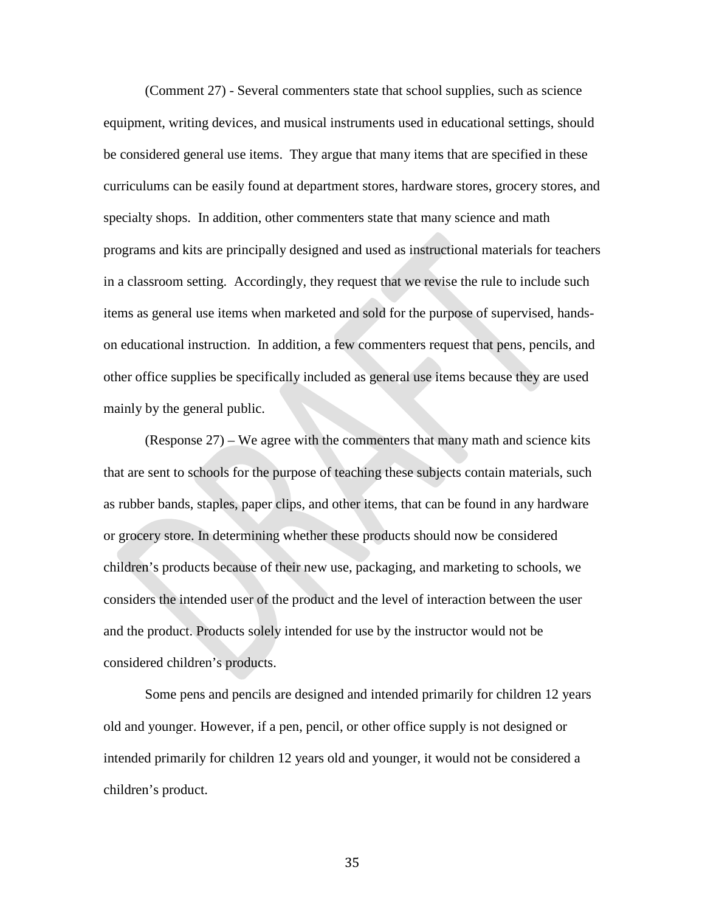(Comment 27) - Several commenters state that school supplies, such as science equipment, writing devices, and musical instruments used in educational settings, should be considered general use items. They argue that many items that are specified in these curriculums can be easily found at department stores, hardware stores, grocery stores, and specialty shops. In addition, other commenters state that many science and math programs and kits are principally designed and used as instructional materials for teachers in a classroom setting. Accordingly, they request that we revise the rule to include such items as general use items when marketed and sold for the purpose of supervised, handson educational instruction.In addition, a few commenters request that pens, pencils, and other office supplies be specifically included as general use items because they are used mainly by the general public.

(Response 27) – We agree with the commenters that many math and science kits that are sent to schools for the purpose of teaching these subjects contain materials, such as rubber bands, staples, paper clips, and other items, that can be found in any hardware or grocery store. In determining whether these products should now be considered children's products because of their new use, packaging, and marketing to schools, we considers the intended user of the product and the level of interaction between the user and the product. Products solely intended for use by the instructor would not be considered children's products.

Some pens and pencils are designed and intended primarily for children 12 years old and younger. However, if a pen, pencil, or other office supply is not designed or intended primarily for children 12 years old and younger, it would not be considered a children's product.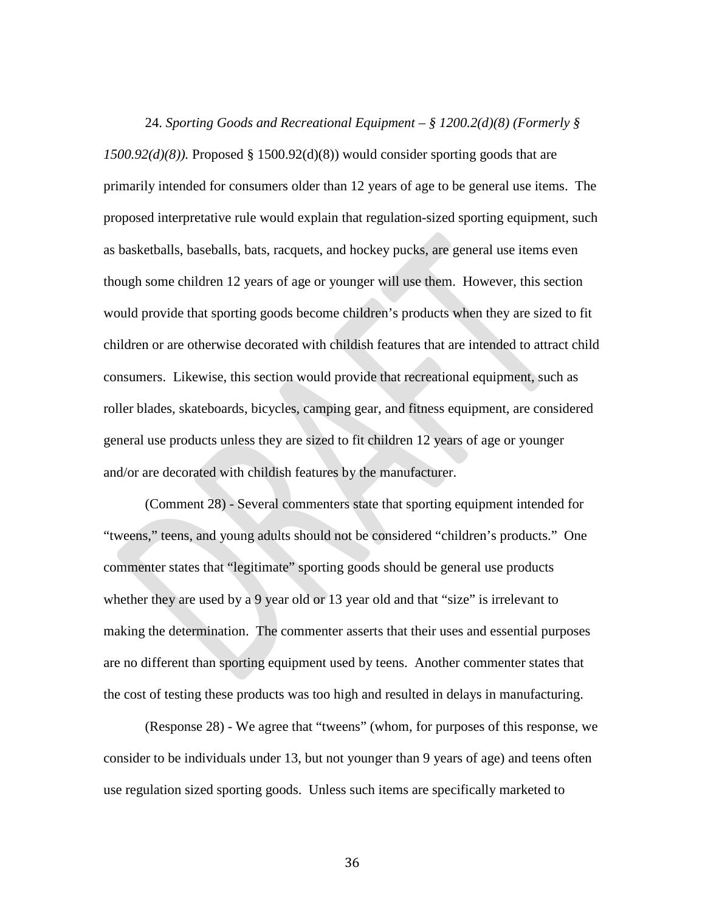24. *Sporting Goods and Recreational Equipment – § 1200.2(d)(8) (Formerly §*   $1500.92(d)(8)$ ). Proposed § 1500.92(d)(8)) would consider sporting goods that are primarily intended for consumers older than 12 years of age to be general use items. The proposed interpretative rule would explain that regulation-sized sporting equipment, such as basketballs, baseballs, bats, racquets, and hockey pucks, are general use items even though some children 12 years of age or younger will use them. However, this section would provide that sporting goods become children's products when they are sized to fit children or are otherwise decorated with childish features that are intended to attract child consumers. Likewise, this section would provide that recreational equipment, such as roller blades, skateboards, bicycles, camping gear, and fitness equipment, are considered general use products unless they are sized to fit children 12 years of age or younger and/or are decorated with childish features by the manufacturer.

(Comment 28) - Several commenters state that sporting equipment intended for "tweens," teens, and young adults should not be considered "children's products." One commenter states that "legitimate" sporting goods should be general use products whether they are used by a 9 year old or 13 year old and that "size" is irrelevant to making the determination. The commenter asserts that their uses and essential purposes are no different than sporting equipment used by teens. Another commenter states that the cost of testing these products was too high and resulted in delays in manufacturing.

(Response 28) - We agree that "tweens" (whom, for purposes of this response, we consider to be individuals under 13, but not younger than 9 years of age) and teens often use regulation sized sporting goods. Unless such items are specifically marketed to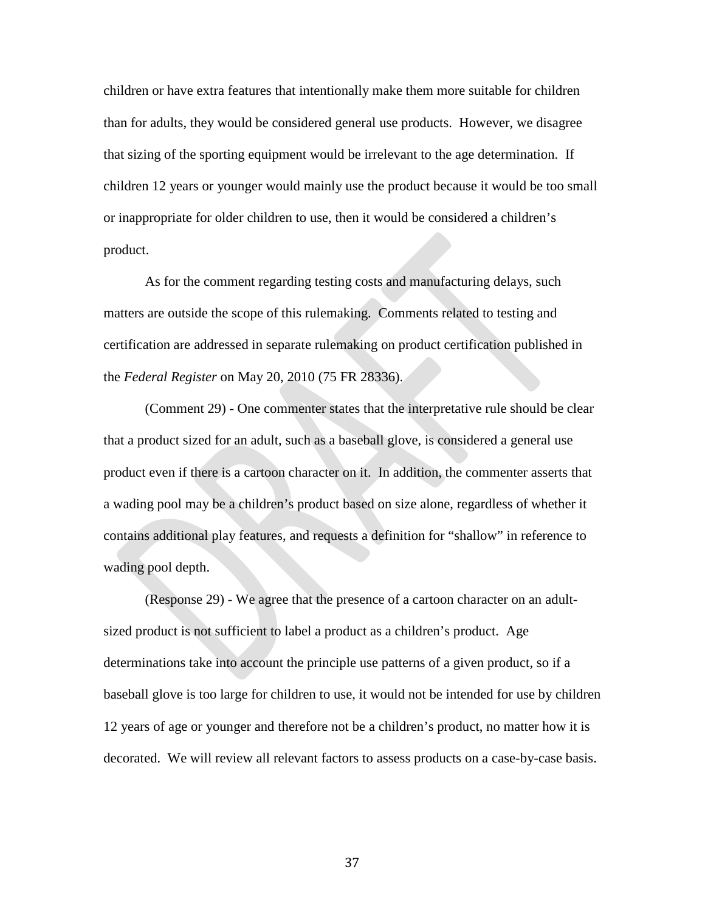children or have extra features that intentionally make them more suitable for children than for adults, they would be considered general use products. However, we disagree that sizing of the sporting equipment would be irrelevant to the age determination. If children 12 years or younger would mainly use the product because it would be too small or inappropriate for older children to use, then it would be considered a children's product.

As for the comment regarding testing costs and manufacturing delays, such matters are outside the scope of this rulemaking. Comments related to testing and certification are addressed in separate rulemaking on product certification published in the *Federal Register* on May 20, 2010 (75 FR 28336).

(Comment 29) - One commenter states that the interpretative rule should be clear that a product sized for an adult, such as a baseball glove, is considered a general use product even if there is a cartoon character on it. In addition, the commenter asserts that a wading pool may be a children's product based on size alone, regardless of whether it contains additional play features, and requests a definition for "shallow" in reference to wading pool depth.

(Response 29) - We agree that the presence of a cartoon character on an adultsized product is not sufficient to label a product as a children's product. Age determinations take into account the principle use patterns of a given product, so if a baseball glove is too large for children to use, it would not be intended for use by children 12 years of age or younger and therefore not be a children's product, no matter how it is decorated. We will review all relevant factors to assess products on a case-by-case basis.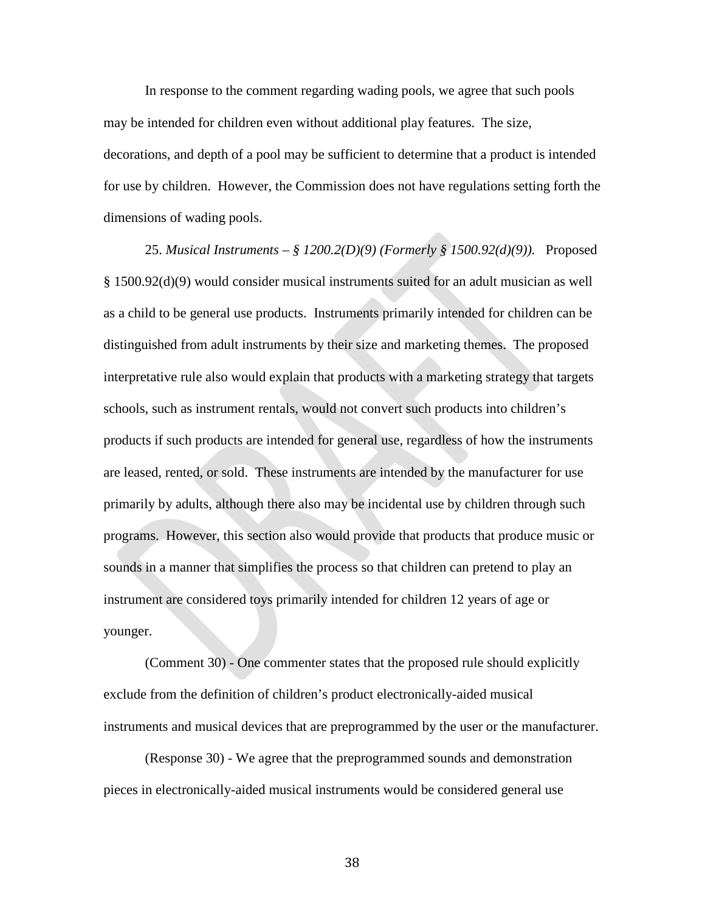In response to the comment regarding wading pools, we agree that such pools may be intended for children even without additional play features. The size, decorations, and depth of a pool may be sufficient to determine that a product is intended for use by children. However, the Commission does not have regulations setting forth the dimensions of wading pools.

25. *Musical Instruments – § 1200.2(D)(9) (Formerly § 1500.92(d)(9)).* Proposed § 1500.92(d)(9) would consider musical instruments suited for an adult musician as well as a child to be general use products. Instruments primarily intended for children can be distinguished from adult instruments by their size and marketing themes. The proposed interpretative rule also would explain that products with a marketing strategy that targets schools, such as instrument rentals, would not convert such products into children's products if such products are intended for general use, regardless of how the instruments are leased, rented, or sold. These instruments are intended by the manufacturer for use primarily by adults, although there also may be incidental use by children through such programs. However, this section also would provide that products that produce music or sounds in a manner that simplifies the process so that children can pretend to play an instrument are considered toys primarily intended for children 12 years of age or younger.

(Comment 30) - One commenter states that the proposed rule should explicitly exclude from the definition of children's product electronically-aided musical instruments and musical devices that are preprogrammed by the user or the manufacturer.

(Response 30) - We agree that the preprogrammed sounds and demonstration pieces in electronically-aided musical instruments would be considered general use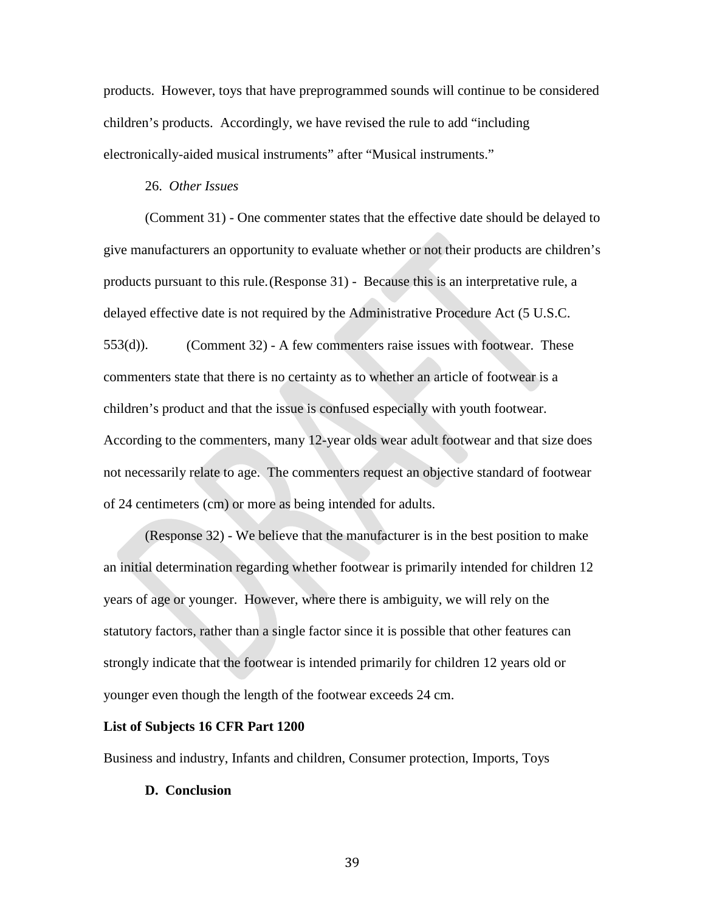products. However, toys that have preprogrammed sounds will continue to be considered children's products. Accordingly, we have revised the rule to add "including electronically-aided musical instruments" after "Musical instruments."

#### 26. *Other Issues*

(Comment 31) - One commenter states that the effective date should be delayed to give manufacturers an opportunity to evaluate whether or not their products are children's products pursuant to this rule.(Response 31) - Because this is an interpretative rule, a delayed effective date is not required by the Administrative Procedure Act (5 U.S.C. 553(d)). (Comment 32) - A few commenters raise issues with footwear. These commenters state that there is no certainty as to whether an article of footwear is a children's product and that the issue is confused especially with youth footwear. According to the commenters, many 12-year olds wear adult footwear and that size does not necessarily relate to age. The commenters request an objective standard of footwear of 24 centimeters (cm) or more as being intended for adults.

(Response 32) - We believe that the manufacturer is in the best position to make an initial determination regarding whether footwear is primarily intended for children 12 years of age or younger. However, where there is ambiguity, we will rely on the statutory factors, rather than a single factor since it is possible that other features can strongly indicate that the footwear is intended primarily for children 12 years old or younger even though the length of the footwear exceeds 24 cm.

#### **List of Subjects 16 CFR Part 1200**

Business and industry, Infants and children, Consumer protection, Imports, Toys

#### **D. Conclusion**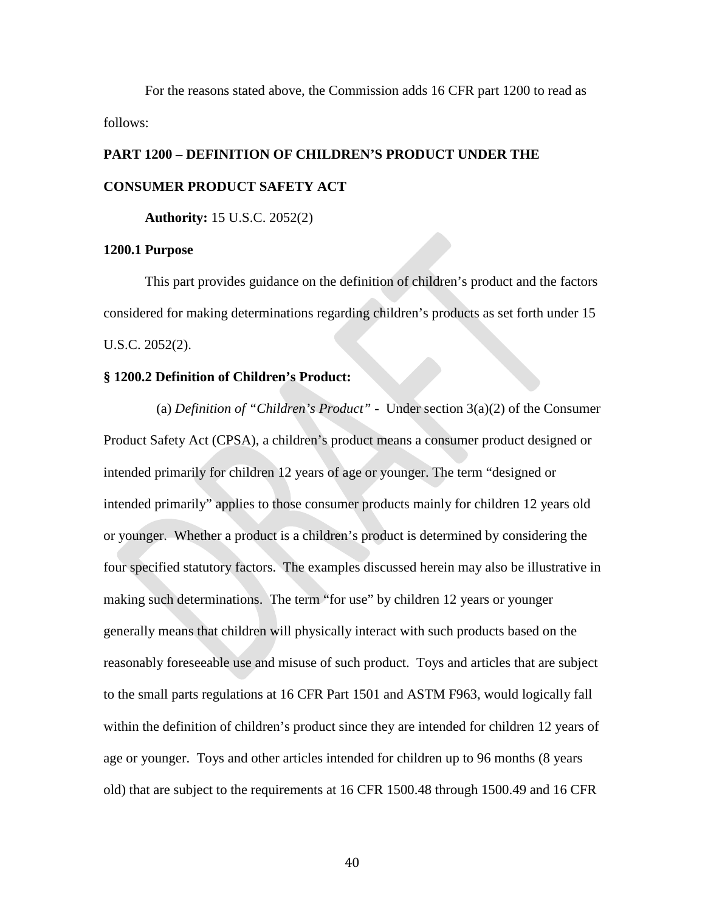For the reasons stated above, the Commission adds 16 CFR part 1200 to read as follows:

# **PART 1200 – DEFINITION OF CHILDREN'S PRODUCT UNDER THE CONSUMER PRODUCT SAFETY ACT**

**Authority:** 15 U.S.C. 2052(2)

#### **1200.1 Purpose**

This part provides guidance on the definition of children's product and the factors considered for making determinations regarding children's products as set forth under 15 U.S.C. 2052(2).

#### **§ 1200.2 Definition of Children's Product:**

(a) *Definition of "Children's Product"* - Under section 3(a)(2) of the Consumer Product Safety Act (CPSA), a children's product means a consumer product designed or intended primarily for children 12 years of age or younger. The term "designed or intended primarily" applies to those consumer products mainly for children 12 years old or younger. Whether a product is a children's product is determined by considering the four specified statutory factors. The examples discussed herein may also be illustrative in making such determinations. The term "for use" by children 12 years or younger generally means that children will physically interact with such products based on the reasonably foreseeable use and misuse of such product. Toys and articles that are subject to the small parts regulations at 16 CFR Part 1501 and ASTM F963, would logically fall within the definition of children's product since they are intended for children 12 years of age or younger. Toys and other articles intended for children up to 96 months (8 years old) that are subject to the requirements at 16 CFR 1500.48 through 1500.49 and 16 CFR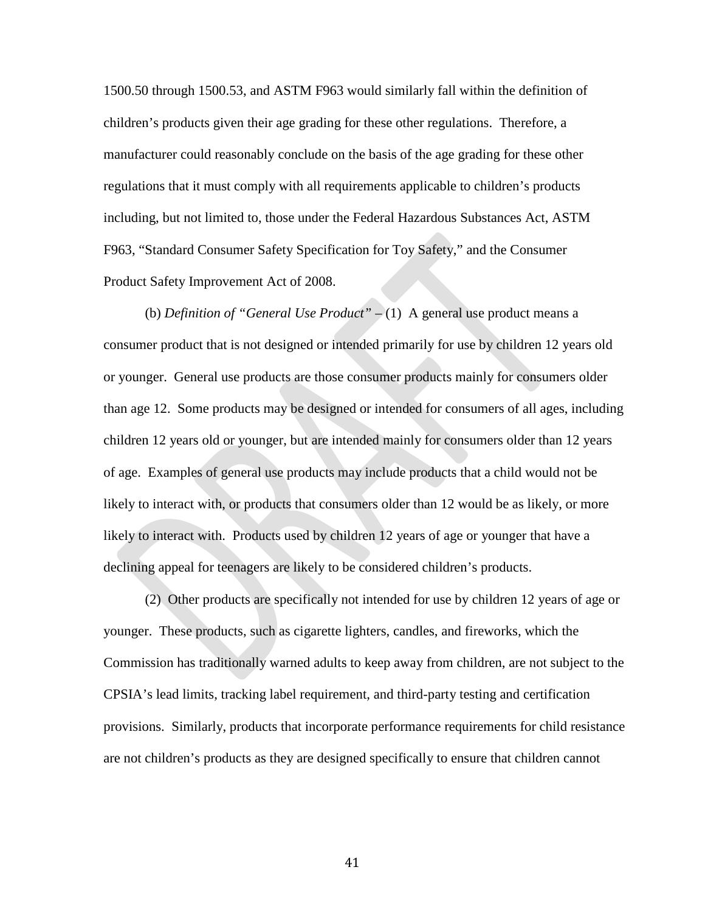1500.50 through 1500.53, and ASTM F963 would similarly fall within the definition of children's products given their age grading for these other regulations. Therefore, a manufacturer could reasonably conclude on the basis of the age grading for these other regulations that it must comply with all requirements applicable to children's products including, but not limited to, those under the Federal Hazardous Substances Act, ASTM F963, "Standard Consumer Safety Specification for Toy Safety," and the Consumer Product Safety Improvement Act of 2008.

(b) *Definition of "General Use Product" –* (1) A general use product means a consumer product that is not designed or intended primarily for use by children 12 years old or younger. General use products are those consumer products mainly for consumers older than age 12. Some products may be designed or intended for consumers of all ages, including children 12 years old or younger, but are intended mainly for consumers older than 12 years of age. Examples of general use products may include products that a child would not be likely to interact with, or products that consumers older than 12 would be as likely, or more likely to interact with. Products used by children 12 years of age or younger that have a declining appeal for teenagers are likely to be considered children's products.

(2) Other products are specifically not intended for use by children 12 years of age or younger. These products, such as cigarette lighters, candles, and fireworks, which the Commission has traditionally warned adults to keep away from children, are not subject to the CPSIA's lead limits, tracking label requirement, and third-party testing and certification provisions. Similarly, products that incorporate performance requirements for child resistance are not children's products as they are designed specifically to ensure that children cannot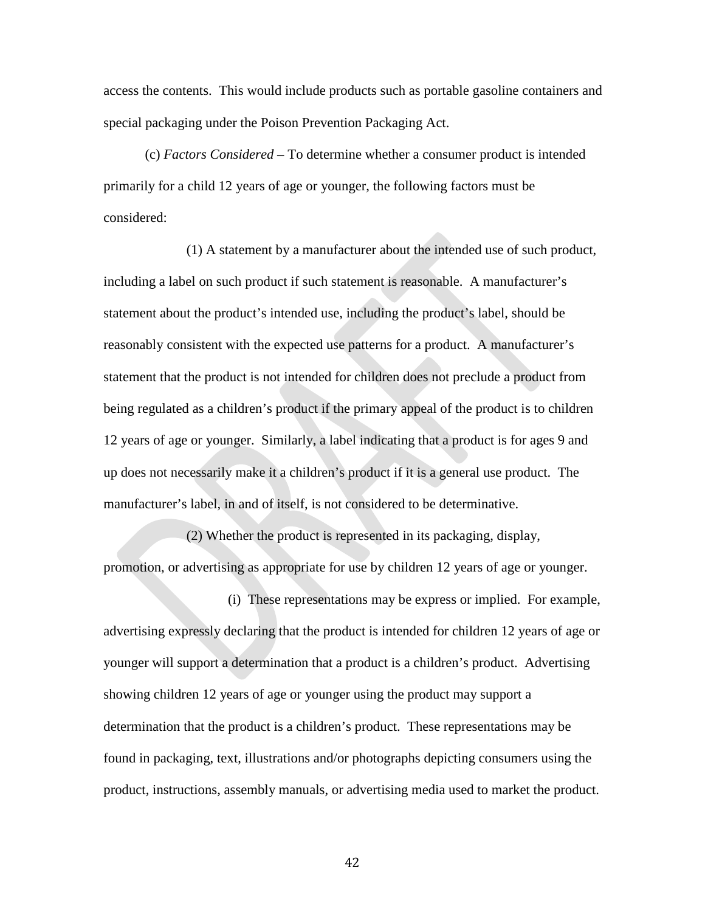access the contents. This would include products such as portable gasoline containers and special packaging under the Poison Prevention Packaging Act.

(c) *Factors Considered –* To determine whether a consumer product is intended primarily for a child 12 years of age or younger, the following factors must be considered:

(1) A statement by a manufacturer about the intended use of such product, including a label on such product if such statement is reasonable. A manufacturer's statement about the product's intended use, including the product's label, should be reasonably consistent with the expected use patterns for a product. A manufacturer's statement that the product is not intended for children does not preclude a product from being regulated as a children's product if the primary appeal of the product is to children 12 years of age or younger. Similarly, a label indicating that a product is for ages 9 and up does not necessarily make it a children's product if it is a general use product. The manufacturer's label, in and of itself, is not considered to be determinative.

(2) Whether the product is represented in its packaging, display, promotion, or advertising as appropriate for use by children 12 years of age or younger.

(i) These representations may be express or implied. For example, advertising expressly declaring that the product is intended for children 12 years of age or younger will support a determination that a product is a children's product. Advertising showing children 12 years of age or younger using the product may support a determination that the product is a children's product. These representations may be found in packaging, text, illustrations and/or photographs depicting consumers using the product, instructions, assembly manuals, or advertising media used to market the product.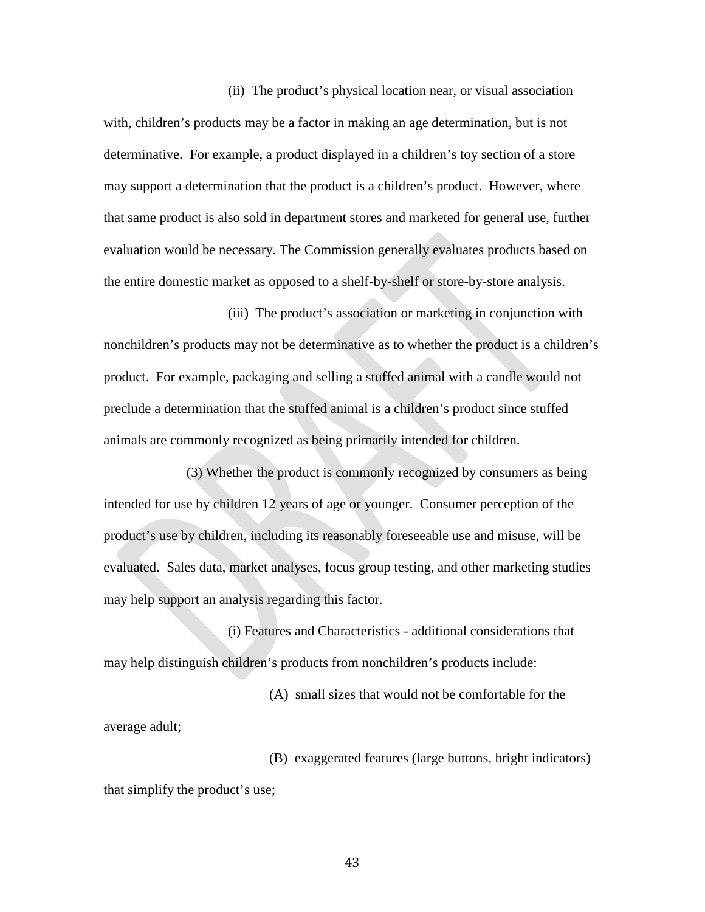(ii) The product's physical location near, or visual association with, children's products may be a factor in making an age determination, but is not determinative. For example, a product displayed in a children's toy section of a store may support a determination that the product is a children's product. However, where that same product is also sold in department stores and marketed for general use, further evaluation would be necessary. The Commission generally evaluates products based on the entire domestic market as opposed to a shelf-by-shelf or store-by-store analysis.

(iii) The product's association or marketing in conjunction with nonchildren's products may not be determinative as to whether the product is a children's product. For example, packaging and selling a stuffed animal with a candle would not preclude a determination that the stuffed animal is a children's product since stuffed animals are commonly recognized as being primarily intended for children.

(3) Whether the product is commonly recognized by consumers as being intended for use by children 12 years of age or younger. Consumer perception of the product's use by children, including its reasonably foreseeable use and misuse, will be evaluated. Sales data, market analyses, focus group testing, and other marketing studies may help support an analysis regarding this factor.

(i) Features and Characteristics - additional considerations that may help distinguish children's products from nonchildren's products include:

(A) small sizes that would not be comfortable for the average adult;

(B) exaggerated features (large buttons, bright indicators) that simplify the product's use;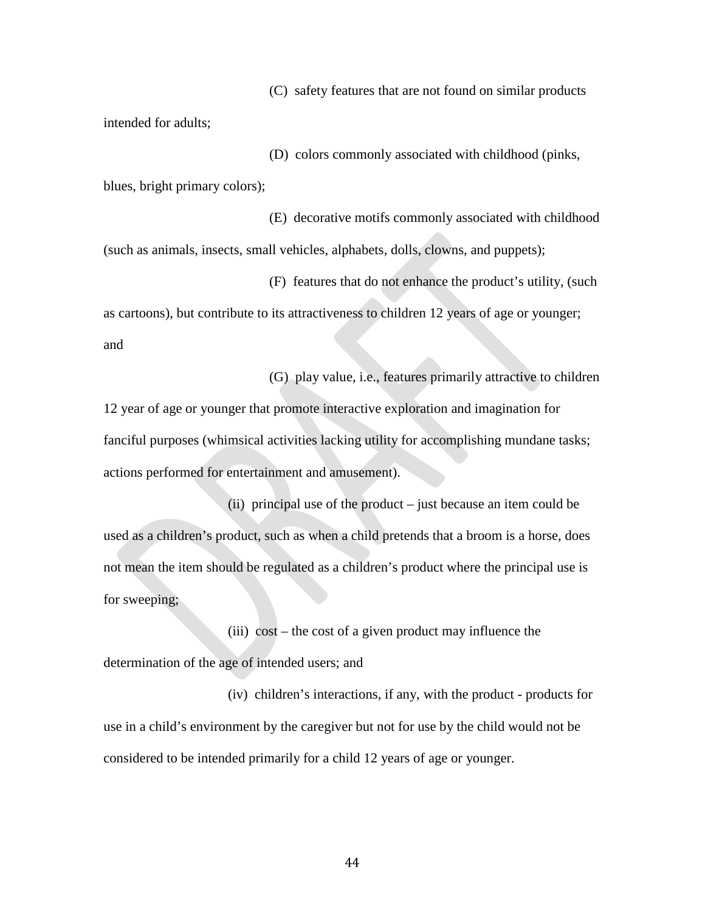(C) safety features that are not found on similar products

intended for adults;

(D) colors commonly associated with childhood (pinks,

blues, bright primary colors);

(E) decorative motifs commonly associated with childhood (such as animals, insects, small vehicles, alphabets, dolls, clowns, and puppets);

(F) features that do not enhance the product's utility, (such as cartoons), but contribute to its attractiveness to children 12 years of age or younger; and

(G) play value, i.e., features primarily attractive to children 12 year of age or younger that promote interactive exploration and imagination for fanciful purposes (whimsical activities lacking utility for accomplishing mundane tasks; actions performed for entertainment and amusement).

(ii) principal use of the product – just because an item could be used as a children's product, such as when a child pretends that a broom is a horse, does not mean the item should be regulated as a children's product where the principal use is for sweeping;

(iii) cost – the cost of a given product may influence the determination of the age of intended users; and

(iv) children's interactions, if any, with the product - products for use in a child's environment by the caregiver but not for use by the child would not be considered to be intended primarily for a child 12 years of age or younger.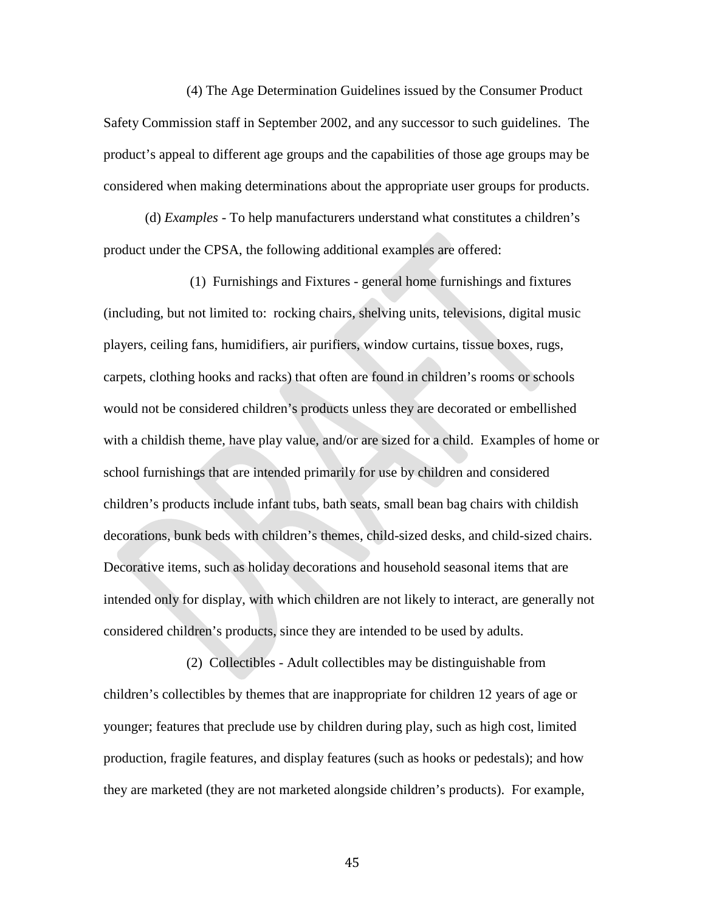(4) The Age Determination Guidelines issued by the Consumer Product Safety Commission staff in September 2002, and any successor to such guidelines. The product's appeal to different age groups and the capabilities of those age groups may be considered when making determinations about the appropriate user groups for products.

(d) *Examples -* To help manufacturers understand what constitutes a children's product under the CPSA, the following additional examples are offered:

(1) Furnishings and Fixtures - general home furnishings and fixtures (including, but not limited to: rocking chairs, shelving units, televisions, digital music players, ceiling fans, humidifiers, air purifiers, window curtains, tissue boxes, rugs, carpets, clothing hooks and racks) that often are found in children's rooms or schools would not be considered children's products unless they are decorated or embellished with a childish theme, have play value, and/or are sized for a child. Examples of home or school furnishings that are intended primarily for use by children and considered children's products include infant tubs, bath seats, small bean bag chairs with childish decorations, bunk beds with children's themes, child-sized desks, and child-sized chairs. Decorative items, such as holiday decorations and household seasonal items that are intended only for display, with which children are not likely to interact, are generally not considered children's products, since they are intended to be used by adults.

(2) Collectibles - Adult collectibles may be distinguishable from children's collectibles by themes that are inappropriate for children 12 years of age or younger; features that preclude use by children during play, such as high cost, limited production, fragile features, and display features (such as hooks or pedestals); and how they are marketed (they are not marketed alongside children's products). For example,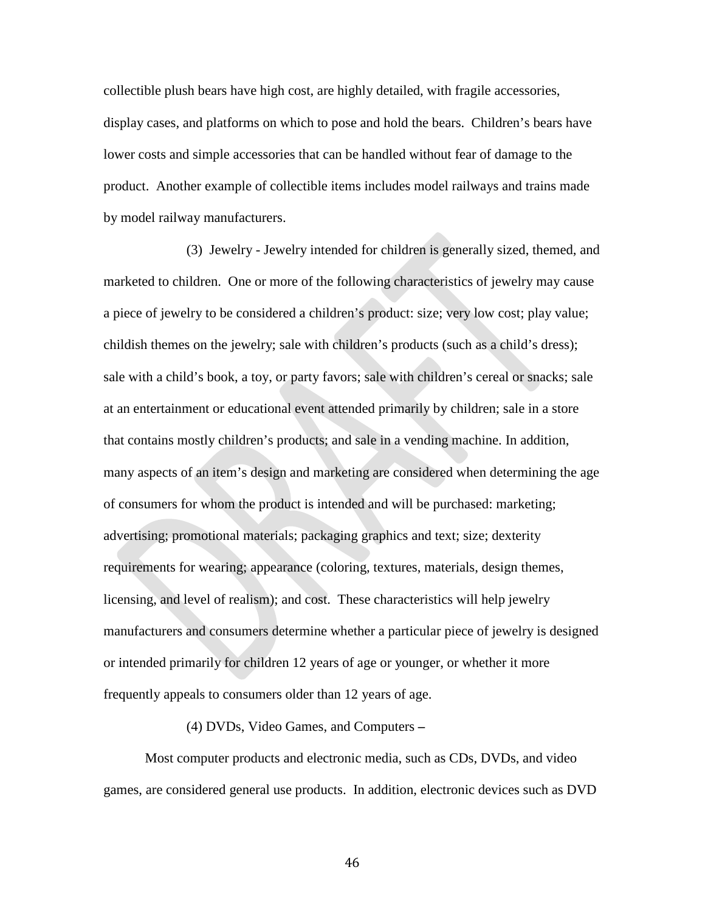collectible plush bears have high cost, are highly detailed, with fragile accessories, display cases, and platforms on which to pose and hold the bears. Children's bears have lower costs and simple accessories that can be handled without fear of damage to the product. Another example of collectible items includes model railways and trains made by model railway manufacturers.

(3) Jewelry - Jewelry intended for children is generally sized, themed, and marketed to children. One or more of the following characteristics of jewelry may cause a piece of jewelry to be considered a children's product: size; very low cost; play value; childish themes on the jewelry; sale with children's products (such as a child's dress); sale with a child's book, a toy, or party favors; sale with children's cereal or snacks; sale at an entertainment or educational event attended primarily by children; sale in a store that contains mostly children's products; and sale in a vending machine. In addition, many aspects of an item's design and marketing are considered when determining the age of consumers for whom the product is intended and will be purchased: marketing; advertising; promotional materials; packaging graphics and text; size; dexterity requirements for wearing; appearance (coloring, textures, materials, design themes, licensing, and level of realism); and cost. These characteristics will help jewelry manufacturers and consumers determine whether a particular piece of jewelry is designed or intended primarily for children 12 years of age or younger, or whether it more frequently appeals to consumers older than 12 years of age.

#### (4) DVDs, Video Games, and Computers **–**

Most computer products and electronic media, such as CDs, DVDs, and video games, are considered general use products. In addition, electronic devices such as DVD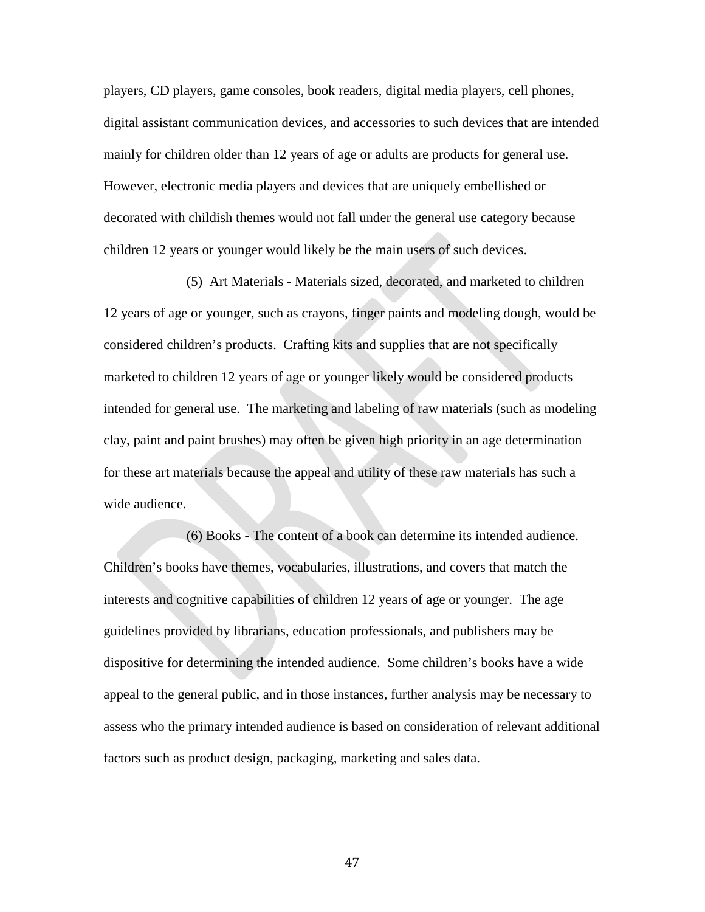players, CD players, game consoles, book readers, digital media players, cell phones, digital assistant communication devices, and accessories to such devices that are intended mainly for children older than 12 years of age or adults are products for general use. However, electronic media players and devices that are uniquely embellished or decorated with childish themes would not fall under the general use category because children 12 years or younger would likely be the main users of such devices.

(5) Art Materials - Materials sized, decorated, and marketed to children 12 years of age or younger, such as crayons, finger paints and modeling dough, would be considered children's products. Crafting kits and supplies that are not specifically marketed to children 12 years of age or younger likely would be considered products intended for general use. The marketing and labeling of raw materials (such as modeling clay, paint and paint brushes) may often be given high priority in an age determination for these art materials because the appeal and utility of these raw materials has such a wide audience.

(6) Books - The content of a book can determine its intended audience. Children's books have themes, vocabularies, illustrations, and covers that match the interests and cognitive capabilities of children 12 years of age or younger. The age guidelines provided by librarians, education professionals, and publishers may be dispositive for determining the intended audience. Some children's books have a wide appeal to the general public, and in those instances, further analysis may be necessary to assess who the primary intended audience is based on consideration of relevant additional factors such as product design, packaging, marketing and sales data.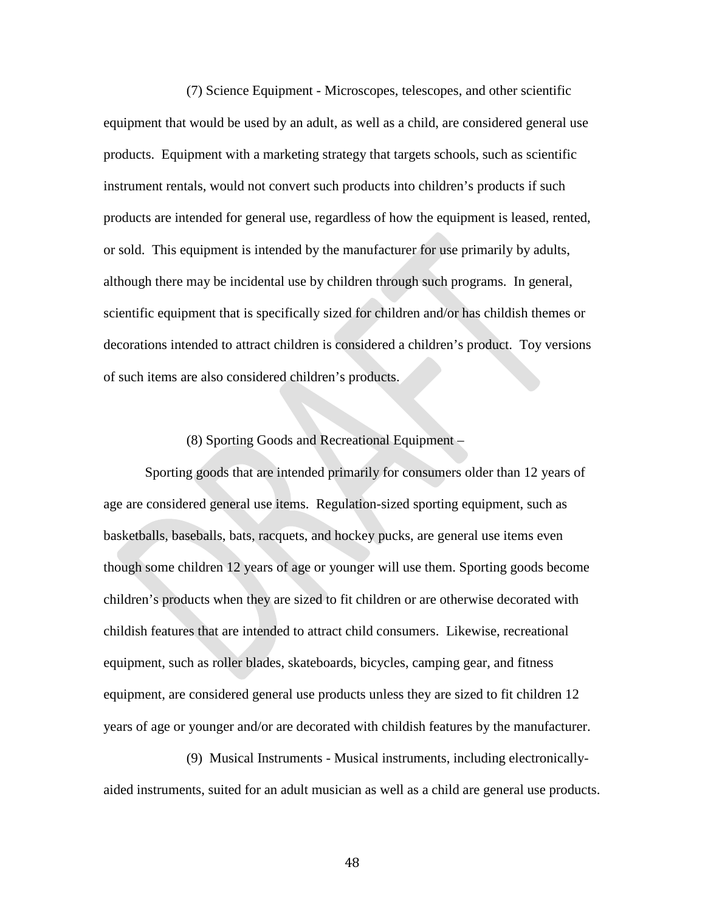(7) Science Equipment - Microscopes, telescopes, and other scientific equipment that would be used by an adult, as well as a child, are considered general use products. Equipment with a marketing strategy that targets schools, such as scientific instrument rentals, would not convert such products into children's products if such products are intended for general use, regardless of how the equipment is leased, rented, or sold. This equipment is intended by the manufacturer for use primarily by adults, although there may be incidental use by children through such programs. In general, scientific equipment that is specifically sized for children and/or has childish themes or decorations intended to attract children is considered a children's product. Toy versions of such items are also considered children's products.

#### (8) Sporting Goods and Recreational Equipment –

Sporting goods that are intended primarily for consumers older than 12 years of age are considered general use items. Regulation-sized sporting equipment, such as basketballs, baseballs, bats, racquets, and hockey pucks, are general use items even though some children 12 years of age or younger will use them. Sporting goods become children's products when they are sized to fit children or are otherwise decorated with childish features that are intended to attract child consumers. Likewise, recreational equipment, such as roller blades, skateboards, bicycles, camping gear, and fitness equipment, are considered general use products unless they are sized to fit children 12 years of age or younger and/or are decorated with childish features by the manufacturer.

(9) Musical Instruments - Musical instruments, including electronicallyaided instruments, suited for an adult musician as well as a child are general use products.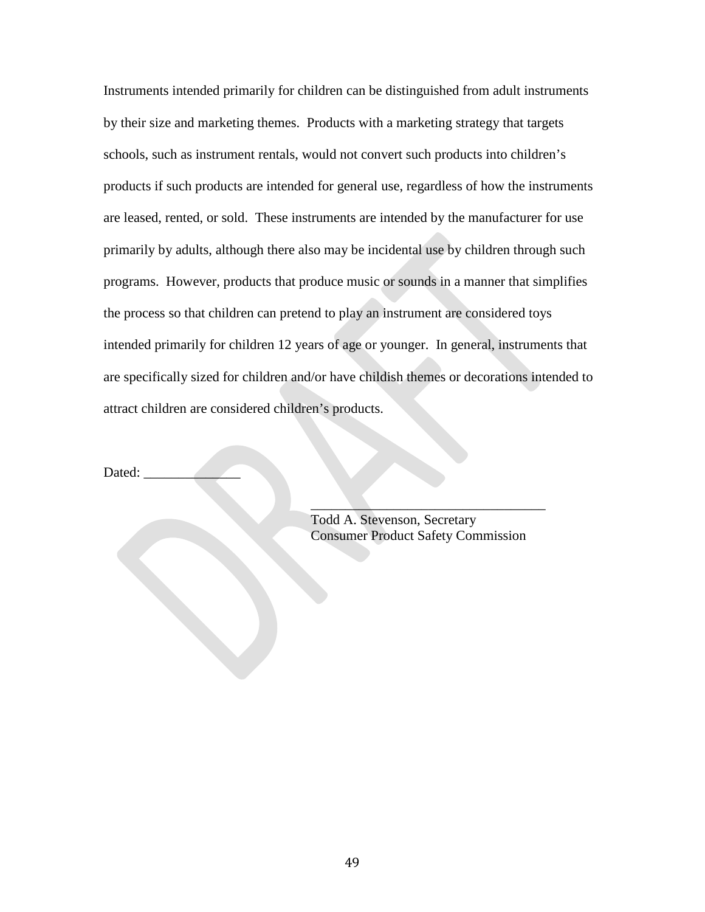Instruments intended primarily for children can be distinguished from adult instruments by their size and marketing themes. Products with a marketing strategy that targets schools, such as instrument rentals, would not convert such products into children's products if such products are intended for general use, regardless of how the instruments are leased, rented, or sold. These instruments are intended by the manufacturer for use primarily by adults, although there also may be incidental use by children through such programs. However, products that produce music or sounds in a manner that simplifies the process so that children can pretend to play an instrument are considered toys intended primarily for children 12 years of age or younger. In general, instruments that are specifically sized for children and/or have childish themes or decorations intended to attract children are considered children's products.

Dated:

Todd A. Stevenson, Secretary Consumer Product Safety Commission

 $\mathcal{L}=\mathcal{L}=\mathcal{L}=\mathcal{L}=\mathcal{L}=\mathcal{L}=\mathcal{L}=\mathcal{L}=\mathcal{L}=\mathcal{L}=\mathcal{L}=\mathcal{L}=\mathcal{L}=\mathcal{L}=\mathcal{L}=\mathcal{L}=\mathcal{L}=\mathcal{L}=\mathcal{L}=\mathcal{L}=\mathcal{L}=\mathcal{L}=\mathcal{L}=\mathcal{L}=\mathcal{L}=\mathcal{L}=\mathcal{L}=\mathcal{L}=\mathcal{L}=\mathcal{L}=\mathcal{L}=\mathcal{L}=\mathcal{L}=\mathcal{L}=\mathcal{L}=\mathcal{L}=\mathcal{$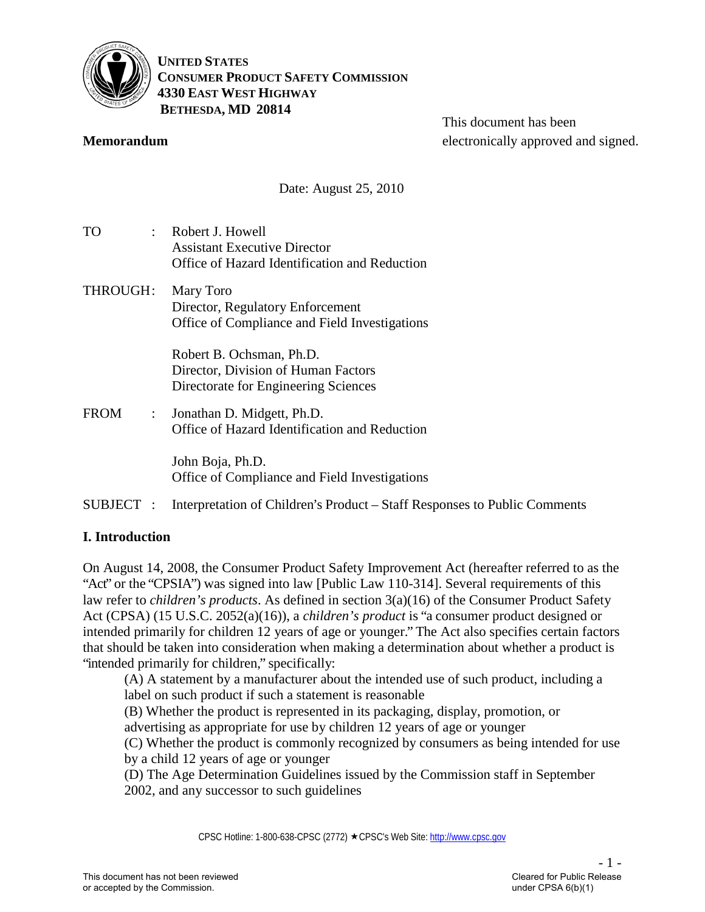

**UNITED STATES CONSUMER PRODUCT SAFETY COMMISSION 4330 EAST WEST HIGHWAY BETHESDA, MD 20814** 

#### **Memorandum**

This document has been electronically approved and signed.

Date: August 25, 2010

| TO<br>÷.                          | Robert J. Howell<br><b>Assistant Executive Director</b><br>Office of Hazard Identification and Reduction |
|-----------------------------------|----------------------------------------------------------------------------------------------------------|
| THROUGH:                          | Mary Toro<br>Director, Regulatory Enforcement<br>Office of Compliance and Field Investigations           |
|                                   | Robert B. Ochsman, Ph.D.<br>Director, Division of Human Factors<br>Directorate for Engineering Sciences  |
| FROM<br>$\mathbb{R}^{\mathbb{Z}}$ | Jonathan D. Midgett, Ph.D.<br>Office of Hazard Identification and Reduction                              |
|                                   | John Boja, Ph.D.<br>Office of Compliance and Field Investigations                                        |

# SUBJECT : Interpretation of Children's Product – Staff Responses to Public Comments

# **I. Introduction**

On August 14, 2008, the Consumer Product Safety Improvement Act (hereafter referred to as the "Act" or the "CPSIA") was signed into law [Public Law 110-314]. Several requirements of this law refer to *children's products*. As defined in section 3(a)(16) of the Consumer Product Safety Act (CPSA) (15 U.S.C. 2052(a)(16)), a *children's product* is "a consumer product designed or intended primarily for children 12 years of age or younger." The Act also specifies certain factors that should be taken into consideration when making a determination about whether a product is "intended primarily for children," specifically:

(A) A statement by a manufacturer about the intended use of such product, including a label on such product if such a statement is reasonable

(B) Whether the product is represented in its packaging, display, promotion, or advertising as appropriate for use by children 12 years of age or younger

(C) Whether the product is commonly recognized by consumers as being intended for use by a child 12 years of age or younger

(D) The Age Determination Guidelines issued by the Commission staff in September 2002, and any successor to such guidelines

CPSC Hotline: 1-800-638-CPSC (2772) ★CPSC's Web Site: [http://www.cpsc.gov](http://www.cpsc.gov/)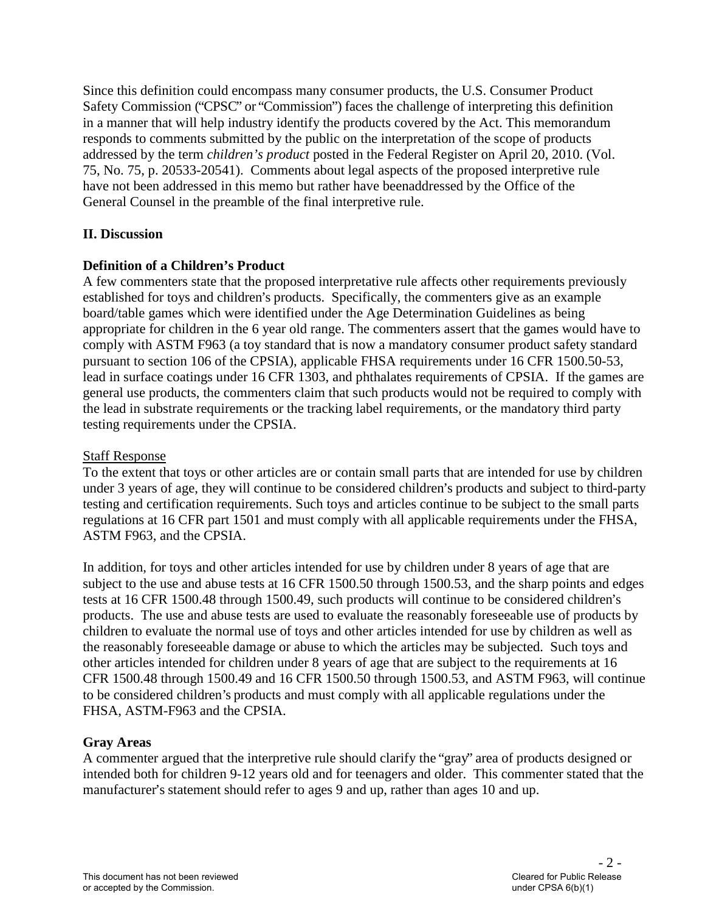Since this definition could encompass many consumer products, the U.S. Consumer Product Safety Commission ("CPSC" or "Commission") faces the challenge of interpreting this definition in a manner that will help industry identify the products covered by the Act. This memorandum responds to comments submitted by the public on the interpretation of the scope of products addressed by the term *children's product* posted in the Federal Register on April 20, 2010. (Vol. 75, No. 75, p. 20533-20541). Comments about legal aspects of the proposed interpretive rule have not been addressed in this memo but rather have beenaddressed by the Office of the General Counsel in the preamble of the final interpretive rule.

# **II. Discussion**

# **Definition of a Children's Product**

A few commenters state that the proposed interpretative rule affects other requirements previously established for toys and children's products. Specifically, the commenters give as an example board/table games which were identified under the Age Determination Guidelines as being appropriate for children in the 6 year old range. The commenters assert that the games would have to comply with ASTM F963 (a toy standard that is now a mandatory consumer product safety standard pursuant to section 106 of the CPSIA), applicable FHSA requirements under 16 CFR 1500.50-53, lead in surface coatings under 16 CFR 1303, and phthalates requirements of CPSIA. If the games are general use products, the commenters claim that such products would not be required to comply with the lead in substrate requirements or the tracking label requirements, or the mandatory third party testing requirements under the CPSIA.

# Staff Response

To the extent that toys or other articles are or contain small parts that are intended for use by children under 3 years of age, they will continue to be considered children's products and subject to third-party testing and certification requirements. Such toys and articles continue to be subject to the small parts regulations at 16 CFR part 1501 and must comply with all applicable requirements under the FHSA, ASTM F963, and the CPSIA.

In addition, for toys and other articles intended for use by children under 8 years of age that are subject to the use and abuse tests at 16 CFR 1500.50 through 1500.53, and the sharp points and edges tests at 16 CFR 1500.48 through 1500.49, such products will continue to be considered children's products. The use and abuse tests are used to evaluate the reasonably foreseeable use of products by children to evaluate the normal use of toys and other articles intended for use by children as well as the reasonably foreseeable damage or abuse to which the articles may be subjected. Such toys and other articles intended for children under 8 years of age that are subject to the requirements at 16 CFR 1500.48 through 1500.49 and 16 CFR 1500.50 through 1500.53, and ASTM F963, will continue to be considered children's products and must comply with all applicable regulations under the FHSA, ASTM-F963 and the CPSIA.

# **Gray Areas**

A commenter argued that the interpretive rule should clarify the "gray" area of products designed or intended both for children 9-12 years old and for teenagers and older. This commenter stated that the manufacturer's statement should refer to ages 9 and up, rather than ages 10 and up.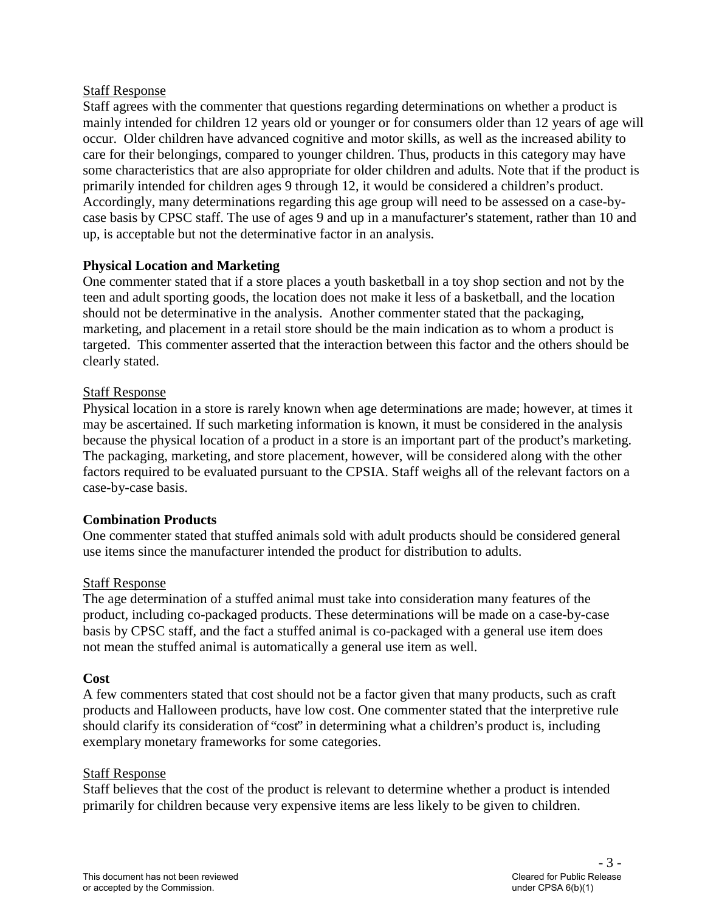#### Staff Response

Staff agrees with the commenter that questions regarding determinations on whether a product is mainly intended for children 12 years old or younger or for consumers older than 12 years of age will occur. Older children have advanced cognitive and motor skills, as well as the increased ability to care for their belongings, compared to younger children. Thus, products in this category may have some characteristics that are also appropriate for older children and adults. Note that if the product is primarily intended for children ages 9 through 12, it would be considered a children's product. Accordingly, many determinations regarding this age group will need to be assessed on a case-bycase basis by CPSC staff. The use of ages 9 and up in a manufacturer's statement, rather than 10 and up, is acceptable but not the determinative factor in an analysis.

# **Physical Location and Marketing**

One commenter stated that if a store places a youth basketball in a toy shop section and not by the teen and adult sporting goods, the location does not make it less of a basketball, and the location should not be determinative in the analysis. Another commenter stated that the packaging, marketing, and placement in a retail store should be the main indication as to whom a product is targeted. This commenter asserted that the interaction between this factor and the others should be clearly stated.

#### Staff Response

Physical location in a store is rarely known when age determinations are made; however, at times it may be ascertained. If such marketing information is known, it must be considered in the analysis because the physical location of a product in a store is an important part of the product's marketing. The packaging, marketing, and store placement, however, will be considered along with the other factors required to be evaluated pursuant to the CPSIA. Staff weighs all of the relevant factors on a case-by-case basis.

# **Combination Products**

One commenter stated that stuffed animals sold with adult products should be considered general use items since the manufacturer intended the product for distribution to adults.

#### Staff Response

The age determination of a stuffed animal must take into consideration many features of the product, including co-packaged products. These determinations will be made on a case-by-case basis by CPSC staff, and the fact a stuffed animal is co-packaged with a general use item does not mean the stuffed animal is automatically a general use item as well.

#### **Cost**

A few commenters stated that cost should not be a factor given that many products, such as craft products and Halloween products, have low cost. One commenter stated that the interpretive rule should clarify its consideration of "cost" in determining what a children's product is, including exemplary monetary frameworks for some categories.

#### Staff Response

Staff believes that the cost of the product is relevant to determine whether a product is intended primarily for children because very expensive items are less likely to be given to children.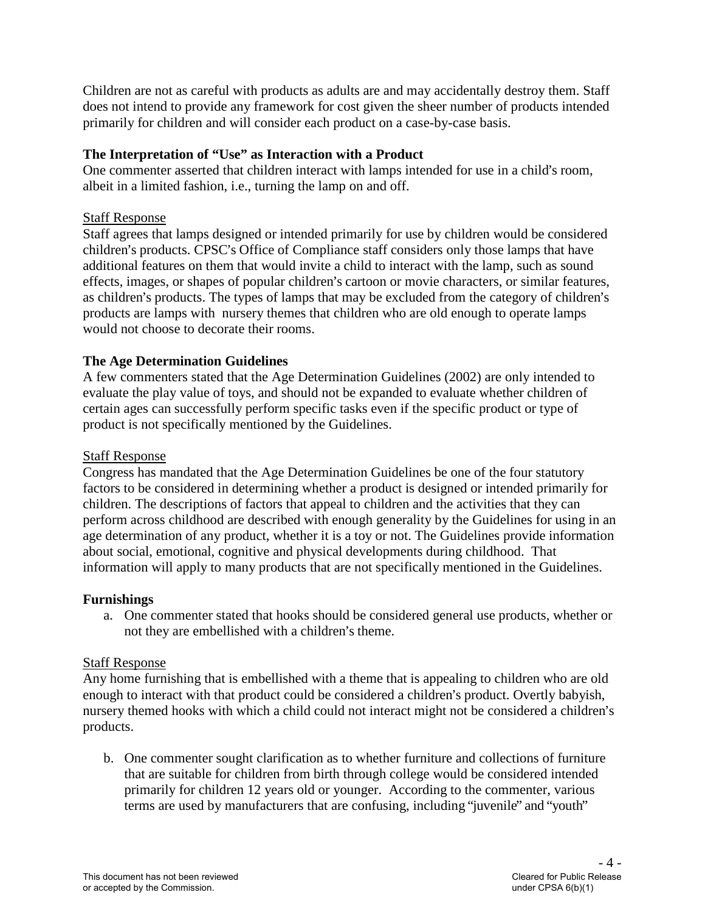Children are not as careful with products as adults are and may accidentally destroy them. Staff does not intend to provide any framework for cost given the sheer number of products intended primarily for children and will consider each product on a case-by-case basis.

# **The Interpretation of "Use" as Interaction with a Product**

One commenter asserted that children interact with lamps intended for use in a child's room, albeit in a limited fashion, i.e., turning the lamp on and off.

# Staff Response

Staff agrees that lamps designed or intended primarily for use by children would be considered children's products. CPSC's Office of Compliance staff considers only those lamps that have additional features on them that would invite a child to interact with the lamp, such as sound effects, images, or shapes of popular children's cartoon or movie characters, or similar features, as children's products. The types of lamps that may be excluded from the category of children's products are lamps with nursery themes that children who are old enough to operate lamps would not choose to decorate their rooms.

# **The Age Determination Guidelines**

A few commenters stated that the Age Determination Guidelines (2002) are only intended to evaluate the play value of toys, and should not be expanded to evaluate whether children of certain ages can successfully perform specific tasks even if the specific product or type of product is not specifically mentioned by the Guidelines.

# Staff Response

Congress has mandated that the Age Determination Guidelines be one of the four statutory factors to be considered in determining whether a product is designed or intended primarily for children. The descriptions of factors that appeal to children and the activities that they can perform across childhood are described with enough generality by the Guidelines for using in an age determination of any product, whether it is a toy or not. The Guidelines provide information about social, emotional, cognitive and physical developments during childhood. That information will apply to many products that are not specifically mentioned in the Guidelines.

# **Furnishings**

a. One commenter stated that hooks should be considered general use products, whether or not they are embellished with a children's theme.

# Staff Response

Any home furnishing that is embellished with a theme that is appealing to children who are old enough to interact with that product could be considered a children's product. Overtly babyish, nursery themed hooks with which a child could not interact might not be considered a children's products.

b. One commenter sought clarification as to whether furniture and collections of furniture that are suitable for children from birth through college would be considered intended primarily for children 12 years old or younger. According to the commenter, various terms are used by manufacturers that are confusing, including "juvenile" and "youth"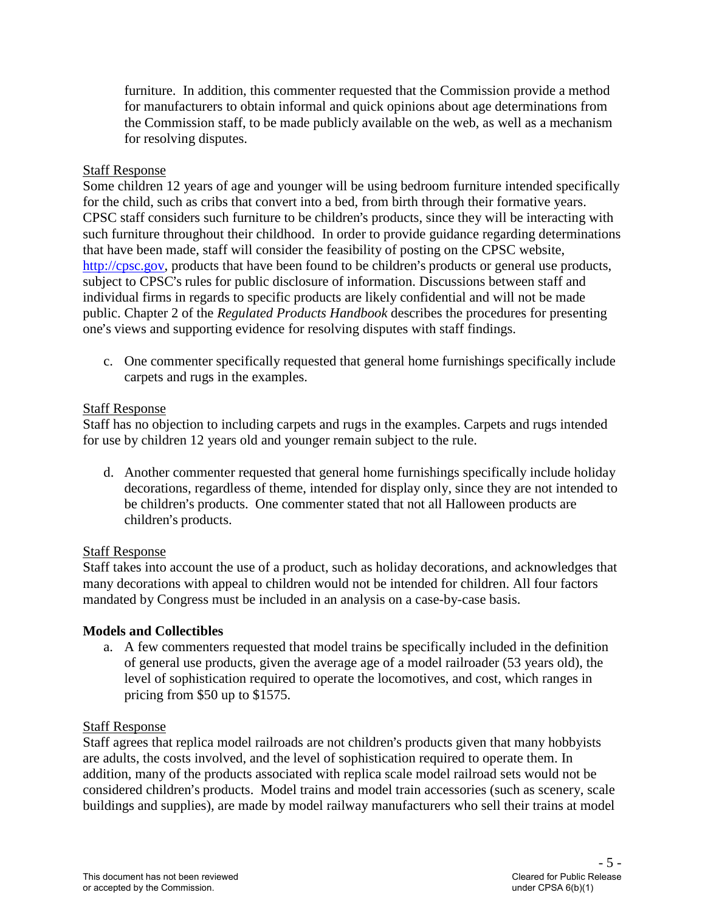furniture. In addition, this commenter requested that the Commission provide a method for manufacturers to obtain informal and quick opinions about age determinations from the Commission staff, to be made publicly available on the web, as well as a mechanism for resolving disputes.

## Staff Response

Some children 12 years of age and younger will be using bedroom furniture intended specifically for the child, such as cribs that convert into a bed, from birth through their formative years. CPSC staff considers such furniture to be children's products, since they will be interacting with such furniture throughout their childhood. In order to provide guidance regarding determinations that have been made, staff will consider the feasibility of posting on the CPSC website, [http://cpsc.gov,](http://cpsc.gov/) products that have been found to be children's products or general use products, subject to CPSC's rules for public disclosure of information. Discussions between staff and individual firms in regards to specific products are likely confidential and will not be made public. Chapter 2 of the *Regulated Products Handbook* describes the procedures for presenting one's views and supporting evidence for resolving disputes with staff findings.

c. One commenter specifically requested that general home furnishings specifically include carpets and rugs in the examples.

#### Staff Response

Staff has no objection to including carpets and rugs in the examples. Carpets and rugs intended for use by children 12 years old and younger remain subject to the rule.

d. Another commenter requested that general home furnishings specifically include holiday decorations, regardless of theme, intended for display only, since they are not intended to be children's products. One commenter stated that not all Halloween products are children's products.

# Staff Response

Staff takes into account the use of a product, such as holiday decorations, and acknowledges that many decorations with appeal to children would not be intended for children. All four factors mandated by Congress must be included in an analysis on a case-by-case basis.

#### **Models and Collectibles**

a. A few commenters requested that model trains be specifically included in the definition of general use products, given the average age of a model railroader (53 years old), the level of sophistication required to operate the locomotives, and cost, which ranges in pricing from \$50 up to \$1575.

#### Staff Response

Staff agrees that replica model railroads are not children's products given that many hobbyists are adults, the costs involved, and the level of sophistication required to operate them. In addition, many of the products associated with replica scale model railroad sets would not be considered children's products. Model trains and model train accessories (such as scenery, scale buildings and supplies), are made by model railway manufacturers who sell their trains at model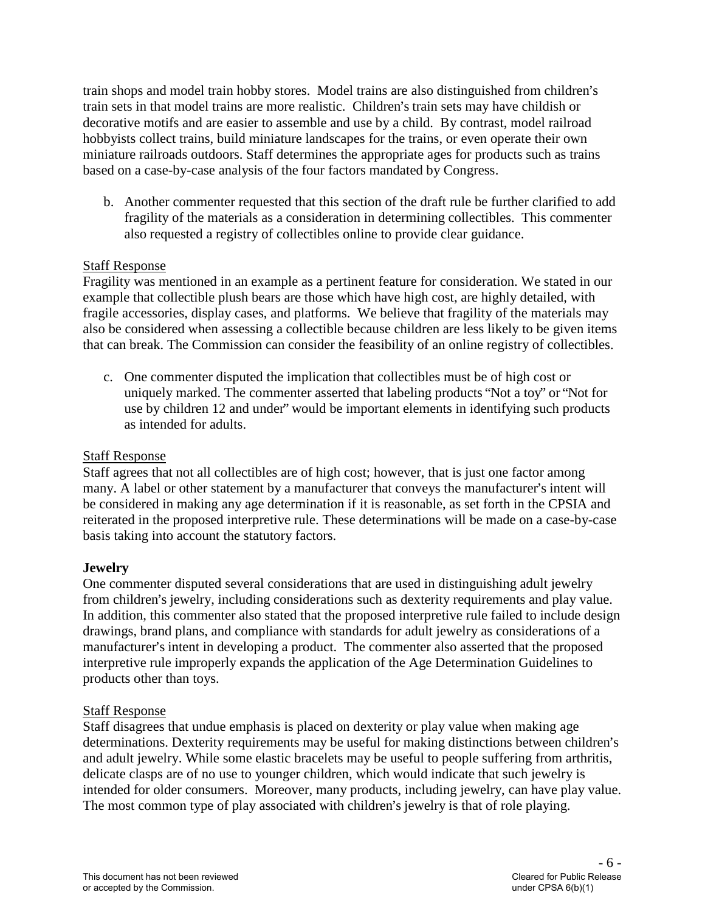train shops and model train hobby stores. Model trains are also distinguished from children's train sets in that model trains are more realistic. Children's train sets may have childish or decorative motifs and are easier to assemble and use by a child. By contrast, model railroad hobbyists collect trains, build miniature landscapes for the trains, or even operate their own miniature railroads outdoors. Staff determines the appropriate ages for products such as trains based on a case-by-case analysis of the four factors mandated by Congress.

b. Another commenter requested that this section of the draft rule be further clarified to add fragility of the materials as a consideration in determining collectibles. This commenter also requested a registry of collectibles online to provide clear guidance.

#### Staff Response

Fragility was mentioned in an example as a pertinent feature for consideration. We stated in our example that collectible plush bears are those which have high cost, are highly detailed, with fragile accessories, display cases, and platforms. We believe that fragility of the materials may also be considered when assessing a collectible because children are less likely to be given items that can break. The Commission can consider the feasibility of an online registry of collectibles.

c. One commenter disputed the implication that collectibles must be of high cost or uniquely marked. The commenter asserted that labeling products "Not a toy" or "Not for use by children 12 and under" would be important elements in identifying such products as intended for adults.

#### Staff Response

Staff agrees that not all collectibles are of high cost; however, that is just one factor among many. A label or other statement by a manufacturer that conveys the manufacturer's intent will be considered in making any age determination if it is reasonable, as set forth in the CPSIA and reiterated in the proposed interpretive rule. These determinations will be made on a case-by-case basis taking into account the statutory factors.

# **Jewelry**

One commenter disputed several considerations that are used in distinguishing adult jewelry from children's jewelry, including considerations such as dexterity requirements and play value. In addition, this commenter also stated that the proposed interpretive rule failed to include design drawings, brand plans, and compliance with standards for adult jewelry as considerations of a manufacturer's intent in developing a product. The commenter also asserted that the proposed interpretive rule improperly expands the application of the Age Determination Guidelines to products other than toys.

#### Staff Response

Staff disagrees that undue emphasis is placed on dexterity or play value when making age determinations. Dexterity requirements may be useful for making distinctions between children's and adult jewelry. While some elastic bracelets may be useful to people suffering from arthritis, delicate clasps are of no use to younger children, which would indicate that such jewelry is intended for older consumers. Moreover, many products, including jewelry, can have play value. The most common type of play associated with children's jewelry is that of role playing.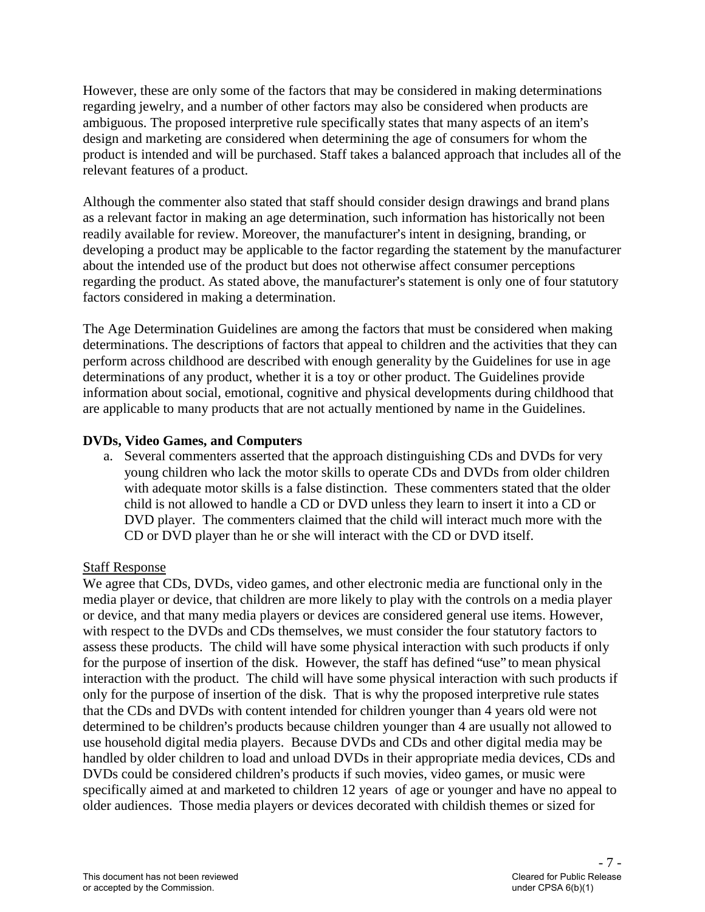However, these are only some of the factors that may be considered in making determinations regarding jewelry, and a number of other factors may also be considered when products are ambiguous. The proposed interpretive rule specifically states that many aspects of an item's design and marketing are considered when determining the age of consumers for whom the product is intended and will be purchased. Staff takes a balanced approach that includes all of the relevant features of a product.

Although the commenter also stated that staff should consider design drawings and brand plans as a relevant factor in making an age determination, such information has historically not been readily available for review. Moreover, the manufacturer's intent in designing, branding, or developing a product may be applicable to the factor regarding the statement by the manufacturer about the intended use of the product but does not otherwise affect consumer perceptions regarding the product. As stated above, the manufacturer's statement is only one of four statutory factors considered in making a determination.

The Age Determination Guidelines are among the factors that must be considered when making determinations. The descriptions of factors that appeal to children and the activities that they can perform across childhood are described with enough generality by the Guidelines for use in age determinations of any product, whether it is a toy or other product. The Guidelines provide information about social, emotional, cognitive and physical developments during childhood that are applicable to many products that are not actually mentioned by name in the Guidelines.

# **DVDs, Video Games, and Computers**

a. Several commenters asserted that the approach distinguishing CDs and DVDs for very young children who lack the motor skills to operate CDs and DVDs from older children with adequate motor skills is a false distinction. These commenters stated that the older child is not allowed to handle a CD or DVD unless they learn to insert it into a CD or DVD player. The commenters claimed that the child will interact much more with the CD or DVD player than he or she will interact with the CD or DVD itself.

# Staff Response

We agree that CDs, DVDs, video games, and other electronic media are functional only in the media player or device, that children are more likely to play with the controls on a media player or device, and that many media players or devices are considered general use items. However, with respect to the DVDs and CDs themselves, we must consider the four statutory factors to assess these products. The child will have some physical interaction with such products if only for the purpose of insertion of the disk. However, the staff has defined "use" to mean physical interaction with the product. The child will have some physical interaction with such products if only for the purpose of insertion of the disk. That is why the proposed interpretive rule states that the CDs and DVDs with content intended for children younger than 4 years old were not determined to be children's products because children younger than 4 are usually not allowed to use household digital media players. Because DVDs and CDs and other digital media may be handled by older children to load and unload DVDs in their appropriate media devices, CDs and DVDs could be considered children's products if such movies, video games, or music were specifically aimed at and marketed to children 12 years of age or younger and have no appeal to older audiences. Those media players or devices decorated with childish themes or sized for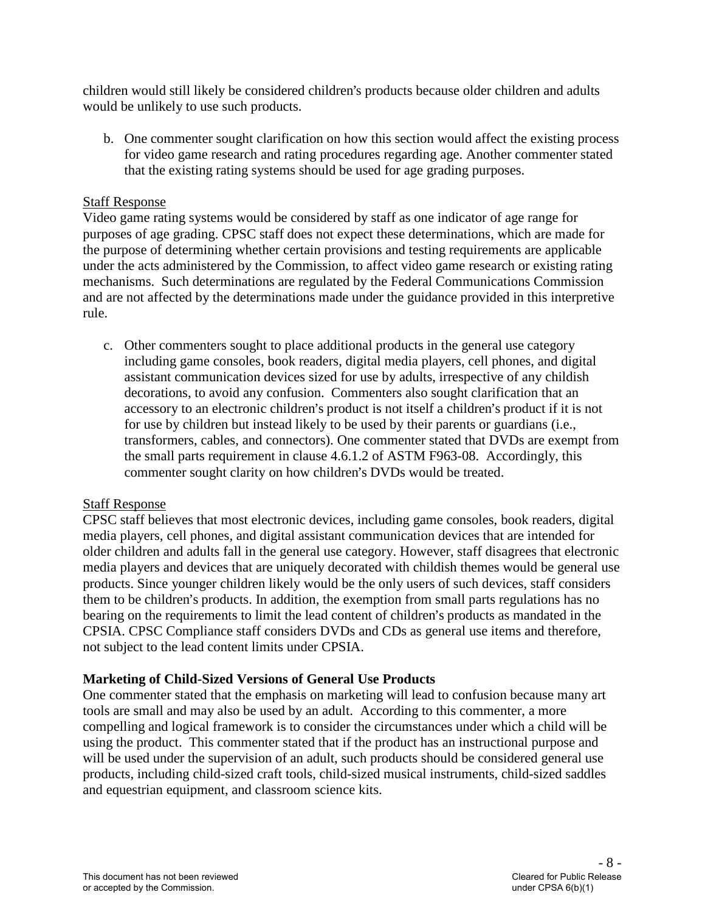children would still likely be considered children's products because older children and adults would be unlikely to use such products.

b. One commenter sought clarification on how this section would affect the existing process for video game research and rating procedures regarding age. Another commenter stated that the existing rating systems should be used for age grading purposes.

## Staff Response

Video game rating systems would be considered by staff as one indicator of age range for purposes of age grading. CPSC staff does not expect these determinations, which are made for the purpose of determining whether certain provisions and testing requirements are applicable under the acts administered by the Commission, to affect video game research or existing rating mechanisms. Such determinations are regulated by the Federal Communications Commission and are not affected by the determinations made under the guidance provided in this interpretive rule.

c. Other commenters sought to place additional products in the general use category including game consoles, book readers, digital media players, cell phones, and digital assistant communication devices sized for use by adults, irrespective of any childish decorations, to avoid any confusion. Commenters also sought clarification that an accessory to an electronic children's product is not itself a children's product if it is not for use by children but instead likely to be used by their parents or guardians (i.e., transformers, cables, and connectors). One commenter stated that DVDs are exempt from the small parts requirement in clause 4.6.1.2 of ASTM F963-08. Accordingly, this commenter sought clarity on how children's DVDs would be treated.

#### Staff Response

CPSC staff believes that most electronic devices, including game consoles, book readers, digital media players, cell phones, and digital assistant communication devices that are intended for older children and adults fall in the general use category. However, staff disagrees that electronic media players and devices that are uniquely decorated with childish themes would be general use products. Since younger children likely would be the only users of such devices, staff considers them to be children's products. In addition, the exemption from small parts regulations has no bearing on the requirements to limit the lead content of children's products as mandated in the CPSIA. CPSC Compliance staff considers DVDs and CDs as general use items and therefore, not subject to the lead content limits under CPSIA.

# **Marketing of Child-Sized Versions of General Use Products**

One commenter stated that the emphasis on marketing will lead to confusion because many art tools are small and may also be used by an adult. According to this commenter, a more compelling and logical framework is to consider the circumstances under which a child will be using the product. This commenter stated that if the product has an instructional purpose and will be used under the supervision of an adult, such products should be considered general use products, including child-sized craft tools, child-sized musical instruments, child-sized saddles and equestrian equipment, and classroom science kits.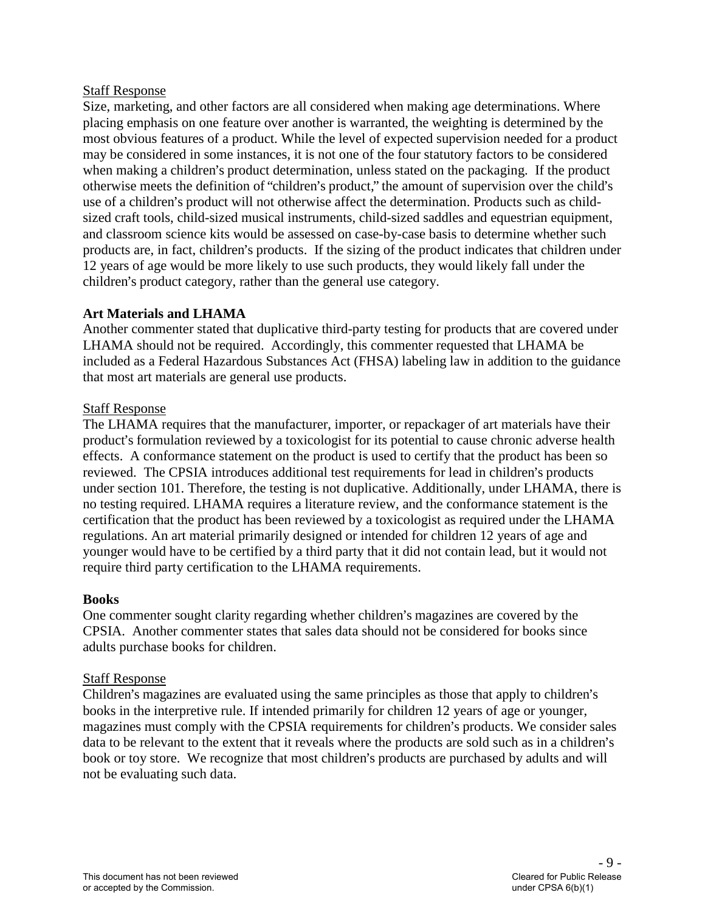#### Staff Response

Size, marketing, and other factors are all considered when making age determinations. Where placing emphasis on one feature over another is warranted, the weighting is determined by the most obvious features of a product. While the level of expected supervision needed for a product may be considered in some instances, it is not one of the four statutory factors to be considered when making a children's product determination, unless stated on the packaging. If the product otherwise meets the definition of "children's product," the amount of supervision over the child's use of a children's product will not otherwise affect the determination. Products such as childsized craft tools, child-sized musical instruments, child-sized saddles and equestrian equipment, and classroom science kits would be assessed on case-by-case basis to determine whether such products are, in fact, children's products. If the sizing of the product indicates that children under 12 years of age would be more likely to use such products, they would likely fall under the children's product category, rather than the general use category.

# **Art Materials and LHAMA**

Another commenter stated that duplicative third-party testing for products that are covered under LHAMA should not be required. Accordingly, this commenter requested that LHAMA be included as a Federal Hazardous Substances Act (FHSA) labeling law in addition to the guidance that most art materials are general use products.

#### Staff Response

The LHAMA requires that the manufacturer, importer, or repackager of art materials have their product's formulation reviewed by a toxicologist for its potential to cause chronic adverse health effects. A conformance statement on the product is used to certify that the product has been so reviewed. The CPSIA introduces additional test requirements for lead in children's products under section 101. Therefore, the testing is not duplicative. Additionally, under LHAMA, there is no testing required. LHAMA requires a literature review, and the conformance statement is the certification that the product has been reviewed by a toxicologist as required under the LHAMA regulations. An art material primarily designed or intended for children 12 years of age and younger would have to be certified by a third party that it did not contain lead, but it would not require third party certification to the LHAMA requirements.

#### **Books**

One commenter sought clarity regarding whether children's magazines are covered by the CPSIA. Another commenter states that sales data should not be considered for books since adults purchase books for children.

#### Staff Response

Children's magazines are evaluated using the same principles as those that apply to children's books in the interpretive rule. If intended primarily for children 12 years of age or younger, magazines must comply with the CPSIA requirements for children's products. We consider sales data to be relevant to the extent that it reveals where the products are sold such as in a children's book or toy store. We recognize that most children's products are purchased by adults and will not be evaluating such data.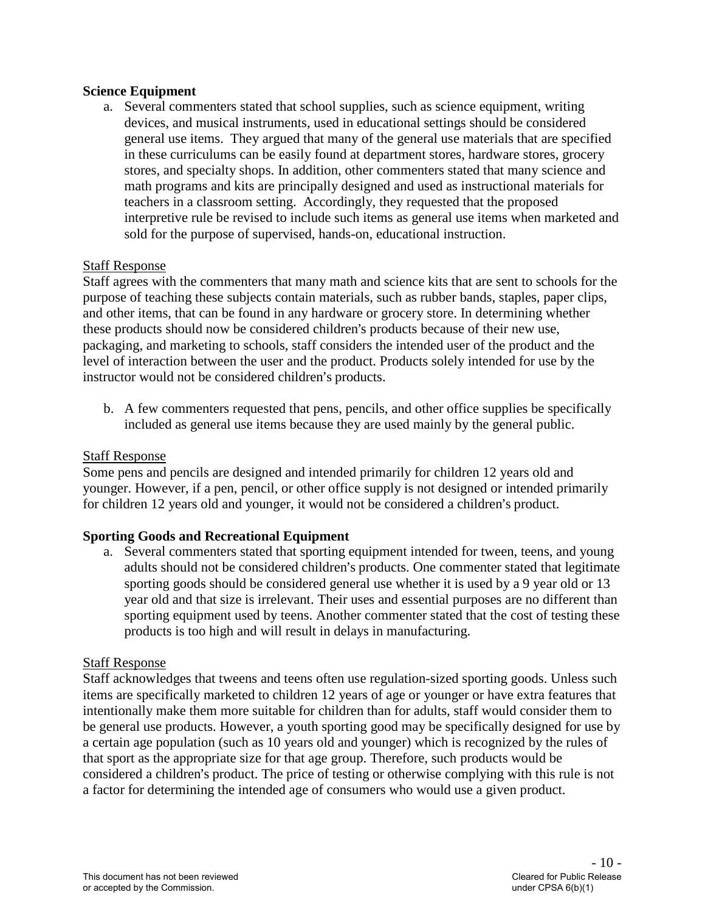#### **Science Equipment**

a. Several commenters stated that school supplies, such as science equipment, writing devices, and musical instruments, used in educational settings should be considered general use items. They argued that many of the general use materials that are specified in these curriculums can be easily found at department stores, hardware stores, grocery stores, and specialty shops. In addition, other commenters stated that many science and math programs and kits are principally designed and used as instructional materials for teachers in a classroom setting. Accordingly, they requested that the proposed interpretive rule be revised to include such items as general use items when marketed and sold for the purpose of supervised, hands-on, educational instruction.

#### Staff Response

Staff agrees with the commenters that many math and science kits that are sent to schools for the purpose of teaching these subjects contain materials, such as rubber bands, staples, paper clips, and other items, that can be found in any hardware or grocery store. In determining whether these products should now be considered children's products because of their new use, packaging, and marketing to schools, staff considers the intended user of the product and the level of interaction between the user and the product. Products solely intended for use by the instructor would not be considered children's products.

b. A few commenters requested that pens, pencils, and other office supplies be specifically included as general use items because they are used mainly by the general public.

#### Staff Response

Some pens and pencils are designed and intended primarily for children 12 years old and younger. However, if a pen, pencil, or other office supply is not designed or intended primarily for children 12 years old and younger, it would not be considered a children's product.

#### **Sporting Goods and Recreational Equipment**

a. Several commenters stated that sporting equipment intended for tween, teens, and young adults should not be considered children's products. One commenter stated that legitimate sporting goods should be considered general use whether it is used by a 9 year old or 13 year old and that size is irrelevant. Their uses and essential purposes are no different than sporting equipment used by teens. Another commenter stated that the cost of testing these products is too high and will result in delays in manufacturing.

#### Staff Response

Staff acknowledges that tweens and teens often use regulation-sized sporting goods. Unless such items are specifically marketed to children 12 years of age or younger or have extra features that intentionally make them more suitable for children than for adults, staff would consider them to be general use products. However, a youth sporting good may be specifically designed for use by a certain age population (such as 10 years old and younger) which is recognized by the rules of that sport as the appropriate size for that age group. Therefore, such products would be considered a children's product. The price of testing or otherwise complying with this rule is not a factor for determining the intended age of consumers who would use a given product.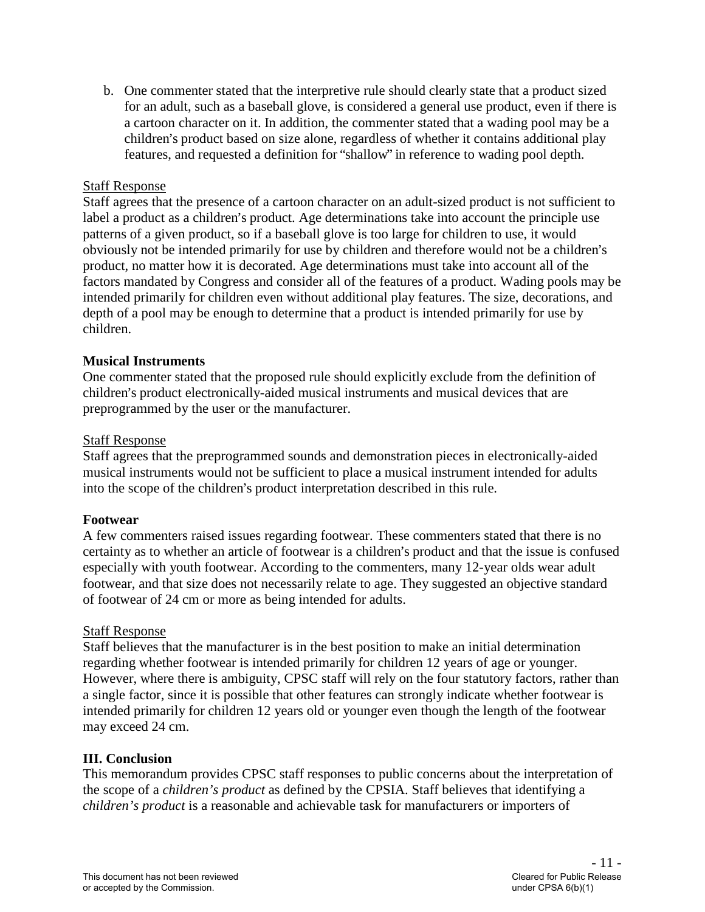b. One commenter stated that the interpretive rule should clearly state that a product sized for an adult, such as a baseball glove, is considered a general use product, even if there is a cartoon character on it. In addition, the commenter stated that a wading pool may be a children's product based on size alone, regardless of whether it contains additional play features, and requested a definition for "shallow" in reference to wading pool depth.

## Staff Response

Staff agrees that the presence of a cartoon character on an adult-sized product is not sufficient to label a product as a children's product. Age determinations take into account the principle use patterns of a given product, so if a baseball glove is too large for children to use, it would obviously not be intended primarily for use by children and therefore would not be a children's product, no matter how it is decorated. Age determinations must take into account all of the factors mandated by Congress and consider all of the features of a product. Wading pools may be intended primarily for children even without additional play features. The size, decorations, and depth of a pool may be enough to determine that a product is intended primarily for use by children.

#### **Musical Instruments**

One commenter stated that the proposed rule should explicitly exclude from the definition of children's product electronically-aided musical instruments and musical devices that are preprogrammed by the user or the manufacturer.

#### Staff Response

Staff agrees that the preprogrammed sounds and demonstration pieces in electronically-aided musical instruments would not be sufficient to place a musical instrument intended for adults into the scope of the children's product interpretation described in this rule.

#### **Footwear**

A few commenters raised issues regarding footwear. These commenters stated that there is no certainty as to whether an article of footwear is a children's product and that the issue is confused especially with youth footwear. According to the commenters, many 12-year olds wear adult footwear, and that size does not necessarily relate to age. They suggested an objective standard of footwear of 24 cm or more as being intended for adults.

#### Staff Response

Staff believes that the manufacturer is in the best position to make an initial determination regarding whether footwear is intended primarily for children 12 years of age or younger. However, where there is ambiguity, CPSC staff will rely on the four statutory factors, rather than a single factor, since it is possible that other features can strongly indicate whether footwear is intended primarily for children 12 years old or younger even though the length of the footwear may exceed 24 cm.

# **III. Conclusion**

This memorandum provides CPSC staff responses to public concerns about the interpretation of the scope of a *children's product* as defined by the CPSIA. Staff believes that identifying a *children's product* is a reasonable and achievable task for manufacturers or importers of